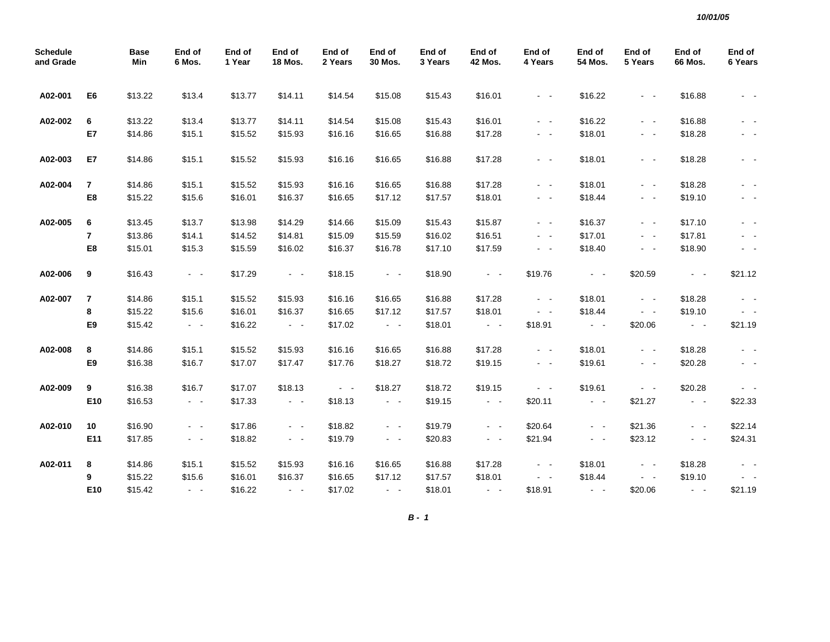| <b>Schedule</b><br>and Grade |                | Base<br>Min | End of<br>6 Mos.                          | End of<br>1 Year | End of<br><b>18 Mos.</b>                  | End of<br>2 Years   | End of<br>30 Mos.                         | End of<br>3 Years | End of<br><b>42 Mos.</b> | End of<br>4 Years   | End of<br>54 Mos.   | End of<br>5 Years   | End of<br>66 Mos. | End of<br>6 Years |
|------------------------------|----------------|-------------|-------------------------------------------|------------------|-------------------------------------------|---------------------|-------------------------------------------|-------------------|--------------------------|---------------------|---------------------|---------------------|-------------------|-------------------|
| A02-001                      | E6             | \$13.22     | \$13.4                                    | \$13.77          | \$14.11                                   | \$14.54             | \$15.08                                   | \$15.43           | \$16.01                  | $\sigma_{\rm{max}}$ | \$16.22             | $\sim 100$          | \$16.88           |                   |
| A02-002                      | 6              | \$13.22     | \$13.4                                    | \$13.77          | \$14.11                                   | \$14.54             | \$15.08                                   | \$15.43           | \$16.01                  | $\sim 100$          | \$16.22             | $\sim$ $ -$         | \$16.88           | $\sim$ $-$        |
|                              | E7             | \$14.86     | \$15.1                                    | \$15.52          | \$15.93                                   | \$16.16             | \$16.65                                   | \$16.88           | \$17.28                  | $\sim$ $ \sim$      | \$18.01             | $\sim 100$          | \$18.28           | - -               |
| A02-003                      | E7             | \$14.86     | \$15.1                                    | \$15.52          | \$15.93                                   | \$16.16             | \$16.65                                   | \$16.88           | \$17.28                  | $\sim$ $ \sim$      | \$18.01             | $\sim$ $ -$         | \$18.28           | $\sim$ $-$        |
| A02-004                      | 7              | \$14.86     | \$15.1                                    | \$15.52          | \$15.93                                   | \$16.16             | \$16.65                                   | \$16.88           | \$17.28                  | $\sim$ $ \sim$      | \$18.01             | $\sim$ $ -$         | \$18.28           | $\sim$ $-$        |
|                              | E8             | \$15.22     | \$15.6                                    | \$16.01          | \$16.37                                   | \$16.65             | \$17.12                                   | \$17.57           | \$18.01                  | $\sim$ $ -$         | \$18.44             | $\sim$ $ \sim$      | \$19.10           | $\sim$ $ -$       |
| A02-005                      | 6              | \$13.45     | \$13.7                                    | \$13.98          | \$14.29                                   | \$14.66             | \$15.09                                   | \$15.43           | \$15.87                  | $\sim$ $ -$         | \$16.37             | $\omega_{\rm{max}}$ | \$17.10           | $\sim$ $ \sim$    |
|                              | $\overline{7}$ | \$13.86     | \$14.1                                    | \$14.52          | \$14.81                                   | \$15.09             | \$15.59                                   | \$16.02           | \$16.51                  | $\sigma_{\rm{max}}$ | \$17.01             | $\sim 100$          | \$17.81           | $\sim$ $ -$       |
|                              | E8             | \$15.01     | \$15.3                                    | \$15.59          | \$16.02                                   | \$16.37             | \$16.78                                   | \$17.10           | \$17.59                  | $\sim$ $ \sim$      | \$18.40             | $\sim$ $ \sim$      | \$18.90           | $\sim$ $-$        |
| A02-006                      | 9              | \$16.43     | $\sim 100$                                | \$17.29          | $\sim$ $ \sim$                            | \$18.15             | $\sim$ $-$                                | \$18.90           | $\sim$ $ \sim$           | \$19.76             | $\sim$ $ \sim$      | \$20.59             | $\sim 100$        | \$21.12           |
| A02-007                      | $\overline{7}$ | \$14.86     | \$15.1                                    | \$15.52          | \$15.93                                   | \$16.16             | \$16.65                                   | \$16.88           | \$17.28                  | $\sim 100$          | \$18.01             | $\sim$ $ \sim$      | \$18.28           |                   |
|                              | 8              | \$15.22     | \$15.6                                    | \$16.01          | \$16.37                                   | \$16.65             | \$17.12                                   | \$17.57           | \$18.01                  | $\sigma_{\rm{max}}$ | \$18.44             | $\sim$ $ \sim$      | \$19.10           | $\sim$ $ \sim$    |
|                              | E9             | \$15.42     | $\sigma_{\rm{eff}}$ , $\sigma_{\rm{eff}}$ | \$16.22          | $\sigma_{\rm{eff}}$ , $\sigma_{\rm{eff}}$ | \$17.02             | $\sigma_{\rm{eff}}$ , $\sigma_{\rm{eff}}$ | \$18.01           | $\sim 100$               | \$18.91             | $\sim$ $ \sim$      | \$20.06             | $\sim 100$        | \$21.19           |
| A02-008                      | 8              | \$14.86     | \$15.1                                    | \$15.52          | \$15.93                                   | \$16.16             | \$16.65                                   | \$16.88           | \$17.28                  | $\sim$ $ \sim$      | \$18.01             | $\sim$ $ \sim$      | \$18.28           | $\sim$ $ \sim$    |
|                              | E9             | \$16.38     | \$16.7                                    | \$17.07          | \$17.47                                   | \$17.76             | \$18.27                                   | \$18.72           | \$19.15                  | $\sim$ $ \sim$      | \$19.61             | $\sim$ $ -$         | \$20.28           | $\sim$ $-$        |
| A02-009                      | 9              | \$16.38     | \$16.7                                    | \$17.07          | \$18.13                                   | $\sigma_{\rm{max}}$ | \$18.27                                   | \$18.72           | \$19.15                  | $\sigma_{\rm{max}}$ | \$19.61             | $\sim$ $ -$         | \$20.28           |                   |
|                              | E10            | \$16.53     | $\sim 100$                                | \$17.33          | $\sim$ $ \sim$                            | \$18.13             | $\sim$ $ \sim$                            | \$19.15           | $\omega_{\rm{max}}$      | \$20.11             | $\sim$ $ \sim$      | \$21.27             | $\sim$ $ \sim$    | \$22.33           |
| A02-010                      | 10             | \$16.90     | $\sim$ $ \sim$                            | \$17.86          | $\sim$ $ \sim$                            | \$18.82             | $\sim$ $ \sim$                            | \$19.79           | $\sim 100$               | \$20.64             | $\sim$ $ \sim$      | \$21.36             | $\sim 100$        | \$22.14           |
|                              | E11            | \$17.85     | $\omega_{\rm{max}}$                       | \$18.82          | $\sim$ $ \sim$                            | \$19.79             | $\sim 100$                                | \$20.83           | $\sim$ $ \sim$           | \$21.94             | $\omega_{\rm{max}}$ | \$23.12             | $\sim 100$        | \$24.31           |
| A02-011                      | 8              | \$14.86     | \$15.1                                    | \$15.52          | \$15.93                                   | \$16.16             | \$16.65                                   | \$16.88           | \$17.28                  | $\sigma_{\rm{max}}$ | \$18.01             | $\sim 100$          | \$18.28           |                   |
|                              | 9              | \$15.22     | \$15.6                                    | \$16.01          | \$16.37                                   | \$16.65             | \$17.12                                   | \$17.57           | \$18.01                  | $\sim 100$          | \$18.44             | $\sim$ $ \sim$      | \$19.10           | $\sim$ $ \sim$    |
|                              | E10            | \$15.42     | $\omega_{\rm{max}}$                       | \$16.22          | $\omega_{\rm{max}}$                       | \$17.02             | $\sim$ $ \sim$                            | \$18.01           | $\sim 100$               | \$18.91             | $\sim 100$ $\sim$   | \$20.06             | $\sim 10$         | \$21.19           |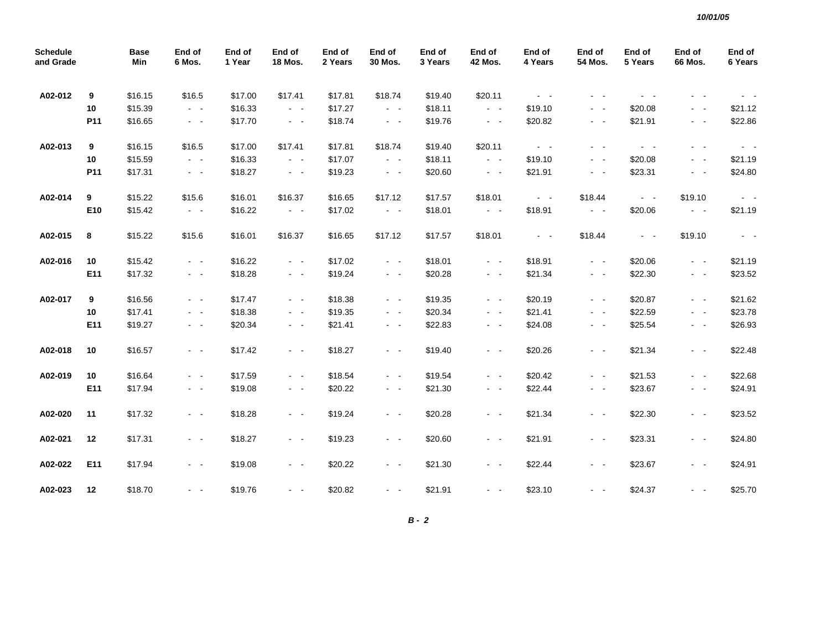| <b>Schedule</b><br>and Grade |     | Base<br>Min | End of<br>6 Mos. | End of<br>1 Year | End of<br>18 Mos.       | End of<br>2 Years | End of<br>30 Mos.   | End of<br>3 Years | End of<br>42 Mos.   | End of<br>4 Years   | End of<br>54 Mos.   | End of<br>5 Years | End of<br>66 Mos. | End of<br>6 Years     |
|------------------------------|-----|-------------|------------------|------------------|-------------------------|-------------------|---------------------|-------------------|---------------------|---------------------|---------------------|-------------------|-------------------|-----------------------|
| A02-012                      | 9   | \$16.15     | \$16.5           | \$17.00          | \$17.41                 | \$17.81           | \$18.74             | \$19.40           | \$20.11             | $\sim 100$          | $ -$                | $\sim$ $ -$       |                   |                       |
|                              | 10  | \$15.39     | $\sim$ $ -$      | \$16.33          | $\omega_{\rm{max}}$     | \$17.27           | $\sim 100$          | \$18.11           | $\sim 100$          | \$19.10             | $\omega_{\rm{max}}$ | \$20.08           | $\sim$ $ \sim$    | \$21.12               |
|                              | P11 | \$16.65     | $\sim$ $ \sim$   | \$17.70          | $\sim$ $ \sim$          | \$18.74           | $\omega_{\rm{max}}$ | \$19.76           | $\omega_{\rm{max}}$ | \$20.82             | $\sim$ $ \sim$      | \$21.91           | $\sim$ $ \sim$    | \$22.86               |
| A02-013                      | 9   | \$16.15     | \$16.5           | \$17.00          | \$17.41                 | \$17.81           | \$18.74             | \$19.40           | \$20.11             | $\omega_{\rm{max}}$ | $\sim$ $ \sim$      | $\sim$ $ \sim$    | $\sim$ $ -$       | $\sigma_{\rm{max}}$   |
|                              | 10  | \$15.59     | $\sim$ $ \sim$   | \$16.33          | $\sim$ $ \sim$          | \$17.07           | $\sim$ $ \sim$      | \$18.11           | $\omega_{\rm{max}}$ | \$19.10             | $\sim$ $ \sim$      | \$20.08           | $\sim$ $ \sim$    | \$21.19               |
|                              | P11 | \$17.31     | $\sim 100$       | \$18.27          | $\sim$ $ -$             | \$19.23           | $\sigma_{\rm{max}}$ | \$20.60           | $\sim$ $ \sim$      | \$21.91             | $\sim$ $ \sim$      | \$23.31           | $\sim$ $ -$       | \$24.80               |
| A02-014                      | 9   | \$15.22     | \$15.6           | \$16.01          | \$16.37                 | \$16.65           | \$17.12             | \$17.57           | \$18.01             | $\sigma_{\rm{max}}$ | \$18.44             | $\sim 100$        | \$19.10           | $\sim 100$ km $^{-1}$ |
|                              | E10 | \$15.42     | $\sim$ $ -$      | \$16.22          | $\sigma_{\rm{max}}$     | \$17.02           | $\sigma_{\rm{max}}$ | \$18.01           | $\sigma_{\rm{max}}$ | \$18.91             | $\sigma_{\rm{max}}$ | \$20.06           | $\sim$ $ \sim$    | \$21.19               |
| A02-015                      | 8   | \$15.22     | \$15.6           | \$16.01          | \$16.37                 | \$16.65           | \$17.12             | \$17.57           | \$18.01             | $\sigma_{\rm{max}}$ | \$18.44             | $\sim 100$        | \$19.10           | $\sim$ $ \sim$        |
| A02-016                      | 10  | \$15.42     | $\sim 100$       | \$16.22          | $\sim$ $ \sim$          | \$17.02           | $\sim 100$          | \$18.01           | $\sim$ $ \sim$      | \$18.91             | $\sim$ $ \sim$      | \$20.06           | $\sim$ $ \sim$    | \$21.19               |
|                              | E11 | \$17.32     | $\sim$ $-$       | \$18.28          | $\sim$ $ \sim$          | \$19.24           | $\sigma_{\rm{max}}$ | \$20.28           | $\sim$ $ \sim$      | \$21.34             | $\sim$ $ \sim$      | \$22.30           | $\sim$ $ \sim$    | \$23.52               |
| A02-017                      | 9   | \$16.56     | $\sim$ $ -$      | \$17.47          | $\sim 100$              | \$18.38           | $\sim$ $ \sim$      | \$19.35           | $\sim 100$          | \$20.19             | $\sim 100$          | \$20.87           | $\sim$ $ \sim$    | \$21.62               |
|                              | 10  | \$17.41     | $\sim$ $ -$      | \$18.38          | $\sim 100$              | \$19.35           | $\sim$ $ -$         | \$20.34           | $\sim$ $ \sim$      | \$21.41             | $\sim 100$          | \$22.59           | $\sim$ $ -$       | \$23.78               |
|                              | E11 | \$19.27     | $\sim$ $ -$      | \$20.34          | $\sim 100$ km s $^{-1}$ | \$21.41           | $\sim$ $ -$         | \$22.83           | $\sim 100$          | \$24.08             | $\sim 100$          | \$25.54           | $\sim$ $-$        | \$26.93               |
| A02-018                      | 10  | \$16.57     | $\sim$ $ \sim$   | \$17.42          | $\omega_{\rm{max}}$     | \$18.27           | $\sim 100$          | \$19.40           | $\omega_{\rm{max}}$ | \$20.26             | $\omega_{\rm{max}}$ | \$21.34           | $\sim$ $ -$       | \$22.48               |
| A02-019                      | 10  | \$16.64     | $\sim$ $ \sim$   | \$17.59          | $\sim 100$              | \$18.54           | $\sim 100$          | \$19.54           | $\sim$ $ \sim$      | \$20.42             | $\omega_{\rm{max}}$ | \$21.53           | $\sim$ $ -$       | \$22.68               |
|                              | E11 | \$17.94     | $\sim$ $ -$      | \$19.08          | $\sim 100$              | \$20.22           | $\sim 100$          | \$21.30           | $\sim$ $ \sim$      | \$22.44             | $\sim 100$          | \$23.67           | $\sim$ $ \sim$    | \$24.91               |
| A02-020                      | 11  | \$17.32     | $\sim$ $-$       | \$18.28          | $\sim$ $ \sim$          | \$19.24           | $\sim$ $ \sim$      | \$20.28           | $\sim$ $ \sim$      | \$21.34             | $\sim$ $ \sim$      | \$22.30           | $\sim$ $ \sim$    | \$23.52               |
| A02-021                      | 12  | \$17.31     | $\sim$ $ -$      | \$18.27          | $\omega_{\rm{max}}$     | \$19.23           | $\sim 100$          | \$20.60           | $\sim$ $ -$         | \$21.91             | $\omega_{\rm{max}}$ | \$23.31           | $\sim$ $ \sim$    | \$24.80               |
| A02-022                      | E11 | \$17.94     | $\sim$ $ -$      | \$19.08          | $\sim 100$              | \$20.22           | $\sim$ $ -$         | \$21.30           | $\sim 100$          | \$22.44             | $\sim$ $ \sim$      | \$23.67           | $\sim$ $ \sim$    | \$24.91               |
| A02-023                      | 12  | \$18.70     | $\sim 100$       | \$19.76          | $\sim 100$              | \$20.82           | $\sim 100$          | \$21.91           | $\sim$              | \$23.10             | $\sim$ $ -$         | \$24.37           | $\sim$ $ -$       | \$25.70               |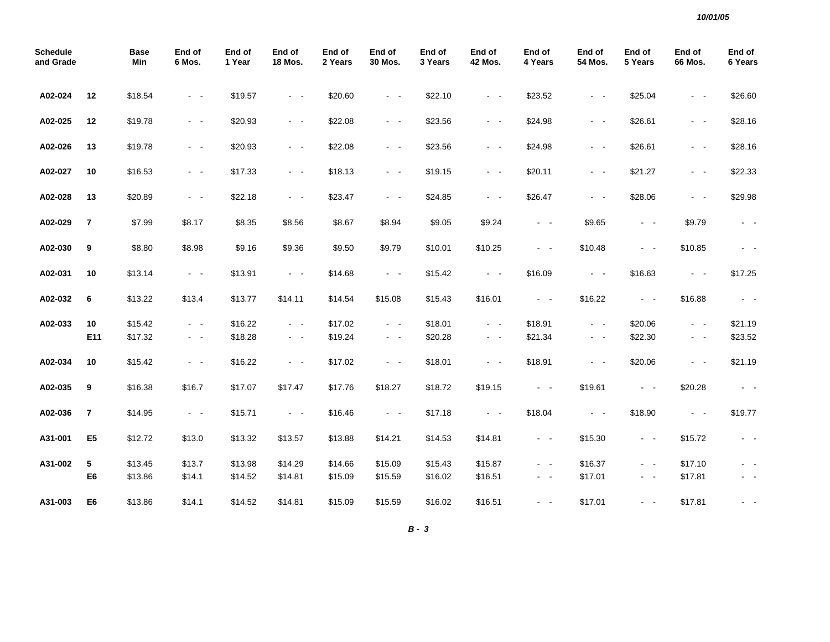| <b>Schedule</b><br>and Grade |                | <b>Base</b><br>Min | End of<br>6 Mos.          | End of<br>1 Year   | End of<br><b>18 Mos.</b>                  | End of<br>2 Years  | End of<br>30 Mos.            | End of<br>3 Years  | End of<br><b>42 Mos.</b>         | End of<br>4 Years   | End of<br>54 Mos.             | End of<br>5 Years  | End of<br>66 Mos.                | End of<br>6 Years   |
|------------------------------|----------------|--------------------|---------------------------|--------------------|-------------------------------------------|--------------------|------------------------------|--------------------|----------------------------------|---------------------|-------------------------------|--------------------|----------------------------------|---------------------|
| A02-024                      | 12             | \$18.54            | $\sim$ $ \sim$            | \$19.57            | $\sim$ $ \sim$                            | \$20.60            | $\sim$ $ \sim$               | \$22.10            | $\sim$ $ \sim$                   | \$23.52             | $\sim$ $ \sim$                | \$25.04            | $\sim$ $ \sim$                   | \$26.60             |
| A02-025                      | 12             | \$19.78            | $\sim$ $ \sim$            | \$20.93            | $\sim$ $ \sim$                            | \$22.08            | $\sim$ $ \sim$               | \$23.56            | $\sim$ $ \sim$                   | \$24.98             | $\sim$ $ \sim$                | \$26.61            | $\sim 100$                       | \$28.16             |
| A02-026                      | 13             | \$19.78            | $\sim$ $ -$               | \$20.93            | $\omega_{\rm{max}}$                       | \$22.08            | $\omega_{\rm{max}}$          | \$23.56            | $\sim$ $ \sim$                   | \$24.98             | $\sim$ $ -$                   | \$26.61            | $\sim$ $ \sim$                   | \$28.16             |
| A02-027                      | 10             | \$16.53            | $\sim$ $ -$               | \$17.33            | $\omega_{\rm{max}}$                       | \$18.13            | $\omega_{\rm{max}}$          | \$19.15            | $\omega_{\rm{max}}$              | \$20.11             | $\sim 100$ km s $^{-1}$       | \$21.27            | $\sim 100$ km s $^{-1}$          | \$22.33             |
| A02-028                      | 13             | \$20.89            | $\sim$ $ -$               | \$22.18            | $\omega_{\rm{max}}$                       | \$23.47            | $\omega_{\rm{max}}$          | \$24.85            | $\omega_{\rm{max}}$              | \$26.47             | $\sim$ $ -$                   | \$28.06            | $\sim$ $ \sim$                   | \$29.98             |
| A02-029                      | $\overline{7}$ | \$7.99             | \$8.17                    | \$8.35             | \$8.56                                    | \$8.67             | \$8.94                       | \$9.05             | \$9.24                           | $\omega_{\rm{max}}$ | \$9.65                        | $\sim$ $ \sim$     | \$9.79                           | $\sim$ $ \sim$      |
| A02-030                      | 9              | \$8.80             | \$8.98                    | \$9.16             | \$9.36                                    | \$9.50             | \$9.79                       | \$10.01            | \$10.25                          | $\sim$ $ \sim$      | \$10.48                       | $\sim$ $ \sim$     | \$10.85                          | $\sim$ $ \sim$      |
| A02-031                      | 10             | \$13.14            | $\omega_{\rm{max}}$       | \$13.91            | $\sim$ $ \sim$                            | \$14.68            | $\sim$ $ \sim$               | \$15.42            | $\sim$ $ \sim$                   | \$16.09             | $\sim$ $ \sim$                | \$16.63            | $\sim$ $ \sim$                   | \$17.25             |
| A02-032                      | 6              | \$13.22            | \$13.4                    | \$13.77            | \$14.11                                   | \$14.54            | \$15.08                      | \$15.43            | \$16.01                          | $\sim$ $ \sim$      | \$16.22                       | $\sim$ $ \sim$     | \$16.88                          | $\omega_{\rm{max}}$ |
| A02-033                      | 10<br>E11      | \$15.42<br>\$17.32 | $\sim$ $ -$<br>$\sim$ $-$ | \$16.22<br>\$18.28 | $\sim$ $ \sim$<br>$\sim 100$ km s $^{-1}$ | \$17.02<br>\$19.24 | $\sim$ $ \sim$<br>$\sim 100$ | \$18.01<br>\$20.28 | $\sim$ $ \sim$<br>$\sim$ $ \sim$ | \$18.91<br>\$21.34  | $\sim$ $ -$<br>$\sim$ $ \sim$ | \$20.06<br>\$22.30 | $\sim$ $ \sim$<br>$\sim$ $ \sim$ | \$21.19<br>\$23.52  |
| A02-034                      | 10             | \$15.42            | $\sim$ $ -$               | \$16.22            | $\omega_{\rm{max}}$                       | \$17.02            | $\omega_{\rm{max}}$          | \$18.01            | $\omega_{\rm{max}}$              | \$18.91             | $\sim$ $ \sim$                | \$20.06            | $\sim$ $ \sim$                   | \$21.19             |
| A02-035                      | 9              | \$16.38            | \$16.7                    | \$17.07            | \$17.47                                   | \$17.76            | \$18.27                      | \$18.72            | \$19.15                          | $\sigma_{\rm{max}}$ | \$19.61                       | $\sim$ $ -$        | \$20.28                          | $\sim$ $ \sim$      |
| A02-036                      | 7              | \$14.95            | $\sim 100$                | \$15.71            | $\sim 100$                                | \$16.46            | $\sim 100$                   | \$17.18            | $\sim$ $ \sim$                   | \$18.04             | $\omega_{\rm{max}}$           | \$18.90            | $\sim 100$ km $^{-1}$            | \$19.77             |
| A31-001                      | E <sub>5</sub> | \$12.72            | \$13.0                    | \$13.32            | \$13.57                                   | \$13.88            | \$14.21                      | \$14.53            | \$14.81                          | $\sim$ $ \sim$      | \$15.30                       | $\sim 100$         | \$15.72                          | $\sim$ $ \sim$      |
| A31-002                      | 5              | \$13.45            | \$13.7                    | \$13.98            | \$14.29                                   | \$14.66            | \$15.09                      | \$15.43            | \$15.87                          | $\sim$ $ \sim$      | \$16.37                       | $\sim$ $ \sim$     | \$17.10                          | - -                 |
|                              | E6             | \$13.86            | \$14.1                    | \$14.52            | \$14.81                                   | \$15.09            | \$15.59                      | \$16.02            | \$16.51                          | $\sim$ $ \sim$      | \$17.01                       | $\sim$ $ \sim$     | \$17.81                          | $\sim 100$          |
| A31-003                      | E6             | \$13.86            | \$14.1                    | \$14.52            | \$14.81                                   | \$15.09            | \$15.59                      | \$16.02            | \$16.51                          | $\sim$ $ \sim$      | \$17.01                       | $\sim$ $ -$        | \$17.81                          |                     |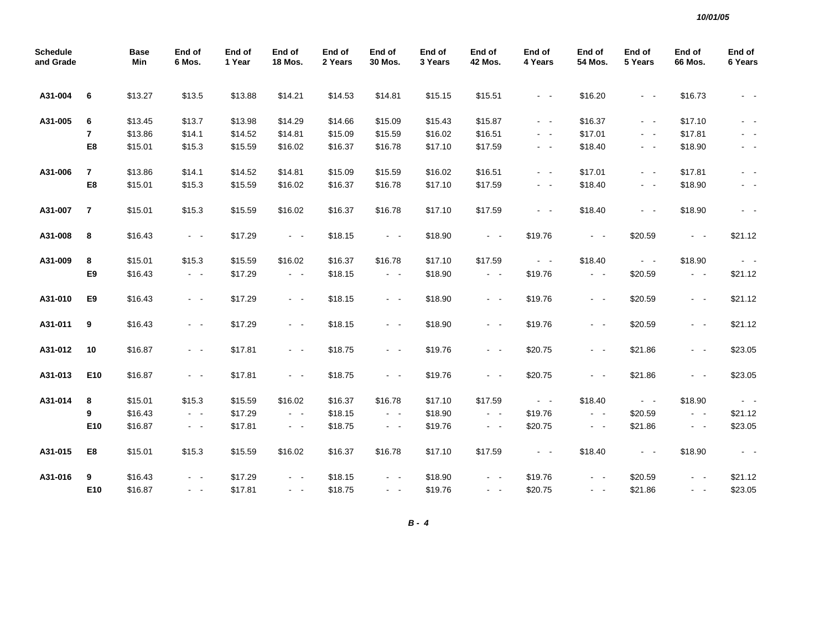| <b>Schedule</b><br>and Grade |                 | <b>Base</b><br>Min | End of<br>6 Mos.        | End of<br>1 Year | End of<br><b>18 Mos.</b> | End of<br>2 Years | End of<br>30 Mos.   | End of<br>3 Years | End of<br><b>42 Mos.</b> | End of<br>4 Years   | End of<br><b>54 Mos.</b> | End of<br>5 Years   | End of<br><b>66 Mos.</b> | End of<br>6 Years |
|------------------------------|-----------------|--------------------|-------------------------|------------------|--------------------------|-------------------|---------------------|-------------------|--------------------------|---------------------|--------------------------|---------------------|--------------------------|-------------------|
| A31-004                      | 6               | \$13.27            | \$13.5                  | \$13.88          | \$14.21                  | \$14.53           | \$14.81             | \$15.15           | \$15.51                  | $\omega_{\rm{max}}$ | \$16.20                  | $\sim$ $ \sim$      | \$16.73                  | $\sim$ $ \sim$    |
| A31-005                      | 6               | \$13.45            | \$13.7                  | \$13.98          | \$14.29                  | \$14.66           | \$15.09             | \$15.43           | \$15.87                  | $\sim$ $ -$         | \$16.37                  | $\sim$ $ -$         | \$17.10                  | $\sim$ $ \sim$    |
|                              | $\overline{7}$  | \$13.86            | \$14.1                  | \$14.52          | \$14.81                  | \$15.09           | \$15.59             | \$16.02           | \$16.51                  | $\sim 100$          | \$17.01                  | $\omega_{\rm{max}}$ | \$17.81                  | $\sim$ $-$        |
|                              | E8              | \$15.01            | \$15.3                  | \$15.59          | \$16.02                  | \$16.37           | \$16.78             | \$17.10           | \$17.59                  | $\sim$ $ \sim$      | \$18.40                  | $\sim$ $ \sim$      | \$18.90                  | $\sim$ $-$        |
| A31-006                      | $\overline{7}$  | \$13.86            | \$14.1                  | \$14.52          | \$14.81                  | \$15.09           | \$15.59             | \$16.02           | \$16.51                  | $\sim$ $ -$         | \$17.01                  | $\sim$ $ -$         | \$17.81                  | $\sim$ $-$        |
|                              | E8              | \$15.01            | \$15.3                  | \$15.59          | \$16.02                  | \$16.37           | \$16.78             | \$17.10           | \$17.59                  | $\sim$ $-$          | \$18.40                  | $\sim$ $ \sim$      | \$18.90                  | $\sim$ $-$        |
| A31-007                      | $\overline{7}$  | \$15.01            | \$15.3                  | \$15.59          | \$16.02                  | \$16.37           | \$16.78             | \$17.10           | \$17.59                  | $\sim$ $ \sim$      | \$18.40                  | $\sim$ $ -$         | \$18.90                  | $\sim$ $-$        |
| A31-008                      | 8               | \$16.43            | $\sigma_{\rm{eff}}=0.5$ | \$17.29          | $\sim$ $ \sim$           | \$18.15           | $\sim$ $ \sim$      | \$18.90           | $\omega_{\rm{max}}$      | \$19.76             | $\sim$ $ \sim$           | \$20.59             | $\sim$ $ \sim$           | \$21.12           |
| A31-009                      | 8               | \$15.01            | \$15.3                  | \$15.59          | \$16.02                  | \$16.37           | \$16.78             | \$17.10           | \$17.59                  | $\sim$ $ \sim$      | \$18.40                  | $\sim 100$          | \$18.90                  | $\sim 100$        |
|                              | E9              | \$16.43            | $\sim$ $ \sim$          | \$17.29          | $\sim 100$               | \$18.15           | $\sim 100$          | \$18.90           | $\omega_{\rm{max}}$      | \$19.76             | $\sim$ $ \sim$           | \$20.59             | $\sim 100$               | \$21.12           |
| A31-010                      | E9              | \$16.43            | $\sim$ $ -$             | \$17.29          | $\sim 100$               | \$18.15           | $\sim 100$          | \$18.90           | $\sim$ $ \sim$           | \$19.76             | $\sim$ $ \sim$           | \$20.59             | $\sim 100$               | \$21.12           |
| A31-011                      | 9               | \$16.43            | $\sim$ $ -$             | \$17.29          | $\sim$ $ \sim$           | \$18.15           | $\sim$ $ \sim$      | \$18.90           | $\sim$ $ \sim$           | \$19.76             | $\omega_{\rm{max}}$      | \$20.59             | $\sim$ $ \sim$           | \$21.12           |
| A31-012                      | 10              | \$16.87            | $\omega_{\rm{max}}$     | \$17.81          | $\sim 100$               | \$18.75           | $\sim 100$          | \$19.76           | $\omega_{\rm{max}}$      | \$20.75             | $\omega_{\rm{max}}$      | \$21.86             | $\sim 100$               | \$23.05           |
| A31-013                      | E10             | \$16.87            | $\sim 100$              | \$17.81          | $\sim 100$               | \$18.75           | $\omega_{\rm{max}}$ | \$19.76           | $\omega_{\rm{max}}$      | \$20.75             | $\sim$ $ \sim$           | \$21.86             | $\sim 100$               | \$23.05           |
| A31-014                      | 8               | \$15.01            | \$15.3                  | \$15.59          | \$16.02                  | \$16.37           | \$16.78             | \$17.10           | \$17.59                  | $\sim$ $ \sim$      | \$18.40                  | $\sim 100$          | \$18.90                  | $\sim 100$        |
|                              | 9               | \$16.43            | $\sim$ $ \sim$          | \$17.29          | $\sim$ $ \sim$           | \$18.15           | $\sim 100$          | \$18.90           | $\sim$ $ \sim$           | \$19.76             | $\sim$ $ \sim$           | \$20.59             | $\sim 100$               | \$21.12           |
|                              | E10             | \$16.87            | $\sim$ $ \sim$          | \$17.81          | $\omega_{\rm{max}}$      | \$18.75           | $\sim$ $ \sim$      | \$19.76           | $\sim$ $ \sim$           | \$20.75             | $\sim$ $ -$              | \$21.86             | $\sim$ $ \sim$           | \$23.05           |
| A31-015                      | E8              | \$15.01            | \$15.3                  | \$15.59          | \$16.02                  | \$16.37           | \$16.78             | \$17.10           | \$17.59                  | $\sim 100$          | \$18.40                  | $\sim$ $ \sim$      | \$18.90                  | $\sim 100$        |
| A31-016                      | 9               | \$16.43            | $\sim$ $ \sim$          | \$17.29          | $\sim$ $ \sim$           | \$18.15           | $\sim 100$          | \$18.90           | $\sim$ $ \sim$           | \$19.76             | $\sim$ $ -$              | \$20.59             | $\sim$ $ -$              | \$21.12           |
|                              | E <sub>10</sub> | \$16.87            | $\omega_{\rm{eff}}$     | \$17.81          | $\omega_{\rm{max}}$      | \$18.75           | $\sim 100$          | \$19.76           | $\omega_{\rm{max}}$      | \$20.75             | $\omega_{\rm{max}}$      | \$21.86             | $\sim$ $ \sim$           | \$23.05           |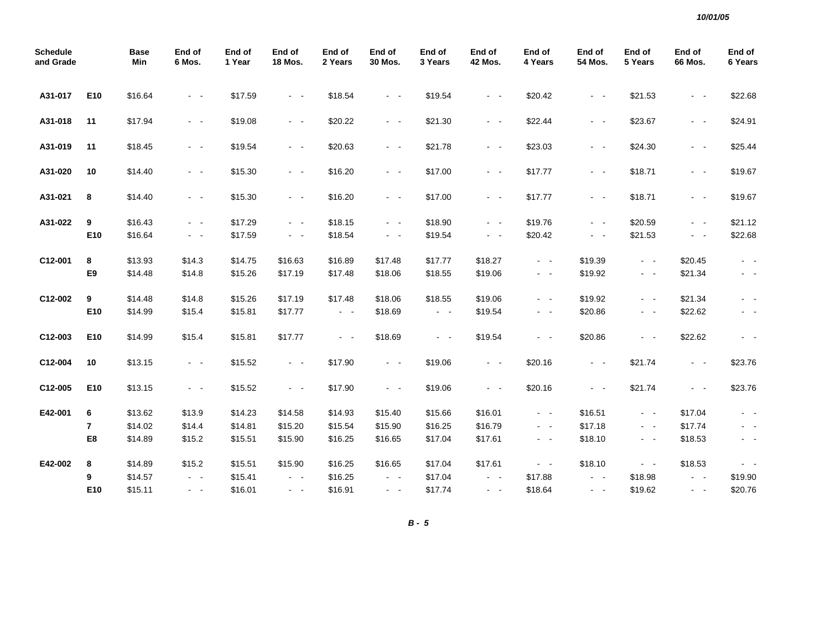| <b>Schedule</b><br>and Grade |     | <b>Base</b><br>Min | End of<br>6 Mos.    | End of<br>1 Year | End of<br><b>18 Mos.</b> | End of<br>2 Years   | End of<br>30 Mos.   | End of<br>3 Years   | End of<br><b>42 Mos.</b> | End of<br>4 Years       | End of<br>54 Mos.   | End of<br>5 Years   | End of<br>66 Mos. | End of<br>6 Years |
|------------------------------|-----|--------------------|---------------------|------------------|--------------------------|---------------------|---------------------|---------------------|--------------------------|-------------------------|---------------------|---------------------|-------------------|-------------------|
| A31-017                      | E10 | \$16.64            | $\sim 100$          | \$17.59          | $\omega_{\rm{max}}$      | \$18.54             | $\sim$ $ \sim$      | \$19.54             | $\sim 100$               | \$20.42                 | $\omega_{\rm{max}}$ | \$21.53             | $\sim$ $ \sim$    | \$22.68           |
| A31-018                      | 11  | \$17.94            | $\sim$ $ -$         | \$19.08          | $\sim$ $ \sim$           | \$20.22             | $\sim$ $ \sim$      | \$21.30             | $\sim$ $ \sim$           | \$22.44                 | $\sim 100$          | \$23.67             | $\sim$ $ \sim$    | \$24.91           |
| A31-019                      | 11  | \$18.45            | $\sim$ $\sim$       | \$19.54          | $\omega_{\rm{max}}$      | \$20.63             | $\omega_{\rm{max}}$ | \$21.78             | $\sim$ $ \sim$           | \$23.03                 | $\omega_{\rm{max}}$ | \$24.30             | $\sim$ $ \sim$    | \$25.44           |
| A31-020                      | 10  | \$14.40            | $\sim$              | \$15.30          | $\sim 100$               | \$16.20             | $\omega_{\rm{max}}$ | \$17.00             | $\sim$ $ \sim$           | \$17.77                 | $\omega_{\rm{max}}$ | \$18.71             | $\sim$ $ \sim$    | \$19.67           |
| A31-021                      | 8   | \$14.40            | $\sim$ $ \sim$      | \$15.30          | $\omega_{\rm{max}}$      | \$16.20             | $\sim$ $ \sim$      | \$17.00             | $\sim$ $ \sim$           | \$17.77                 | $\sim$ $ \sim$      | \$18.71             | $\sim$ $ \sim$    | \$19.67           |
| A31-022                      | 9   | \$16.43            | $\sim$ $ -$         | \$17.29          | $\sim$ $ \sim$           | \$18.15             | $\sim$ $ \sim$      | \$18.90             | $\sim$ $ \sim$           | \$19.76                 | $\sim$ $ -$         | \$20.59             | $\sim$ $ \sim$    | \$21.12           |
|                              | E10 | \$16.64            | $\sim$ $ \sim$      | \$17.59          | $\sim 100$               | \$18.54             | $\sim$ $ \sim$      | \$19.54             | $\sim$ $ \sim$           | \$20.42                 | $\sim$ $ \sim$      | \$21.53             | $ -$              | \$22.68           |
| C12-001                      | 8   | \$13.93            | \$14.3              | \$14.75          | \$16.63                  | \$16.89             | \$17.48             | \$17.77             | \$18.27                  | $\sim$ $ \sim$          | \$19.39             | $\sim$ $ -$         | \$20.45           | $\sim$ $-$        |
|                              | E9  | \$14.48            | \$14.8              | \$15.26          | \$17.19                  | \$17.48             | \$18.06             | \$18.55             | \$19.06                  | $\sim$ $ \sim$          | \$19.92             | $\omega_{\rm{max}}$ | \$21.34           | $\sim$ $ -$       |
| C12-002                      | 9   | \$14.48            | \$14.8              | \$15.26          | \$17.19                  | \$17.48             | \$18.06             | \$18.55             | \$19.06                  | $\sim$ $ -$             | \$19.92             | $\sim$ $ \sim$      | \$21.34           |                   |
|                              | E10 | \$14.99            | \$15.4              | \$15.81          | \$17.77                  | $\omega_{\rm{max}}$ | \$18.69             | $\omega_{\rm{max}}$ | \$19.54                  | $\sim$ $ -$             | \$20.86             | $\sim$ $ -$         | \$22.62           | $\sim$ $-$        |
| C12-003                      | E10 | \$14.99            | \$15.4              | \$15.81          | \$17.77                  | $\omega_{\rm{max}}$ | \$18.69             | $\sim 100$          | \$19.54                  | $\sim 100$ km s $^{-1}$ | \$20.86             | $\omega_{\rm{max}}$ | \$22.62           |                   |
| C12-004                      | 10  | \$13.15            | $\omega_{\rm{max}}$ | \$15.52          | $\omega_{\rm{max}}$      | \$17.90             | $\omega_{\rm{max}}$ | \$19.06             | $\sim$ $ \sim$           | \$20.16                 | $\sim 100$          | \$21.74             | $\sim$ $ \sim$    | \$23.76           |
| C12-005                      | E10 | \$13.15            | $\sim$ $ \sim$      | \$15.52          | $\omega_{\rm{max}}$      | \$17.90             | $\omega_{\rm{max}}$ | \$19.06             | $\sim$ $ \sim$           | \$20.16                 | $\omega_{\rm{max}}$ | \$21.74             | $\sim$ $ \sim$    | \$23.76           |
| E42-001                      | 6   | \$13.62            | \$13.9              | \$14.23          | \$14.58                  | \$14.93             | \$15.40             | \$15.66             | \$16.01                  | $\sim$ $ \sim$          | \$16.51             | $\omega_{\rm{max}}$ | \$17.04           | $\sim$ $ \sim$    |
|                              | 7   | \$14.02            | \$14.4              | \$14.81          | \$15.20                  | \$15.54             | \$15.90             | \$16.25             | \$16.79                  | $\omega_{\rm{max}}$     | \$17.18             | $\sim$ $ -$         | \$17.74           |                   |
|                              | E8  | \$14.89            | \$15.2              | \$15.51          | \$15.90                  | \$16.25             | \$16.65             | \$17.04             | \$17.61                  | $\sim 100$              | \$18.10             | $\sim$ $ -$         | \$18.53           | $\sim$ $-$        |
| E42-002                      | 8   | \$14.89            | \$15.2              | \$15.51          | \$15.90                  | \$16.25             | \$16.65             | \$17.04             | \$17.61                  | $\omega_{\rm{max}}$     | \$18.10             | $\omega_{\rm{max}}$ | \$18.53           | $\sim$ $ \sim$    |
|                              | 9   | \$14.57            | $\sim$ $ \sim$      | \$15.41          | $\sim$ $ \sim$           | \$16.25             | $\sim$ $ \sim$      | \$17.04             | $\sim$ $ \sim$           | \$17.88                 | $\sim$ $ \sim$      | \$18.98             | $\sim$ $ -$       | \$19.90           |
|                              | E10 | \$15.11            | $\omega_{\rm{max}}$ | \$16.01          | $\omega_{\rm{max}}$      | \$16.91             | $\sim$ $ \sim$      | \$17.74             | $\omega_{\rm{max}}$      | \$18.64                 | $\sim$ $ \sim$      | \$19.62             | $\sim$ $ \sim$    | \$20.76           |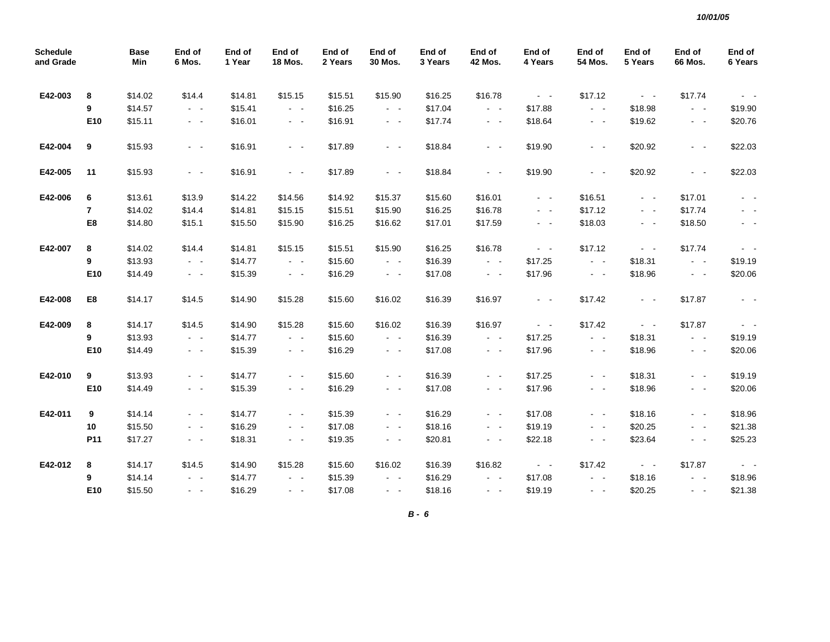| <b>Schedule</b><br>and Grade |                | <b>Base</b><br>Min | End of<br>6 Mos.    | End of<br>1 Year | End of<br>18 Mos.   | End of<br>2 Years | End of<br>30 Mos.                         | End of<br>3 Years | End of<br><b>42 Mos.</b> | End of<br>4 Years           | End of<br>54 Mos.     | End of<br>5 Years                         | End of<br>66 Mos.   | End of<br>6 Years |
|------------------------------|----------------|--------------------|---------------------|------------------|---------------------|-------------------|-------------------------------------------|-------------------|--------------------------|-----------------------------|-----------------------|-------------------------------------------|---------------------|-------------------|
| E42-003                      | 8              | \$14.02            | \$14.4              | \$14.81          | \$15.15             | \$15.51           | \$15.90                                   | \$16.25           | \$16.78                  | $\Delta \phi = \Delta \phi$ | \$17.12               | $\sim 100$                                | \$17.74             | $\sim 100$        |
|                              | 9              | \$14.57            | $\omega_{\rm{max}}$ | \$15.41          | $\omega_{\rm{max}}$ | \$16.25           | $\omega_{\rm{max}}$                       | \$17.04           | $\omega_{\rm{max}}$      | \$17.88                     | $\omega_{\rm{max}}$   | \$18.98                                   | $\sim$ $ \sim$      | \$19.90           |
|                              | E10            | \$15.11            | $\omega_{\rm{max}}$ | \$16.01          | $\omega_{\rm{eff}}$ | \$16.91           | $\omega_{\rm{eff}}$ , $\omega_{\rm{eff}}$ | \$17.74           | $\omega_{\rm{max}}$      | \$18.64                     | $\sim$ $ -$           | \$19.62                                   | $\omega_{\rm{max}}$ | \$20.76           |
| E42-004                      | 9              | \$15.93            | $\omega_{\rm{max}}$ | \$16.91          | $\omega_{\rm{max}}$ | \$17.89           | $\omega_{\rm{max}}$                       | \$18.84           | $\omega_{\rm{eff}}$      | \$19.90                     | $\sim$ $ \sim$        | \$20.92                                   | $\omega_{\rm{max}}$ | \$22.03           |
| E42-005                      | 11             | \$15.93            | $\sim$ $ -$         | \$16.91          | $\sim$ $ \sim$      | \$17.89           | $\sim$ $ \sim$                            | \$18.84           | $\sim$ $ \sim$           | \$19.90                     | $\sim$ $ \sim$        | \$20.92                                   | $\sim$ $ -$         | \$22.03           |
| E42-006                      | 6              | \$13.61            | \$13.9              | \$14.22          | \$14.56             | \$14.92           | \$15.37                                   | \$15.60           | \$16.01                  | $\sim$ $ \sim$              | \$16.51               | $\sim 100$                                | \$17.01             | $\sim$ $ \sim$    |
|                              | $\overline{7}$ | \$14.02            | \$14.4              | \$14.81          | \$15.15             | \$15.51           | \$15.90                                   | \$16.25           | \$16.78                  | $\sim$ $ -$                 | \$17.12               | $\sim$ $ \sim$                            | \$17.74             | $\sim$ $ -$       |
|                              | E8             | \$14.80            | \$15.1              | \$15.50          | \$15.90             | \$16.25           | \$16.62                                   | \$17.01           | \$17.59                  | $\sim$ $ \sim$              | \$18.03               | $\omega_{\rm{max}}$                       | \$18.50             | $\sim$ $-$        |
| E42-007                      | 8              | \$14.02            | \$14.4              | \$14.81          | \$15.15             | \$15.51           | \$15.90                                   | \$16.25           | \$16.78                  | $\sim$ $ \sim$              | \$17.12               | $\omega_{\rm{max}}$                       | \$17.74             | $\sim 100$        |
|                              | 9              | \$13.93            | $\omega_{\rm{max}}$ | \$14.77          | $\sim$ $ \sim$      | \$15.60           | $\omega_{\rm{max}}$                       | \$16.39           | $\omega_{\rm{max}}$      | \$17.25                     | $\omega_{\rm{max}}$   | \$18.31                                   | $\sim$ $ -$         | \$19.19           |
|                              | E10            | \$14.49            | $\sim$ $ -$         | \$15.39          | $\omega_{\rm{max}}$ | \$16.29           | $\sim$ $ \sim$                            | \$17.08           | $\omega_{\rm{max}}$      | \$17.96                     | $\sim$ $ \sim$        | \$18.96                                   | $\sim$ $ \sim$      | \$20.06           |
| E42-008                      | E8             | \$14.17            | \$14.5              | \$14.90          | \$15.28             | \$15.60           | \$16.02                                   | \$16.39           | \$16.97                  | $\sim$ $ \sim$              | \$17.42               | $\sim 100$                                | \$17.87             | $\sim$ $-$        |
| E42-009                      | 8              | \$14.17            | \$14.5              | \$14.90          | \$15.28             | \$15.60           | \$16.02                                   | \$16.39           | \$16.97                  | $\omega_{\rm{max}}$         | \$17.42               | $\omega_{\rm{eff}}$ , $\omega_{\rm{eff}}$ | \$17.87             | $\sim$ $ \sim$    |
|                              | 9              | \$13.93            | $\sim$ $ -$         | \$14.77          | $\omega_{\rm{max}}$ | \$15.60           | $\omega_{\rm{max}}$                       | \$16.39           | $\omega_{\rm{max}}$      | \$17.25                     | $\omega_{\rm{max}}$   | \$18.31                                   | $\omega_{\rm{max}}$ | \$19.19           |
|                              | E10            | \$14.49            | $\sim$ $ \sim$      | \$15.39          | $\omega_{\rm{eff}}$ | \$16.29           | $\sim$ $ \sim$                            | \$17.08           | $\omega_{\rm{max}}$      | \$17.96                     | $\sim$ $ \sim$        | \$18.96                                   | $\omega_{\rm{max}}$ | \$20.06           |
| E42-010                      | 9              | \$13.93            | $\sim$ $ -$         | \$14.77          | $\sim$ $ \sim$      | \$15.60           | $\sim$ $ \sim$                            | \$16.39           | $\sim$ $ -$              | \$17.25                     | $\sim$ $ -$           | \$18.31                                   | $\omega_{\rm{max}}$ | \$19.19           |
|                              | E10            | \$14.49            | $\sim$ $-$          | \$15.39          | $\sigma_{\rm{max}}$ | \$16.29           | $\sim$ $ \sim$                            | \$17.08           | $\sim$ $-$               | \$17.96                     | $\sim$ $ -$           | \$18.96                                   | $\sim$ $ -$         | \$20.06           |
| E42-011                      | 9              | \$14.14            | $\sim$ $ \sim$      | \$14.77          | $\sim$ $ \sim$      | \$15.39           | $\sim$ $ \sim$                            | \$16.29           | $\sim$ $ -$              | \$17.08                     | $\sim$ $ \sim$        | \$18.16                                   | $\sim$ $ -$         | \$18.96           |
|                              | 10             | \$15.50            | $\sim$ $ -$         | \$16.29          | $\sim$ $ \sim$      | \$17.08           | $\sim$ $ \sim$                            | \$18.16           | $\sim$ $ -$              | \$19.19                     | $\sim$ $ \sim$        | \$20.25                                   | $\omega_{\rm{max}}$ | \$21.38           |
|                              | P11            | \$17.27            | $\sim$ $ -$         | \$18.31          | $\omega_{\rm{max}}$ | \$19.35           | $\omega_{\rm{max}}$                       | \$20.81           | $\sim$ $ -$              | \$22.18                     | $\sim$ $ \sim$        | \$23.64                                   | $\omega_{\rm{max}}$ | \$25.23           |
| E42-012                      | 8              | \$14.17            | \$14.5              | \$14.90          | \$15.28             | \$15.60           | \$16.02                                   | \$16.39           | \$16.82                  | $\sim 100$                  | \$17.42               | $\sim 100$                                | \$17.87             | $\sim 100$        |
|                              | 9              | \$14.14            | $\omega_{\rm{max}}$ | \$14.77          | $\sim$ $ \sim$      | \$15.39           | $\sim$ $ -$                               | \$16.29           | $\sim$ $ -$              | \$17.08                     | $\omega_{\rm{eff}}$ . | \$18.16                                   | $\omega_{\rm{max}}$ | \$18.96           |
|                              | E10            | \$15.50            | $\omega_{\rm{max}}$ | \$16.29          | $\sim 100$          | \$17.08           | $\omega_{\rm{max}}$                       | \$18.16           | $\sim$ $ -$              | \$19.19                     | $\sim 100$            | \$20.25                                   | $\omega_{\rm{max}}$ | \$21.38           |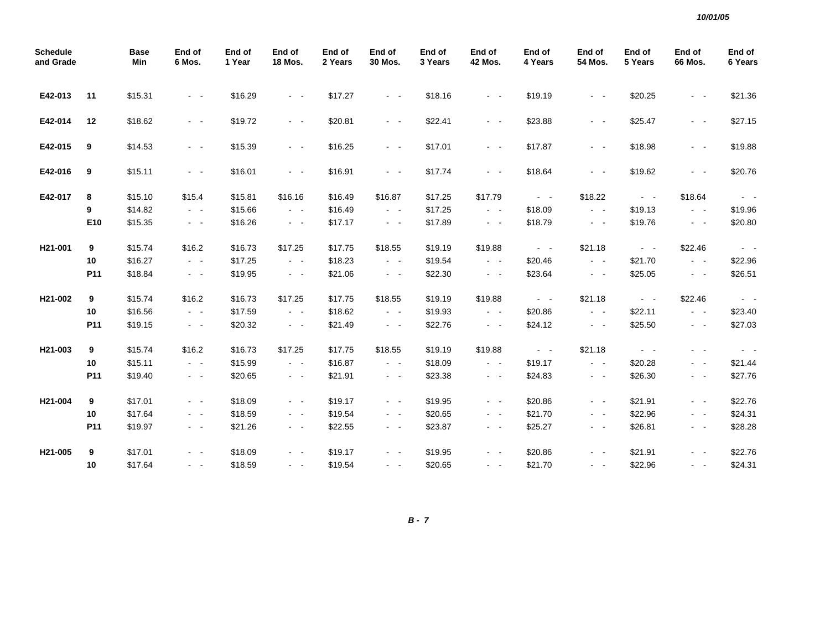| <b>Schedule</b><br>and Grade |     | <b>Base</b><br>Min | End of<br>6 Mos.                          | End of<br>1 Year | End of<br><b>18 Mos.</b> | End of<br>2 Years | End of<br>30 Mos.       | End of<br>3 Years | End of<br><b>42 Mos.</b> | End of<br>4 Years   | End of<br>54 Mos.     | End of<br>5 Years   | End of<br>66 Mos.   | End of<br>6 Years |
|------------------------------|-----|--------------------|-------------------------------------------|------------------|--------------------------|-------------------|-------------------------|-------------------|--------------------------|---------------------|-----------------------|---------------------|---------------------|-------------------|
| E42-013                      | 11  | \$15.31            | $\sim$ $ -$                               | \$16.29          | $\sim$ $ \sim$           | \$17.27           | $\omega_{\rm{max}}$     | \$18.16           | $\sim 100$               | \$19.19             | $\sim 100$            | \$20.25             | $\sim$ $ \sim$      | \$21.36           |
| E42-014                      | 12  | \$18.62            | $\sim$ $ -$                               | \$19.72          | $\omega_{\rm{max}}$      | \$20.81           | $\omega_{\rm{max}}$     | \$22.41           | $\sim 100$               | \$23.88             | $\sim$ $ \sim$        | \$25.47             | $\sim 100$          | \$27.15           |
| E42-015                      | 9   | \$14.53            | $\sim$ $ -$                               | \$15.39          | $\sim 100$ km s $^{-1}$  | \$16.25           | $\sim 100$              | \$17.01           | $\omega_{\rm{max}}$      | \$17.87             | $\sim 100$ km $^{-1}$ | \$18.98             | $\sim$ $ \sim$      | \$19.88           |
| E42-016                      | 9   | \$15.11            | $\sim$ $ \sim$                            | \$16.01          | $\omega_{\rm{max}}$      | \$16.91           | $\omega_{\rm{max}}$     | \$17.74           | $\sim$ $ \sim$           | \$18.64             | $\sim$ $ \sim$        | \$19.62             | $\sim$ $ \sim$      | \$20.76           |
| E42-017                      | 8   | \$15.10            | \$15.4                                    | \$15.81          | \$16.16                  | \$16.49           | \$16.87                 | \$17.25           | \$17.79                  | $\omega_{\rm{max}}$ | \$18.22               | $\omega_{\rm{max}}$ | \$18.64             | $\sim$ $ \sim$    |
|                              | 9   | \$14.82            | $\sim$ $-$                                | \$15.66          | $\sim$ $ -$              | \$16.49           | $\sim$ $ \sim$          | \$17.25           | $\omega_{\rm{max}}$      | \$18.09             | $\sim 100$            | \$19.13             | $\sim$ $ \sim$      | \$19.96           |
|                              | E10 | \$15.35            | $\sim$ $-$                                | \$16.26          | $\omega_{\rm{max}}$      | \$17.17           | $\omega_{\rm{max}}$     | \$17.89           | $\omega_{\rm{max}}$      | \$18.79             | $\sim$ $ \sim$        | \$19.76             | $\sigma_{\rm{max}}$ | \$20.80           |
| H21-001                      | 9   | \$15.74            | \$16.2                                    | \$16.73          | \$17.25                  | \$17.75           | \$18.55                 | \$19.19           | \$19.88                  | $\sim$ $ \sim$      | \$21.18               | $\sim 100$          | \$22.46             | $\sim$ $ \sim$    |
|                              | 10  | \$16.27            | $\omega_{\rm{max}}$                       | \$17.25          | $\sim$ $ \sim$           | \$18.23           | $\omega_{\rm{max}}$     | \$19.54           | $\sim 100$               | \$20.46             | $\sim 100$            | \$21.70             | $\sim$ $ \sim$      | \$22.96           |
|                              | P11 | \$18.84            | $\sim$ $ -$                               | \$19.95          | $\sim 100$               | \$21.06           | $\omega_{\rm{max}}$     | \$22.30           | $\sim$ $ \sim$           | \$23.64             | $\sim 100$            | \$25.05             | $\sigma_{\rm{max}}$ | \$26.51           |
| H21-002                      | 9   | \$15.74            | \$16.2                                    | \$16.73          | \$17.25                  | \$17.75           | \$18.55                 | \$19.19           | \$19.88                  | $\Delta \phi = 0.1$ | \$21.18               | $\sim 100$          | \$22.46             | $\sim$ $ \sim$    |
|                              | 10  | \$16.56            | $\sim 100$                                | \$17.59          | $\omega_{\rm{max}}$      | \$18.62           | $\omega_{\rm{max}}$     | \$19.93           | $\omega_{\rm{max}}$      | \$20.86             | $\omega_{\rm{max}}$   | \$22.11             | $\omega_{\rm{max}}$ | \$23.40           |
|                              | P11 | \$19.15            | $\omega_{\rm{eff}}$                       | \$20.32          | $\sim$ $ \sim$           | \$21.49           | $\sim$ $ -$             | \$22.76           | $\sim$ $ \sim$           | \$24.12             | $\sim 100$            | \$25.50             | $\sim$ $ \sim$      | \$27.03           |
| H21-003                      | 9   | \$15.74            | \$16.2                                    | \$16.73          | \$17.25                  | \$17.75           | \$18.55                 | \$19.19           | \$19.88                  | $\omega_{\rm{max}}$ | \$21.18               | $\sim 100$          | $\sim$ $ \sim$      | $\sim$ $ \sim$    |
|                              | 10  | \$15.11            | $\sim$ $ \sim$                            | \$15.99          | $\omega_{\rm{max}}$      | \$16.87           | $\omega_{\rm{max}}$     | \$18.09           | $\sim 100$               | \$19.17             | $\sim 100$            | \$20.28             | $\sim 100$          | \$21.44           |
|                              | P11 | \$19.40            | $\sigma_{\rm{eff}}$ , $\sigma_{\rm{eff}}$ | \$20.65          | $\sigma_{\rm{max}}$      | \$21.91           | $\sigma_{\rm{max}}$     | \$23.38           | $\sim$ $ \sim$           | \$24.83             | $\sim$ $ \sim$        | \$26.30             | $\sim$ $ \sim$      | \$27.76           |
| H21-004                      | 9   | \$17.01            | $\sim$ $ -$                               | \$18.09          | $\sim 100$               | \$19.17           | $\omega_{\rm{max}}$     | \$19.95           | $\omega_{\rm{max}}$      | \$20.86             | $\omega_{\rm{max}}$   | \$21.91             | $\sim$ $ \sim$      | \$22.76           |
|                              | 10  | \$17.64            | $\sim$ 10 $\pm$                           | \$18.59          | $\sim$ $ \sim$           | \$19.54           | $\sim$ $ \sim$          | \$20.65           | $\sim$ $ \sim$           | \$21.70             | $\sim 100$            | \$22.96             | $\sim$ $ -$         | \$24.31           |
|                              | P11 | \$19.97            | $\sim$ $ -$                               | \$21.26          | $\omega_{\rm{max}}$      | \$22.55           | $\omega_{\rm{max}}$     | \$23.87           | $\sim 100$               | \$25.27             | $\sim$ $ -$           | \$26.81             | $\sim 100$          | \$28.28           |
| H21-005                      | 9   | \$17.01            | $\sim$                                    | \$18.09          | $\sim 100$               | \$19.17           | $\sim$ $ -$             | \$19.95           | $\sim$ $ -$              | \$20.86             | $\sim$ $ -$           | \$21.91             | $\sim$ $ \sim$      | \$22.76           |
|                              | 10  | \$17.64            | $\sim$ $ -$                               | \$18.59          | $\sim 100$ km s $^{-1}$  | \$19.54           | $\sim 100$ km s $^{-1}$ | \$20.65           | $\sim$ $ -$              | \$21.70             | $\sim 100$            | \$22.96             | $\sim 100$          | \$24.31           |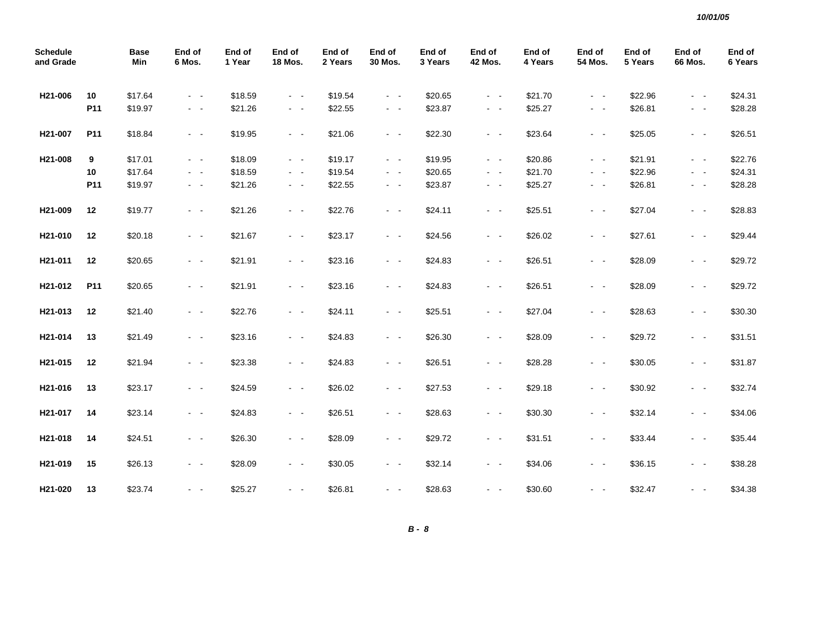| <b>Schedule</b><br>and Grade |                 | <b>Base</b><br>Min | End of<br>6 Mos.        | End of<br>1 Year | End of<br><b>18 Mos.</b> | End of<br>2 Years | End of<br>30 Mos.       | End of<br>3 Years | End of<br><b>42 Mos.</b> | End of<br>4 Years | End of<br><b>54 Mos.</b> | End of<br>5 Years | End of<br>66 Mos.   | End of<br>6 Years |
|------------------------------|-----------------|--------------------|-------------------------|------------------|--------------------------|-------------------|-------------------------|-------------------|--------------------------|-------------------|--------------------------|-------------------|---------------------|-------------------|
| H21-006                      | 10              | \$17.64            | $\sim 100$ km s $^{-1}$ | \$18.59          | $\sim$ $ \sim$           | \$19.54           | $\sim 100$              | \$20.65           | $\sim 100$               | \$21.70           | $\sim 100$ km s $^{-1}$  | \$22.96           | $\sim 100$          | \$24.31           |
|                              | P11             | \$19.97            | $\omega_{\rm{eff}}=0.1$ | \$21.26          | $\omega_{\rm{max}}$      | \$22.55           | $\omega_{\rm{max}}$     | \$23.87           | $\sim$ $ -$              | \$25.27           | $\sim$ $ -$              | \$26.81           | $\sim 100$          | \$28.28           |
| H21-007                      | P11             | \$18.84            | $\sim 100$              | \$19.95          | $\omega_{\rm{max}}$      | \$21.06           | $\omega_{\rm{max}}$     | \$22.30           | $\sim$ $ \sim$           | \$23.64           | $\sim$ $ -$              | \$25.05           | $\sim$ $ \sim$      | \$26.51           |
| H21-008                      | 9               | \$17.01            | $\omega_{\rm{max}}$     | \$18.09          | $\omega_{\rm{max}}$      | \$19.17           | $\omega_{\rm{max}}$     | \$19.95           | $\sim$ $ -$              | \$20.86           | $\sim$ $ -$              | \$21.91           | $\omega_{\rm{max}}$ | \$22.76           |
|                              | 10              | \$17.64            | $\sim$ $ -$             | \$18.59          | $\sim$ $ \sim$           | \$19.54           | $\sim$ $ \sim$          | \$20.65           | $\sim$ $ -$              | \$21.70           | $\sim$ $ -$              | \$22.96           | $ -$                | \$24.31           |
|                              | P11             | \$19.97            | $\sim$ $ \sim$          | \$21.26          | $\omega_{\rm{max}}$      | \$22.55           | $\sim$ $ \sim$          | \$23.87           | $\sim$ $ \sim$           | \$25.27           | $\sim$ $ \sim$           | \$26.81           | $\sim$ $ \sim$      | \$28.28           |
| H21-009                      | 12              | \$19.77            | $\omega_{\rm{max}}$     | \$21.26          | $\sim$ $ \sim$           | \$22.76           | $\sim$ $ \sim$          | \$24.11           | $\omega_{\rm{max}}$      | \$25.51           | $\omega_{\rm{eff}}$      | \$27.04           | $\omega_{\rm{max}}$ | \$28.83           |
| H21-010                      | 12              | \$20.18            | $\sim$ $ \sim$          | \$21.67          | $\sim$ $ \sim$           | \$23.17           | $\sim$ $ \sim$          | \$24.56           | $\sim$ $ \sim$           | \$26.02           | $\sim$ $ \sim$           | \$27.61           | $\sim$ $ \sim$      | \$29.44           |
| H21-011                      | 12              | \$20.65            | $\sim$ $ \sim$          | \$21.91          | $\sim$ $ \sim$           | \$23.16           | $\sim$ $ \sim$          | \$24.83           | $\sim$ $ \sim$           | \$26.51           | $\sim$ $ \sim$           | \$28.09           | $ -$                | \$29.72           |
| H21-012                      | P <sub>11</sub> | \$20.65            | $\sim$ $ \sim$          | \$21.91          | $\sim$ $ \sim$           | \$23.16           | $\sim$ $ \sim$          | \$24.83           | $\sim$ $ \sim$           | \$26.51           | $\sim$ $ \sim$           | \$28.09           | $ -$                | \$29.72           |
| H21-013                      | 12              | \$21.40            | $\sim 100$ km s $^{-1}$ | \$22.76          | $\sim 100$ km s $^{-1}$  | \$24.11           | $\sim 100$ km s $^{-1}$ | \$25.51           | $\sim 100$ km s $^{-1}$  | \$27.04           | $\sim 100$ km s $^{-1}$  | \$28.63           | $\sim$ $ \sim$      | \$30.30           |
| H21-014                      | 13              | \$21.49            | $\sim$ $ \sim$          | \$23.16          | $\omega_{\rm{max}}$      | \$24.83           | $\omega_{\rm{max}}$     | \$26.30           | $\sim$ $ -$              | \$28.09           | $\sim$ $ -$              | \$29.72           | $\omega_{\rm{max}}$ | \$31.51           |
| H21-015                      | 12              | \$21.94            | $\sim$ $ -$             | \$23.38          | $\omega_{\rm{max}}$      | \$24.83           | $\sim 100$              | \$26.51           | $\sim$ $ -$              | \$28.28           | $\sim$ $ -$              | \$30.05           | $\omega_{\rm{max}}$ | \$31.87           |
| H21-016                      | 13              | \$23.17            | $\sim$ $ \sim$          | \$24.59          | $\sim$ $ \sim$           | \$26.02           | $\sim$ $ \sim$          | \$27.53           | $\sim$ $ -$              | \$29.18           | $\sim$ $ \sim$           | \$30.92           | $\sim$ $ \sim$      | \$32.74           |
| H21-017                      | 14              | \$23.14            | $\sim$ $ \sim$          | \$24.83          | $\omega_{\rm{max}}$      | \$26.51           | $\sim$ $ -$             | \$28.63           | $\omega_{\rm{max}}$      | \$30.30           | $\sim$ $ -$              | \$32.14           | $\sim$ $ \sim$      | \$34.06           |
| H21-018                      | 14              | \$24.51            | $\sim$ $ -$             | \$26.30          | $\sim 100$ km s $^{-1}$  | \$28.09           | $\sim$ $ \sim$          | \$29.72           | $\sim 100$ km s $^{-1}$  | \$31.51           | $\sim$ $ -$              | \$33.44           | $\sim$ $ \sim$      | \$35.44           |
| H21-019                      | 15              | \$26.13            | $\sim$ $ -$             | \$28.09          | $\sim$ $ \sim$           | \$30.05           | $\sim$ $ \sim$          | \$32.14           | $\sim$ $ -$              | \$34.06           | $\sim$ $ \sim$           | \$36.15           | $\sim$ $ \sim$      | \$38.28           |
| H21-020                      | 13              | \$23.74            | $\sim 100$              | \$25.27          | $\omega_{\rm{max}}$      | \$26.81           | $\sim$ $ \sim$          | \$28.63           | $\sim$ $ \sim$           | \$30.60           | $\sim 100$ km s $^{-1}$  | \$32.47           | $\sim$ $\sim$       | \$34.38           |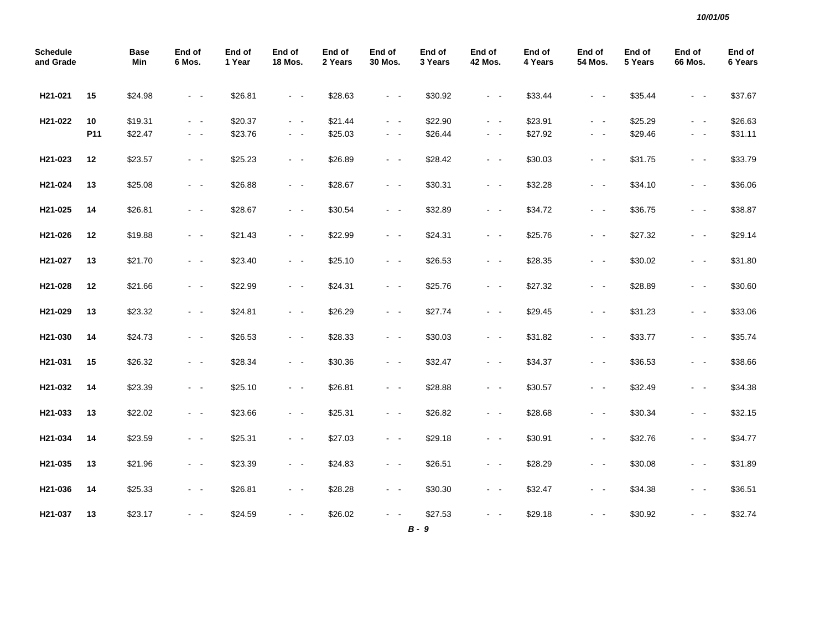| <b>Schedule</b><br>and Grade |      | <b>Base</b><br>Min | End of<br>6 Mos. | End of<br>1 Year | End of<br><b>18 Mos.</b> | End of<br>2 Years | End of<br>30 Mos.   | End of<br>3 Years | End of<br><b>42 Mos.</b> | End of<br>4 Years | End of<br><b>54 Mos.</b> | End of<br>5 Years | End of<br>66 Mos.   | End of<br>6 Years |
|------------------------------|------|--------------------|------------------|------------------|--------------------------|-------------------|---------------------|-------------------|--------------------------|-------------------|--------------------------|-------------------|---------------------|-------------------|
| H21-021                      | 15   | \$24.98            | $\sim$ $ \sim$   | \$26.81          | $\sim$ $ \sim$           | \$28.63           | $\sim$ $ \sim$      | \$30.92           | $\omega_{\rm{max}}$      | \$33.44           | $\sim$ $ -$              | \$35.44           | $\sim$ $ \sim$      | \$37.67           |
| H21-022                      | 10   | \$19.31            | $\sim$ $ \sim$   | \$20.37          | $\omega_{\rm{max}}$      | \$21.44           | $\sim$ $ \sim$      | \$22.90           | $\sim 100$               | \$23.91           | $\sim 100$ km s $^{-1}$  | \$25.29           | $\omega_{\rm{max}}$ | \$26.63           |
|                              | P11  | \$22.47            | $\sim$ $ -$      | \$23.76          | $\sim$ $ \sim$           | \$25.03           | $\sim$ $ \sim$      | \$26.44           | $\omega_{\rm{max}}$      | \$27.92           | $\omega_{\rm{max}}$      | \$29.46           | $\omega_{\rm{max}}$ | \$31.11           |
| H21-023                      | $12$ | \$23.57            | $\sim$ $ \sim$   | \$25.23          | $\sim$ $ -$              | \$26.89           | $\sim$ $ \sim$      | \$28.42           | $\omega_{\rm{max}}$      | \$30.03           | $\omega_{\rm{max}}$      | \$31.75           | $\sim$ $ \sim$      | \$33.79           |
| H21-024                      | 13   | \$25.08            | $\sim$ $ \sim$   | \$26.88          | $\omega_{\rm{max}}$      | \$28.67           | $\sim$ $ \sim$      | \$30.31           | $\sim 100$               | \$32.28           | $\sim$ $ \sim$           | \$34.10           | $\sim$ $ \sim$      | \$36.06           |
| H21-025                      | 14   | \$26.81            | $\sim$ $ -$      | \$28.67          | $\sim 100$               | \$30.54           | $\sim 100$          | \$32.89           | $\sim 100$ km $^{-1}$    | \$34.72           | $\omega_{\rm{max}}$      | \$36.75           | $\sim$ $ \sim$      | \$38.87           |
| H21-026                      | 12   | \$19.88            | $\sim$ $ -$      | \$21.43          | $\sim$ $ \sim$           | \$22.99           | $\sim$ $ \sim$      | \$24.31           | $\sim 100$               | \$25.76           | $\sim 100$               | \$27.32           | $\sim 100$          | \$29.14           |
| H21-027                      | 13   | \$21.70            | $\sim$ $ -$      | \$23.40          | $\sim$ $ -$              | \$25.10           | $\sim$ $ \sim$      | \$26.53           | $\sim$ $ \sim$           | \$28.35           | $\omega_{\rm{max}}$      | \$30.02           | $\sim$ $ \sim$      | \$31.80           |
| H21-028                      | 12   | \$21.66            | $\sim$ $ -$      | \$22.99          | $\omega_{\rm{max}}$      | \$24.31           | $\sim$ $ \sim$      | \$25.76           | $\sim$ $ \sim$           | \$27.32           | $\omega_{\rm{max}}$      | \$28.89           | $\sim$ $ -$         | \$30.60           |
| H21-029                      | 13   | \$23.32            | $\sim$ $ \sim$   | \$24.81          | $\omega_{\rm{max}}$      | \$26.29           | $\sim$ $ \sim$      | \$27.74           | $\sim 100$               | \$29.45           | $\omega_{\rm{max}}$      | \$31.23           | $\sim$ $ \sim$      | \$33.06           |
| H21-030                      | 14   | \$24.73            | $\sim$ $ \sim$   | \$26.53          | $\sim$ $ \sim$           | \$28.33           | $\sim$ $ \sim$      | \$30.03           | $\sim 100$               | \$31.82           | $\omega_{\rm{max}}$      | \$33.77           | $\sim$ $ \sim$      | \$35.74           |
| H21-031                      | 15   | \$26.32            | $\sim$ $ \sim$   | \$28.34          | $\sim$ $ \sim$           | \$30.36           | $\sim$ $ -$         | \$32.47           | $\sim$ $ \sim$           | \$34.37           | $\sim$ $ \sim$           | \$36.53           | $\sim$ $ \sim$      | \$38.66           |
| H21-032                      | 14   | \$23.39            | $\sim$ $ -$      | \$25.10          | $\omega_{\rm{max}}$      | \$26.81           | $\omega_{\rm{max}}$ | \$28.88           | $\omega_{\rm{max}}$      | \$30.57           | $\sim$ $ \sim$           | \$32.49           | $\sim$ $ \sim$      | \$34.38           |
| H21-033                      | 13   | \$22.02            | $\sim$ $ \sim$   | \$23.66          | $\sim$ $ \sim$           | \$25.31           | $\sim$ $ \sim$      | \$26.82           | $\omega_{\rm{max}}$      | \$28.68           | $\sim$ $ \sim$           | \$30.34           | $\sim$ $ \sim$      | \$32.15           |
| H21-034                      | 14   | \$23.59            | $\sim$ $-$       | \$25.31          | $\omega_{\rm{max}}$      | \$27.03           | $\omega_{\rm{max}}$ | \$29.18           | $\sim 100$               | \$30.91           | $\sim$ $ \sim$           | \$32.76           | $\sim$ $ \sim$      | \$34.77           |
| H21-035                      | 13   | \$21.96            | $\sim$ $ \sim$   | \$23.39          | $\sim$ $ \sim$           | \$24.83           | $\sim$ $ \sim$      | \$26.51           | $\sim$ $ \sim$           | \$28.29           | $\sim 100$               | \$30.08           | $\sim$ $ \sim$      | \$31.89           |
| H21-036                      | 14   | \$25.33            | $\sim$ $ \sim$   | \$26.81          | $\sim$ $ \sim$           | \$28.28           | $\sim$ $ \sim$      | \$30.30           | $\sim$ $ \sim$           | \$32.47           | $\sim$ $ \sim$           | \$34.38           | $\sim$ $ \sim$      | \$36.51           |
| H21-037                      | 13   | \$23.17            | $\sim$ $ \sim$   | \$24.59          | $\sim$ $\sim$            | \$26.02           | $\sim$ $\sim$       | \$27.53           | $\sim$ $ \sim$           | \$29.18           | $\sim 100$               | \$30.92           | $ -$                | \$32.74           |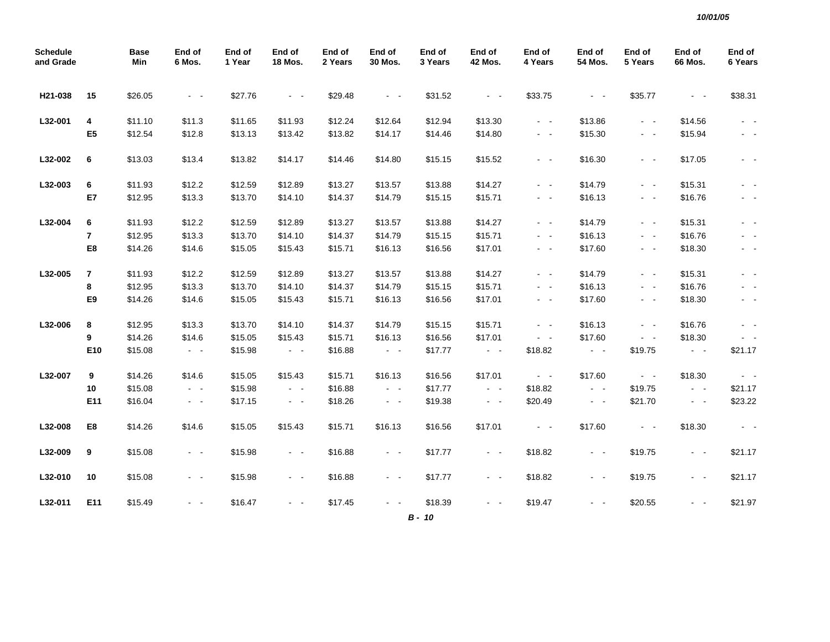| <b>Schedule</b><br>and Grade |                | <b>Base</b><br>Min | End of<br>6 Mos.    | End of<br>1 Year | End of<br><b>18 Mos.</b> | End of<br>2 Years | End of<br>30 Mos.   | End of<br>3 Years | End of<br><b>42 Mos.</b> | End of<br>4 Years          | End of<br>54 Mos. | End of<br>5 Years       | End of<br>66 Mos.   | End of<br>6 Years |
|------------------------------|----------------|--------------------|---------------------|------------------|--------------------------|-------------------|---------------------|-------------------|--------------------------|----------------------------|-------------------|-------------------------|---------------------|-------------------|
| H21-038                      | 15             | \$26.05            | $\sim$ $ -$         | \$27.76          | $\omega_{\rm{max}}$      | \$29.48           | $\sim 100$          | \$31.52           | $\sim 100$ km s $^{-1}$  | \$33.75                    | $\sim$ $ \sim$    | \$35.77                 | $\sim$ $ \sim$      | \$38.31           |
| L32-001                      | 4              | \$11.10            | \$11.3              | \$11.65          | \$11.93                  | \$12.24           | \$12.64             | \$12.94           | \$13.30                  | $\sim$ $ \sim$             | \$13.86           | $\sim 100$              | \$14.56             |                   |
|                              | E <sub>5</sub> | \$12.54            | \$12.8              | \$13.13          | \$13.42                  | \$13.82           | \$14.17             | \$14.46           | \$14.80                  | $\sim$ $ \sim$             | \$15.30           | $\sim$ $ \sim$          | \$15.94             | - -               |
| L32-002                      | 6              | \$13.03            | \$13.4              | \$13.82          | \$14.17                  | \$14.46           | \$14.80             | \$15.15           | \$15.52                  | $\sim$ $ \sim$             | \$16.30           | $\sim$ $ \sim$          | \$17.05             | - -               |
| L32-003                      | 6              | \$11.93            | \$12.2              | \$12.59          | \$12.89                  | \$13.27           | \$13.57             | \$13.88           | \$14.27                  | $\sim$ $ \sim$             | \$14.79           | $\sim$ $ \sim$          | \$15.31             | $\sim$ $ \sim$    |
|                              | E7             | \$12.95            | \$13.3              | \$13.70          | \$14.10                  | \$14.37           | \$14.79             | \$15.15           | \$15.71                  | $\sim$ $ -$                | \$16.13           | $\sim$ $ \sim$          | \$16.76             | $\sim 100$        |
| L32-004                      | 6              | \$11.93            | \$12.2              | \$12.59          | \$12.89                  | \$13.27           | \$13.57             | \$13.88           | \$14.27                  | $\sim$ $ -$                | \$14.79           | $\sim 100$ km s $^{-1}$ | \$15.31             | $\sim$ $ \sim$    |
|                              | $\overline{7}$ | \$12.95            | \$13.3              | \$13.70          | \$14.10                  | \$14.37           | \$14.79             | \$15.15           | \$15.71                  | $\sim$ $-$                 | \$16.13           | $\omega_{\rm{max}}$     | \$16.76             | $\sim$ $ \sim$    |
|                              | E8             | \$14.26            | \$14.6              | \$15.05          | \$15.43                  | \$15.71           | \$16.13             | \$16.56           | \$17.01                  | $\omega_{\rm{max}}$        | \$17.60           | $\sim$ $ \sim$          | \$18.30             | $\sim$ $ \sim$    |
| L32-005                      | $\overline{7}$ | \$11.93            | \$12.2              | \$12.59          | \$12.89                  | \$13.27           | \$13.57             | \$13.88           | \$14.27                  | $\sim$ $ -$                | \$14.79           | $\omega_{\rm{max}}$     | \$15.31             | $\sim$ $-$        |
|                              | 8              | \$12.95            | \$13.3              | \$13.70          | \$14.10                  | \$14.37           | \$14.79             | \$15.15           | \$15.71                  | $\sim$ $-$                 | \$16.13           | $\sim$ $ \sim$          | \$16.76             | $\sim$ $-$        |
|                              | E9             | \$14.26            | \$14.6              | \$15.05          | \$15.43                  | \$15.71           | \$16.13             | \$16.56           | \$17.01                  | $\sim$ $ -$                | \$17.60           | $\sim$ $ \sim$          | \$18.30             | $\sim$ $-$        |
| L32-006                      | 8              | \$12.95            | \$13.3              | \$13.70          | \$14.10                  | \$14.37           | \$14.79             | \$15.15           | \$15.71                  | $\sim$ $ -$                | \$16.13           | $\omega_{\rm{max}}$     | \$16.76             | $\sim$ $ \sim$    |
|                              | 9              | \$14.26            | \$14.6              | \$15.05          | \$15.43                  | \$15.71           | \$16.13             | \$16.56           | \$17.01                  | $\sigma_{\rm{max}}$        | \$17.60           | $\omega_{\rm{max}}$     | \$18.30             | $\sim$ $ -$       |
|                              | E10            | \$15.08            | $\omega_{\rm{max}}$ | \$15.98          | $\omega_{\rm{max}}$      | \$16.88           | $\omega_{\rm{max}}$ | \$17.77           | $\omega_{\rm{max}}$      | \$18.82                    | $\sim$ $ \sim$    | \$19.75                 | $\sim$ $ \sim$      | \$21.17           |
| L32-007                      | 9              | \$14.26            | \$14.6              | \$15.05          | \$15.43                  | \$15.71           | \$16.13             | \$16.56           | \$17.01                  | $\mathcal{L}_{\rm{max}}$ . | \$17.60           | $\sim 100$              | \$18.30             | $\sim 100$        |
|                              | 10             | \$15.08            | $\sim$ $ -$         | \$15.98          | $\sim$ $ \sim$           | \$16.88           | $\sim$ $ \sim$      | \$17.77           | $\sim$ $ \sim$           | \$18.82                    | $\sim$ $ \sim$    | \$19.75                 | $\omega_{\rm{max}}$ | \$21.17           |
|                              | E11            | \$16.04            | $\omega_{\rm{max}}$ | \$17.15          | $\omega_{\rm{max}}$      | \$18.26           | $\sim 100$          | \$19.38           | $\sim$ $ \sim$           | \$20.49                    | $\sim$ $ \sim$    | \$21.70                 | $\omega_{\rm{max}}$ | \$23.22           |
| L32-008                      | E8             | \$14.26            | \$14.6              | \$15.05          | \$15.43                  | \$15.71           | \$16.13             | \$16.56           | \$17.01                  | $\sim 100$                 | \$17.60           | $\sim 100$              | \$18.30             | $\sim 100$        |
| L32-009                      | 9              | \$15.08            | $\sim$ $ \sim$      | \$15.98          | $\sim 100$               | \$16.88           | $\sim$ $ \sim$      | \$17.77           | $\sim$ $ \sim$           | \$18.82                    | $\sim$ $ \sim$    | \$19.75                 | $\sim 100$          | \$21.17           |
| L32-010                      | 10             | \$15.08            | $\sim$ $ \sim$      | \$15.98          | $\sim$ $ \sim$           | \$16.88           | $\sim$ $ \sim$      | \$17.77           | $\sim$ $ \sim$           | \$18.82                    | $\sim$ $ \sim$    | \$19.75                 | $\sim 100$          | \$21.17           |
| L32-011                      | E11            | \$15.49            | $\sim$ $ \sim$      | \$16.47          | $\sim$ $ \sim$           | \$17.45           | $\sim$ $ \sim$      | \$18.39           | $\sim$ $ \sim$           | \$19.47                    | $\sim$ $ \sim$    | \$20.55                 | $\sim$ $ \sim$      | \$21.97           |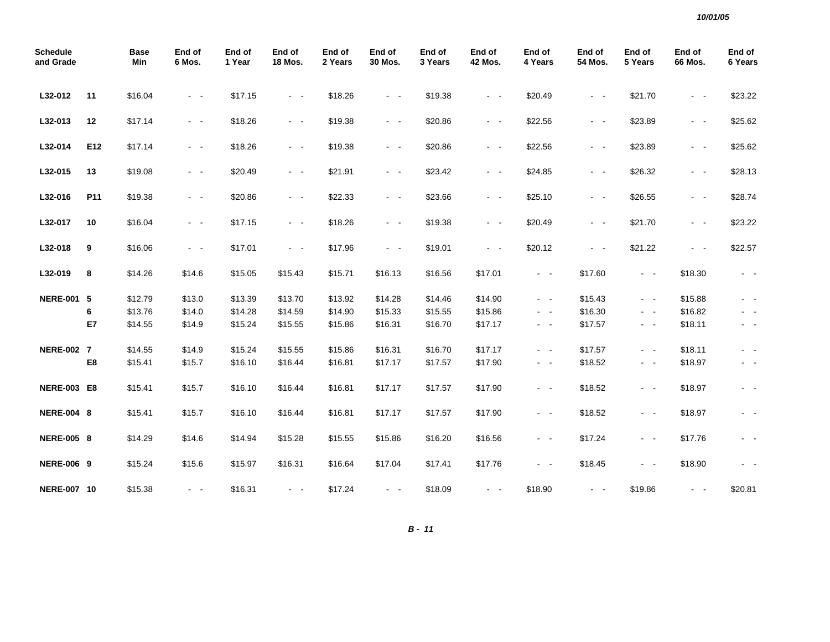| <b>Schedule</b><br>and Grade |     | <b>Base</b><br>Min | End of<br>6 Mos.    | End of<br>1 Year | End of<br><b>18 Mos.</b> | End of<br>2 Years | End of<br>30 Mos.     | End of<br>3 Years | End of<br><b>42 Mos.</b> | End of<br>4 Years | End of<br>54 Mos.   | End of<br>5 Years   | End of<br>66 Mos.   | End of<br>6 Years |
|------------------------------|-----|--------------------|---------------------|------------------|--------------------------|-------------------|-----------------------|-------------------|--------------------------|-------------------|---------------------|---------------------|---------------------|-------------------|
| L32-012                      | 11  | \$16.04            | $\sim$ $ \sim$      | \$17.15          | $\sim$ $ \sim$           | \$18.26           | $\omega_{\rm{max}}$   | \$19.38           | $\omega_{\rm{max}}$      | \$20.49           | $\sim$ $ \sim$      | \$21.70             | $\sim$ $ \sim$      | \$23.22           |
| L32-013                      | 12  | \$17.14            | $\sim$ $ \sim$      | \$18.26          | $\sim$ $ \sim$           | \$19.38           | $\omega_{\rm{max}}$   | \$20.86           | $\omega_{\rm{max}}$      | \$22.56           | $\omega_{\rm{max}}$ | \$23.89             | $\omega_{\rm{max}}$ | \$25.62           |
| L32-014                      | E12 | \$17.14            | $\sim$ $ \sim$      | \$18.26          | $\sim 100$ km s $^{-1}$  | \$19.38           | $\omega_{\rm{max}}$   | \$20.86           | $\sim$ $ \sim$           | \$22.56           | $\omega_{\rm{max}}$ | \$23.89             | $\sim$ $ \sim$      | \$25.62           |
| L32-015                      | 13  | \$19.08            | $\sim$ $ -$         | \$20.49          | $\sim$ $ \sim$           | \$21.91           | $\sim 100$            | \$23.42           | $\sim 100$               | \$24.85           | $\sim 100$          | \$26.32             | $\sim$ $ \sim$      | \$28.13           |
| L32-016                      | P11 | \$19.38            | $\sim$ $ \sim$      | \$20.86          | $\omega_{\rm{max}}$      | \$22.33           | $\omega_{\rm{max}}$   | \$23.66           | $\sim$ $ \sim$           | \$25.10           | $\sim$ $ \sim$      | \$26.55             | $\sim$ $ \sim$      | \$28.74           |
| L32-017                      | 10  | \$16.04            | $\sim$ $ \sim$      | \$17.15          | $\sim$ $ \sim$           | \$18.26           | $\sim$ $ \sim$        | \$19.38           | $\sim$ $ \sim$           | \$20.49           | $\sim$ $ \sim$      | \$21.70             | $\sim$ $ \sim$      | \$23.22           |
| L32-018                      | 9   | \$16.06            | $\sim$ $ \sim$      | \$17.01          | $\sim$ $ \sim$           | \$17.96           | $\omega_{\rm{max}}$   | \$19.01           | $\sim$ $ \sim$           | \$20.12           | $\sim$ $ -$         | \$21.22             | $\sim$ $ \sim$      | \$22.57           |
| L32-019                      | 8   | \$14.26            | \$14.6              | \$15.05          | \$15.43                  | \$15.71           | \$16.13               | \$16.56           | \$17.01                  | $\sim$ $ \sim$    | \$17.60             | $\sim$ $ -$         | \$18.30             | $\sim$ $-$        |
| <b>NERE-001 5</b>            |     | \$12.79            | \$13.0              | \$13.39          | \$13.70                  | \$13.92           | \$14.28               | \$14.46           | \$14.90                  | $\sim 100$        | \$15.43             | $\sim$ $ -$         | \$15.88             |                   |
|                              | 6   | \$13.76            | \$14.0              | \$14.28          | \$14.59                  | \$14.90           | \$15.33               | \$15.55           | \$15.86                  | $\sim$ $ \sim$    | \$16.30             | $\sim$ $ \sim$      | \$16.82             | $\sim$ $-$        |
|                              | E7  | \$14.55            | \$14.9              | \$15.24          | \$15.55                  | \$15.86           | \$16.31               | \$16.70           | \$17.17                  | $\sim$ $ -$       | \$17.57             | $\sim$ $ -$         | \$18.11             | $\sim$ $ -$       |
| <b>NERE-002 7</b>            |     | \$14.55            | \$14.9              | \$15.24          | \$15.55                  | \$15.86           | \$16.31               | \$16.70           | \$17.17                  | $\sim$ $ -$       | \$17.57             | $\omega_{\rm{max}}$ | \$18.11             | $\sim$ $ -$       |
|                              | E8  | \$15.41            | \$15.7              | \$16.10          | \$16.44                  | \$16.81           | \$17.17               | \$17.57           | \$17.90                  | $\sim$ $ \sim$    | \$18.52             | $\sim$ $ -$         | \$18.97             | $\sim$ $-$        |
| <b>NERE-003 E8</b>           |     | \$15.41            | \$15.7              | \$16.10          | \$16.44                  | \$16.81           | \$17.17               | \$17.57           | \$17.90                  | $\sim 100$        | \$18.52             | $\sim$ $ \sim$      | \$18.97             | $\sim$ $-$        |
| <b>NERE-004 8</b>            |     | \$15.41            | \$15.7              | \$16.10          | \$16.44                  | \$16.81           | \$17.17               | \$17.57           | \$17.90                  | $\sim$ $ \sim$    | \$18.52             | $\sim$ $ \sim$      | \$18.97             | $\sim$ $ \sim$    |
| <b>NERE-005 8</b>            |     | \$14.29            | \$14.6              | \$14.94          | \$15.28                  | \$15.55           | \$15.86               | \$16.20           | \$16.56                  | $\sim 100$        | \$17.24             | $\sim$ $ \sim$      | \$17.76             | $\sim$ $ -$       |
| <b>NERE-006 9</b>            |     | \$15.24            | \$15.6              | \$15.97          | \$16.31                  | \$16.64           | \$17.04               | \$17.41           | \$17.76                  | $\sim$ $ \sim$    | \$18.45             | $\sim$ $ \sim$      | \$18.90             | $\sim$ $-$        |
| <b>NERE-007 10</b>           |     | \$15.38            | $\omega_{\rm{max}}$ | \$16.31          | $\sim$ $ \sim$           | \$17.24           | $\sim 100$ km $^{-1}$ | \$18.09           | $\sim$ $ -$              | \$18.90           | $\sim$ $ -$         | \$19.86             | $\sim$ $ -$         | \$20.81           |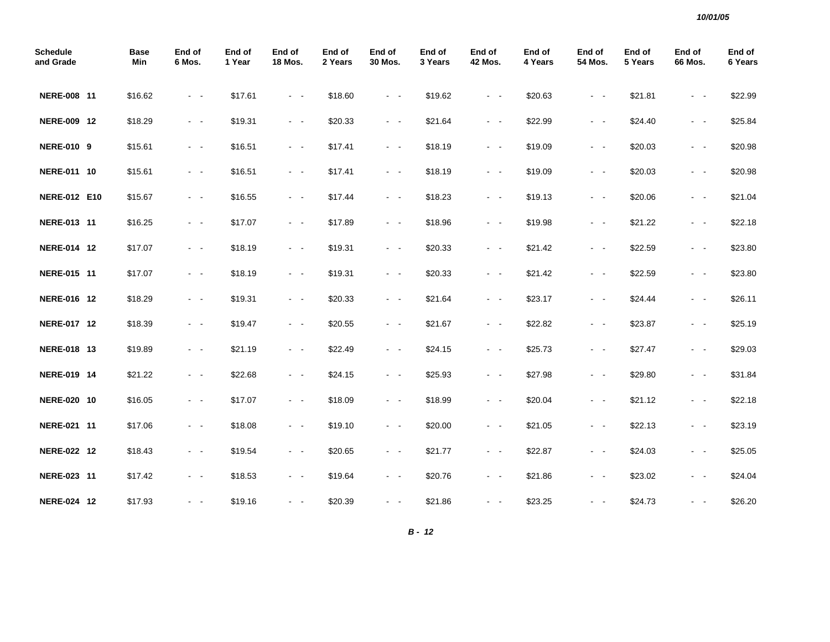| <b>Schedule</b><br>and Grade | <b>Base</b><br>Min | End of<br>6 Mos.    | End of<br>1 Year | End of<br>18 Mos.       | End of<br>2 Years | End of<br><b>30 Mos.</b> | End of<br>3 Years | End of<br><b>42 Mos.</b> | End of<br>4 Years | End of<br>54 Mos.       | End of<br>5 Years | End of<br>66 Mos.                                                                                            | End of<br>6 Years |
|------------------------------|--------------------|---------------------|------------------|-------------------------|-------------------|--------------------------|-------------------|--------------------------|-------------------|-------------------------|-------------------|--------------------------------------------------------------------------------------------------------------|-------------------|
| NERE-008 11                  | \$16.62            | $\sim$ $ \sim$      | \$17.61          | $\sim 100$ km s $^{-1}$ | \$18.60           | $\sim$ $ \sim$           | \$19.62           | $\omega_{\rm{max}}$      | \$20.63           | $\sim$ $ \sim$          | \$21.81           | $\sim$ $ \sim$                                                                                               | \$22.99           |
| NERE-009 12                  | \$18.29            | $\sim$ $ \sim$      | \$19.31          | $\omega_{\rm{max}}$     | \$20.33           | $\sim 100$               | \$21.64           | $\omega_{\rm{max}}$      | \$22.99           | $\omega_{\rm{max}}$     | \$24.40           | $\sim$ $ \sim$                                                                                               | \$25.84           |
| <b>NERE-010 9</b>            | \$15.61            | $\sim$ $ \sim$      | \$16.51          | $\sim$ $ \sim$          | \$17.41           | $\sim$ $ \sim$           | \$18.19           | $\sim$ $ \sim$           | \$19.09           | $\sim$ $ \sim$          | \$20.03           | $\sim$ $ \sim$                                                                                               | \$20.98           |
| NERE-011 10                  | \$15.61            | $\sim$ $ \sim$      | \$16.51          | $\omega_{\rm{max}}$     | \$17.41           | $\omega_{\rm{max}}$      | \$18.19           | $\omega_{\rm{max}}$      | \$19.09           | $\sim 100$              | \$20.03           | $\sim$ $ -$                                                                                                  | \$20.98           |
| <b>NERE-012 E10</b>          | \$15.67            | $\sim 100$          | \$16.55          | $\sim$ $ \sim$          | \$17.44           | $\sim$ $ \sim$           | \$18.23           | $\sim 100$               | \$19.13           | $\sim$ $ -$             | \$20.06           | $\sim$ $ \sim$                                                                                               | \$21.04           |
| NERE-013 11                  | \$16.25            | $\omega_{\rm{max}}$ | \$17.07          | $\omega_{\rm{max}}$     | \$17.89           | $\omega_{\rm{max}}$      | \$18.96           | $\omega_{\rm{max}}$      | \$19.98           | $\omega_{\rm{max}}$     | \$21.22           | $\sim$ $ \sim$                                                                                               | \$22.18           |
| NERE-014 12                  | \$17.07            | $\sim$ $ \sim$      | \$18.19          | $\omega_{\rm{max}}$     | \$19.31           | $\sim$ $ \sim$           | \$20.33           | $\sim$ $ \sim$           | \$21.42           | $\sim$ $ -$             | \$22.59           | $\sim$ $ \sim$                                                                                               | \$23.80           |
| NERE-015 11                  | \$17.07            | $\sim$ $ \sim$      | \$18.19          | $\sim$ $ \sim$          | \$19.31           | $\sim$ $ \sim$           | \$20.33           | $\sim$ $ \sim$           | \$21.42           | $\sim 100$              | \$22.59           | $\sim$ $ \sim$                                                                                               | \$23.80           |
| NERE-016 12                  | \$18.29            | $\omega_{\rm{max}}$ | \$19.31          | $\sim 100$              | \$20.33           | $\sim 100$ km $^{-1}$    | \$21.64           | $\sim$ $ -$              | \$23.17           | $\sim 100$ km s $^{-1}$ | \$24.44           | $\sim$ $ \sim$                                                                                               | \$26.11           |
| NERE-017 12                  | \$18.39            | $\sim$              | \$19.47          | $\sim$ $ \sim$          | \$20.55           | $\sim$ $ \sim$           | \$21.67           | $\sim$ $ \sim$           | \$22.82           | $\sim$ $ \sim$          | \$23.87           | $\sim$ $ \sim$                                                                                               | \$25.19           |
| NERE-018 13                  | \$19.89            | $\omega_{\rm{max}}$ | \$21.19          | $\omega_{\rm{max}}$     | \$22.49           | $\sim$ $ \sim$           | \$24.15           | $\omega_{\rm{max}}$      | \$25.73           | $\omega_{\rm{max}}$     | \$27.47           | $\sim$ $ \sim$                                                                                               | \$29.03           |
| NERE-019 14                  | \$21.22            | $\sim$ $ \sim$      | \$22.68          | $\omega_{\rm{max}}$     | \$24.15           | $\sim$ $ \sim$           | \$25.93           | $\sim$ $ \sim$           | \$27.98           | $\sim$ $ \sim$          | \$29.80           | $\frac{1}{2} \left( \frac{1}{2} \right) \left( \frac{1}{2} \right) = \frac{1}{2} \left( \frac{1}{2} \right)$ | \$31.84           |
| NERE-020 10                  | \$16.05            | $\sim$ $ \sim$      | \$17.07          | $\sim$ $ \sim$          | \$18.09           | $\omega_{\rm{max}}$      | \$18.99           | $\sim$ $ \sim$           | \$20.04           | $\sim$ $ -$             | \$21.12           | $\sim$ $ \sim$                                                                                               | \$22.18           |
| NERE-021 11                  | \$17.06            | $\sim$ $ \sim$      | \$18.08          | $\omega_{\rm{max}}$     | \$19.10           | $\sim 100$               | \$20.00           | $\omega_{\rm{max}}$      | \$21.05           | $\sim$ $ -$             | \$22.13           | $\sim$ $ \sim$                                                                                               | \$23.19           |
| NERE-022 12                  | \$18.43            | $\sim 100$          | \$19.54          | $\sim$ $ \sim$          | \$20.65           | $\sim$ $ \sim$           | \$21.77           | $\sim$ $ \sim$           | \$22.87           | $\sim$ $ \sim$          | \$24.03           | $ -$                                                                                                         | \$25.05           |
| NERE-023 11                  | \$17.42            | $\sim$ $ \sim$      | \$18.53          | $\omega_{\rm{max}}$     | \$19.64           | $\omega_{\rm{max}}$      | \$20.76           | $\omega_{\rm{max}}$      | \$21.86           | $\omega_{\rm{max}}$     | \$23.02           | $\omega_{\rm{max}}$                                                                                          | \$24.04           |
| NERE-024 12                  | \$17.93            | $\omega_{\rm{max}}$ | \$19.16          | $\sim$ $ \sim$          | \$20.39           | $\sim$ $ -$              | \$21.86           | $\omega_{\rm{max}}$      | \$23.25           | $\sim$ $ \sim$          | \$24.73           | $\sim$ $ \sim$                                                                                               | \$26.20           |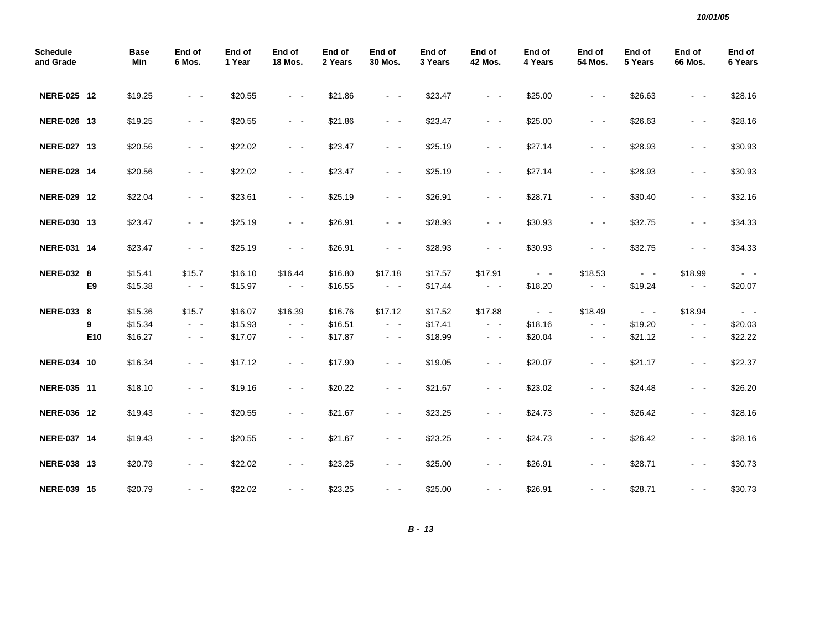| <b>Schedule</b><br>and Grade |     | <b>Base</b><br>Min | End of<br>6 Mos.        | End of<br>1 Year | End of<br><b>18 Mos.</b> | End of<br>2 Years | End of<br>30 Mos.       | End of<br>3 Years | End of<br><b>42 Mos.</b> | End of<br>4 Years | End of<br>54 Mos.       | End of<br>5 Years   | End of<br><b>66 Mos.</b> | End of<br>6 Years |
|------------------------------|-----|--------------------|-------------------------|------------------|--------------------------|-------------------|-------------------------|-------------------|--------------------------|-------------------|-------------------------|---------------------|--------------------------|-------------------|
| NERE-025 12                  |     | \$19.25            | $\sim$ $ -$             | \$20.55          | $\omega_{\rm{max}}$      | \$21.86           | $\omega_{\rm{max}}$     | \$23.47           | $\omega_{\rm{max}}$      | \$25.00           | $\sim 100$              | \$26.63             | $\sim$ $ \sim$           | \$28.16           |
| NERE-026 13                  |     | \$19.25            | $\sim$ $ -$             | \$20.55          | $\sim 100$               | \$21.86           | $\omega_{\rm{max}}$     | \$23.47           | $\omega_{\rm{max}}$      | \$25.00           | $\sim 100$ km s $^{-1}$ | \$26.63             | $\sim$ $ \sim$           | \$28.16           |
| NERE-027 13                  |     | \$20.56            | $\sim$ $ -$             | \$22.02          | $\sim 100$               | \$23.47           | $\sim 100$ km s $^{-1}$ | \$25.19           | $\sim 100$               | \$27.14           | $\omega_{\rm{max}}$     | \$28.93             | $\sim$ $ \sim$           | \$30.93           |
| NERE-028 14                  |     | \$20.56            | $\sim$ $ -$             | \$22.02          | $\omega_{\rm{max}}$      | \$23.47           | $\sim 100$              | \$25.19           | $\sim 100$               | \$27.14           | $\sim 100$              | \$28.93             | $\sim$ $ \sim$           | \$30.93           |
| NERE-029 12                  |     | \$22.04            | $\sim$ $ \sim$          | \$23.61          | $\omega_{\rm{max}}$      | \$25.19           | $\omega_{\rm{max}}$     | \$26.91           | $\sim 100$               | \$28.71           | $\sim 100$              | \$30.40             | $\sim$ $ \sim$           | \$32.16           |
| NERE-030 13                  |     | \$23.47            | $\sim$ $ \sim$          | \$25.19          | $\sim 100$               | \$26.91           | $\omega_{\rm{max}}$     | \$28.93           | $\sim 100$               | \$30.93           | $\sim 100$              | \$32.75             | $\sim$ $ \sim$           | \$34.33           |
| NERE-031 14                  |     | \$23.47            | $\sim$ $ -$             | \$25.19          | $\sim 100$               | \$26.91           | $\omega_{\rm{max}}$     | \$28.93           | $\omega_{\rm{max}}$      | \$30.93           | $\sim$ $ \sim$          | \$32.75             | $\sim$ $ \sim$           | \$34.33           |
| <b>NERE-032 8</b>            |     | \$15.41            | \$15.7                  | \$16.10          | \$16.44                  | \$16.80           | \$17.18                 | \$17.57           | \$17.91                  | $\sim$ $  -$      | \$18.53                 | $\omega_{\rm{max}}$ | \$18.99                  | $\sim 100$        |
|                              | E9  | \$15.38            | $\sim 100$              | \$15.97          | $\sim$ $ \sim$           | \$16.55           | $\sim 100$              | \$17.44           | $\omega_{\rm{max}}$      | \$18.20           | $\sim 100$              | \$19.24             | $\sim 100$               | \$20.07           |
| <b>NERE-033 8</b>            |     | \$15.36            | \$15.7                  | \$16.07          | \$16.39                  | \$16.76           | \$17.12                 | \$17.52           | \$17.88                  | $\sim$ $  -$      | \$18.49                 | $\sim 100$          | \$18.94                  | $\sim 100$        |
|                              | 9   | \$15.34            | $\omega_{\rm{max}}$     | \$15.93          | $\sim$ $ \sim$           | \$16.51           | $\omega_{\rm{max}}$     | \$17.41           | $\omega_{\rm{max}}$      | \$18.16           | $\omega_{\rm{max}}$     | \$19.20             | $\sim$ $ \sim$           | \$20.03           |
|                              | E10 | \$16.27            | $\sigma_{\rm{eff}}=0.5$ | \$17.07          | $\sim$ $ \sim$           | \$17.87           | $\sim$ $ \sim$          | \$18.99           | $\sim$ $ \sim$           | \$20.04           | $\sim$ $ \sim$          | \$21.12             | $\sigma_{\rm{max}}$      | \$22.22           |
| NERE-034 10                  |     | \$16.34            | $\sim$ $ \sim$          | \$17.12          | $\sim 100$               | \$17.90           | $\omega_{\rm{max}}$     | \$19.05           | $\omega_{\rm{max}}$      | \$20.07           | $\sim$ $ -$             | \$21.17             | $\sim$ $ \sim$           | \$22.37           |
| NERE-035 11                  |     | \$18.10            | $\sim$ $-$              | \$19.16          | $\sim$ $ \sim$           | \$20.22           | $\sim$ $ \sim$          | \$21.67           | $\sim$ $ \sim$           | \$23.02           | $\sim$ $ \sim$          | \$24.48             | $\sim$ $ \sim$           | \$26.20           |
| NERE-036 12                  |     | \$19.43            | $\sim$ $ -$             | \$20.55          | $\omega_{\rm{max}}$      | \$21.67           | $\omega_{\rm{max}}$     | \$23.25           | $\sim 100$               | \$24.73           | $\sim$ $ \sim$          | \$26.42             | $\sim$ $ \sim$           | \$28.16           |
| NERE-037 14                  |     | \$19.43            | $\sim$ $ \sim$          | \$20.55          | $\omega_{\rm{max}}$      | \$21.67           | $\sim$ $ \sim$          | \$23.25           | $\sim$ $ \sim$           | \$24.73           | $\sim 100$              | \$26.42             | $\sim$ $ \sim$           | \$28.16           |
| NERE-038 13                  |     | \$20.79            | $\sim$ $-$              | \$22.02          | $\sim$ $ \sim$           | \$23.25           | $\sim$ $ \sim$          | \$25.00           | $\sim$ $ \sim$           | \$26.91           | $\sim$ $ \sim$          | \$28.71             | $\sim$ $ \sim$           | \$30.73           |
| NERE-039 15                  |     | \$20.79            | $\sim$ $ \sim$          | \$22.02          | $\omega_{\rm{max}}$      | \$23.25           | $\sim 100$ km s $^{-1}$ | \$25.00           | $\sim$ $ -$              | \$26.91           | $\sim 100$              | \$28.71             | $\sim$ $ \sim$           | \$30.73           |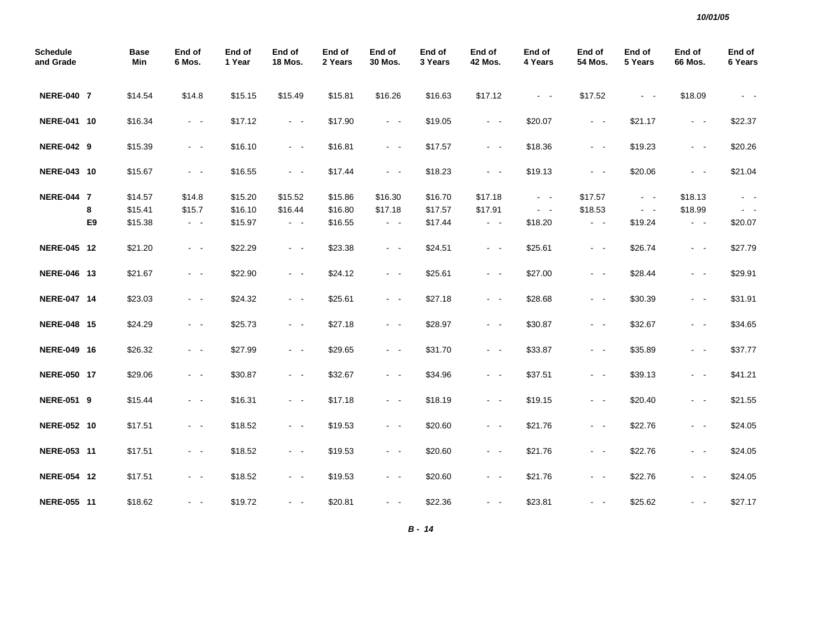| <b>Schedule</b><br>and Grade |                | <b>Base</b><br>Min | End of<br>6 Mos.    | End of<br>1 Year | End of<br><b>18 Mos.</b>                                                                       | End of<br>2 Years | End of<br>30 Mos.   | End of<br>3 Years | End of<br><b>42 Mos.</b> | End of<br>4 Years   | End of<br>54 Mos.   | End of<br>5 Years   | End of<br><b>66 Mos.</b> | End of<br>6 Years |
|------------------------------|----------------|--------------------|---------------------|------------------|------------------------------------------------------------------------------------------------|-------------------|---------------------|-------------------|--------------------------|---------------------|---------------------|---------------------|--------------------------|-------------------|
| <b>NERE-040 7</b>            |                | \$14.54            | \$14.8              | \$15.15          | \$15.49                                                                                        | \$15.81           | \$16.26             | \$16.63           | \$17.12                  | $\omega_{\rm{max}}$ | \$17.52             | $\sim$ $ \sim$      | \$18.09                  |                   |
| NERE-041 10                  |                | \$16.34            | $\sim$ $ -$         | \$17.12          | $\sim$ $ \sim$                                                                                 | \$17.90           | $\omega_{\rm{max}}$ | \$19.05           | $\sim$ $ \sim$           | \$20.07             | $\omega_{\rm{max}}$ | \$21.17             | $\sim$ $ \sim$           | \$22.37           |
| <b>NERE-042 9</b>            |                | \$15.39            | $\sim$ $ -$         | \$16.10          | $\sim$ $ \sim$                                                                                 | \$16.81           | $\sim$ $ \sim$      | \$17.57           | $\sim$ $ \sim$           | \$18.36             | $\sim$ $ \sim$      | \$19.23             | $\sim$ $ \sim$           | \$20.26           |
| NERE-043 10                  |                | \$15.67            | $\sim$ $ -$         | \$16.55          | $\sim 100$                                                                                     | \$17.44           | $\omega_{\rm{max}}$ | \$18.23           | $\sim 100$               | \$19.13             | $\omega_{\rm{max}}$ | \$20.06             | $\sim$ $ \sim$           | \$21.04           |
| <b>NERE-044 7</b>            |                | \$14.57            | \$14.8              | \$15.20          | \$15.52                                                                                        | \$15.86           | \$16.30             | \$16.70           | \$17.18                  | $\omega_{\rm{max}}$ | \$17.57             | $\omega_{\rm{max}}$ | \$18.13                  | $\sim$ $ \sim$    |
|                              | 8              | \$15.41            | \$15.7              | \$16.10          | \$16.44                                                                                        | \$16.80           | \$17.18             | \$17.57           | \$17.91                  | $\sim$ $ \sim$      | \$18.53             | $\sim$ $ \sim$      | \$18.99                  | $\sim$ $ \sim$    |
|                              | E <sub>9</sub> | \$15.38            | $\sim$ $ -$         | \$15.97          | $\omega_{\rm{max}}$                                                                            | \$16.55           | $\omega_{\rm{max}}$ | \$17.44           | $\omega_{\rm{eff}}$      | \$18.20             | $\sim$ $ \sim$      | \$19.24             | $\omega_{\rm{max}}$      | \$20.07           |
| NERE-045 12                  |                | \$21.20            | $\sim$ $ -$         | \$22.29          | $\sim 100$                                                                                     | \$23.38           | $\omega_{\rm{max}}$ | \$24.51           | $\sim$ $ \sim$           | \$25.61             | $\sim$ $ \sim$      | \$26.74             | $\sim 100$               | \$27.79           |
| NERE-046 13                  |                | \$21.67            | $\sim$ $ -$         | \$22.90          | $\omega_{\rm{max}}$                                                                            | \$24.12           | $\omega_{\rm{max}}$ | \$25.61           | $\sim$ $ \sim$           | \$27.00             | $\omega_{\rm{max}}$ | \$28.44             | $\sim$ $ \sim$           | \$29.91           |
| NERE-047 14                  |                | \$23.03            | $\omega_{\rm{max}}$ | \$24.32          | $\sim 100$                                                                                     | \$25.61           | $\omega_{\rm{max}}$ | \$27.18           | $\omega_{\rm{max}}$      | \$28.68             | $\omega_{\rm{max}}$ | \$30.39             | $\sim$ $ \sim$           | \$31.91           |
| NERE-048 15                  |                | \$24.29            | $\sim$ $-$          | \$25.73          | $\sim 100$                                                                                     | \$27.18           | $\sim$ $ \sim$      | \$28.97           | $\sim 100$               | \$30.87             | $\sim 100$          | \$32.67             | $\sim$ $ \sim$           | \$34.65           |
| NERE-049 16                  |                | \$26.32            | $\sim$ $ -$         | \$27.99          | $\omega_{\rm{max}}$                                                                            | \$29.65           | $\sim$ $ \sim$      | \$31.70           | $\sim$ $ \sim$           | \$33.87             | $\omega_{\rm{max}}$ | \$35.89             | $\sim$ $ \sim$           | \$37.77           |
| NERE-050 17                  |                | \$29.06            | $\sim$ $ \sim$      | \$30.87          | $\omega_{\rm{max}}$                                                                            | \$32.67           | $\omega_{\rm{max}}$ | \$34.96           | $\sim$ $ \sim$           | \$37.51             | $\sim$ $ \sim$      | \$39.13             | $\sim$ $ \sim$           | \$41.21           |
| <b>NERE-051 9</b>            |                | \$15.44            | $\omega_{\rm{max}}$ | \$16.31          | $\omega_{\rm{max}}$                                                                            | \$17.18           | $\omega_{\rm{max}}$ | \$18.19           | $\sim$ $ \sim$           | \$19.15             | $\omega_{\rm{max}}$ | \$20.40             | $\sim$ $ \sim$           | \$21.55           |
| NERE-052 10                  |                | \$17.51            | $\sim$ $ -$         | \$18.52          | $\omega_{\rm{max}}$                                                                            | \$19.53           | $\sim$ $ \sim$      | \$20.60           | $\sim$ $ \sim$           | \$21.76             | $\sim$ $ \sim$      | \$22.76             | $\sim$ $ \sim$           | \$24.05           |
| NERE-053 11                  |                | \$17.51            | $\sim$ $ \sim$      | \$18.52          | $\sim 100$                                                                                     | \$19.53           | $\omega_{\rm{max}}$ | \$20.60           | $\sim$ $ \sim$           | \$21.76             | $\omega_{\rm{max}}$ | \$22.76             | $\sim$ $ \sim$           | \$24.05           |
| NERE-054 12                  |                | \$17.51            | $\omega_{\rm{max}}$ | \$18.52          | $\omega_{\rm{max}}$                                                                            | \$19.53           | $\omega_{\rm{max}}$ | \$20.60           | $\sim$ $ \sim$           | \$21.76             | $\omega_{\rm{max}}$ | \$22.76             | $\sim$ $ \sim$           | \$24.05           |
| NERE-055 11                  |                | \$18.62            | - -                 | \$19.72          | $\frac{1}{2} \left( \frac{1}{2} \right) \left( \frac{1}{2} \right) \left( \frac{1}{2} \right)$ | \$20.81           | $ -$                | \$22.36           | $\sim$ $ \sim$           | \$23.81             | $\sim$ $\sim$       | \$25.62             | $ -$                     | \$27.17           |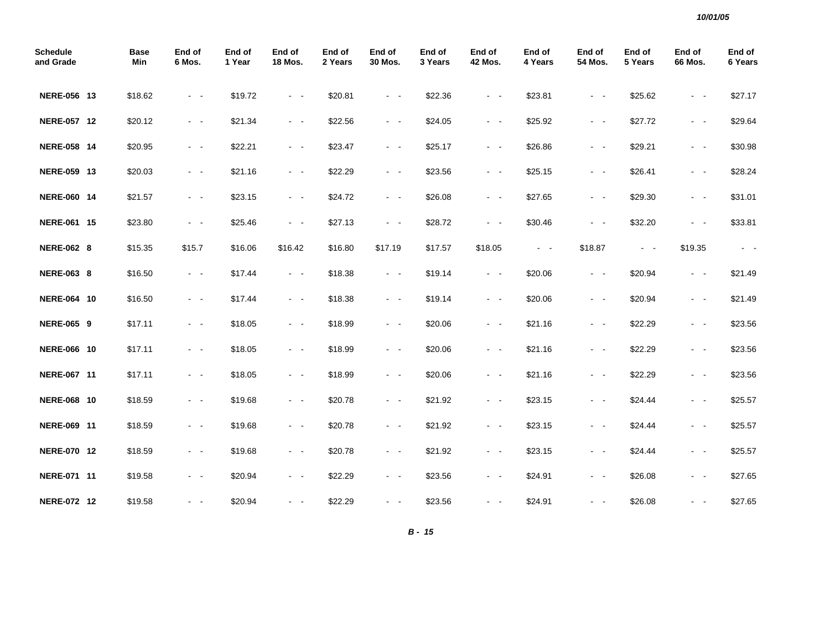| <b>Schedule</b><br>and Grade | <b>Base</b><br>Min | End of<br>6 Mos.    | End of<br>1 Year | End of<br><b>18 Mos.</b> | End of<br>2 Years | End of<br>30 Mos.       | End of<br>3 Years | End of<br><b>42 Mos.</b>                                                                       | End of<br>4 Years | End of<br>54 Mos.                                                                                                                     | End of<br>5 Years | End of<br><b>66 Mos.</b> | End of<br>6 Years |
|------------------------------|--------------------|---------------------|------------------|--------------------------|-------------------|-------------------------|-------------------|------------------------------------------------------------------------------------------------|-------------------|---------------------------------------------------------------------------------------------------------------------------------------|-------------------|--------------------------|-------------------|
| NERE-056 13                  | \$18.62            | $\sim$ $ \sim$      | \$19.72          | $\sim$ $ \sim$           | \$20.81           | $\sim$ $ \sim$          | \$22.36           | $\sim$ $ \sim$                                                                                 | \$23.81           | $ -$                                                                                                                                  | \$25.62           | $\sim$ $ \sim$           | \$27.17           |
| NERE-057 12                  | \$20.12            | $\sim$ $ \sim$      | \$21.34          | $\sim$ $ \sim$           | \$22.56           | $\sim$ $ \sim$          | \$24.05           | $\sim$ $ \sim$                                                                                 | \$25.92           | $\omega_{\rm{max}}$                                                                                                                   | \$27.72           | $\sim 100$               | \$29.64           |
| NERE-058 14                  | \$20.95            | $\sim$ $ \sim$      | \$22.21          | $\sim$ $ \sim$           | \$23.47           | $\sim$ $ \sim$          | \$25.17           | $\sim$ $ \sim$                                                                                 | \$26.86           | $\sim$ $ -$                                                                                                                           | \$29.21           | $\sim$ $ \sim$           | \$30.98           |
| NERE-059 13                  | \$20.03            | $\omega_{\rm{max}}$ | \$21.16          | $\sim 100$               | \$22.29           | $\omega_{\rm{max}}$     | \$23.56           | $\omega_{\rm{max}}$                                                                            | \$25.15           | $\sim$ $ -$                                                                                                                           | \$26.41           | $\omega_{\rm{max}}$      | \$28.24           |
| NERE-060 14                  | \$21.57            | $\omega_{\rm{max}}$ | \$23.15          | $\omega_{\rm{max}}$      | \$24.72           | $\omega_{\rm{max}}$     | \$26.08           | $\sim$ $ \sim$                                                                                 | \$27.65           | $\omega_{\rm{max}}$                                                                                                                   | \$29.30           | $\sim$ $ \sim$           | \$31.01           |
| NERE-061 15                  | \$23.80            | $\omega_{\rm{max}}$ | \$25.46          | $\sim$ $ \sim$           | \$27.13           | $\omega_{\rm{max}}$     | \$28.72           | $\sim$ $ \sim$                                                                                 | \$30.46           | $\sim$ $ \sim$                                                                                                                        | \$32.20           | $\sim$ $ \sim$           | \$33.81           |
| <b>NERE-062 8</b>            | \$15.35            | \$15.7              | \$16.06          | \$16.42                  | \$16.80           | \$17.19                 | \$17.57           | \$18.05                                                                                        | $\sim 100$        | \$18.87                                                                                                                               | $\sim 100$        | \$19.35                  | $\sim$ $ \sim$    |
| <b>NERE-063 8</b>            | \$16.50            | $\sim$ $ -$         | \$17.44          | $\sim 100$               | \$18.38           | $\omega_{\rm{max}}$     | \$19.14           | $\sim$ $ \sim$                                                                                 | \$20.06           | $\omega_{\rm{max}}$                                                                                                                   | \$20.94           | $\omega_{\rm{max}}$      | \$21.49           |
| NERE-064 10                  | \$16.50            | $\sim$ $ \sim$      | \$17.44          | $\sim$ $ \sim$           | \$18.38           | $\omega_{\rm{max}}$     | \$19.14           | $\sim$ $ \sim$                                                                                 | \$20.06           | $\sim$ $ \sim$                                                                                                                        | \$20.94           | $\omega_{\rm{max}}$      | \$21.49           |
| <b>NERE-065 9</b>            | \$17.11            | $\omega_{\rm{max}}$ | \$18.05          | $\omega_{\rm{max}}$      | \$18.99           | $\sim 100$ km s $^{-1}$ | \$20.06           | $\sim$ $ \sim$                                                                                 | \$21.16           | $\sim$ $ -$                                                                                                                           | \$22.29           | $\sim$ $ \sim$           | \$23.56           |
| NERE-066 10                  | \$17.11            | $\sim 100$          | \$18.05          | $\sim$ $ \sim$           | \$18.99           | $\sim$ $ -$             | \$20.06           | $\sim$ $ -$                                                                                    | \$21.16           | $\sim$ $ -$                                                                                                                           | \$22.29           | $\sim$ $ \sim$           | \$23.56           |
| NERE-067 11                  | \$17.11            | $\sim$ $ \sim$      | \$18.05          | $\sim 100$               | \$18.99           | $\sim$ $ \sim$          | \$20.06           | $\sim 100$                                                                                     | \$21.16           | $\sim 100$                                                                                                                            | \$22.29           | $\sim$ $ \sim$           | \$23.56           |
| NERE-068 10                  | \$18.59            | $\sim$ $ \sim$      | \$19.68          | $\sim$ $ \sim$           | \$20.78           | $\sim$ $ \sim$          | \$21.92           | $\sim$ $ \sim$                                                                                 | \$23.15           | $\frac{1}{2} \left( \frac{1}{2} \right) \left( \frac{1}{2} \right) \frac{1}{2} \left( \frac{1}{2} \right) \left( \frac{1}{2} \right)$ | \$24.44           | $\sim$ $ \sim$           | \$25.57           |
| NERE-069 11                  | \$18.59            | $\sim$ $ \sim$      | \$19.68          | $\sim$ $ \sim$           | \$20.78           | $\omega_{\rm{max}}$     | \$21.92           | $\sim$ $ \sim$                                                                                 | \$23.15           | $\frac{1}{2} \left( \frac{1}{2} \right) \left( \frac{1}{2} \right) \frac{1}{2} \left( \frac{1}{2} \right) \left( \frac{1}{2} \right)$ | \$24.44           | $\sim 100$               | \$25.57           |
| NERE-070 12                  | \$18.59            | $\sim$ $ \sim$      | \$19.68          | $\sim$ $ \sim$           | \$20.78           | $\omega_{\rm{max}}$     | \$21.92           | $\sim$ $ \sim$                                                                                 | \$23.15           | $\sim$ $ \sim$                                                                                                                        | \$24.44           | $\sim 100$               | \$25.57           |
| NERE-071 11                  | \$19.58            | $\sim$ $ -$         | \$20.94          | $\sim$ $ \sim$           | \$22.29           | $\sim$ $ -$             | \$23.56           | $\sim 100$                                                                                     | \$24.91           | $\sim$ $ -$                                                                                                                           | \$26.08           | $\sim 100$               | \$27.65           |
| NERE-072 12                  | \$19.58            | $\sim$ $ \sim$      | \$20.94          | $\sim$ $ \sim$           | \$22.29           | $\sim$ $ \sim$          | \$23.56           | $\frac{1}{2} \left( \frac{1}{2} \right) \left( \frac{1}{2} \right) \left( \frac{1}{2} \right)$ | \$24.91           | $ -$                                                                                                                                  | \$26.08           | $\sim$ $ \sim$           | \$27.65           |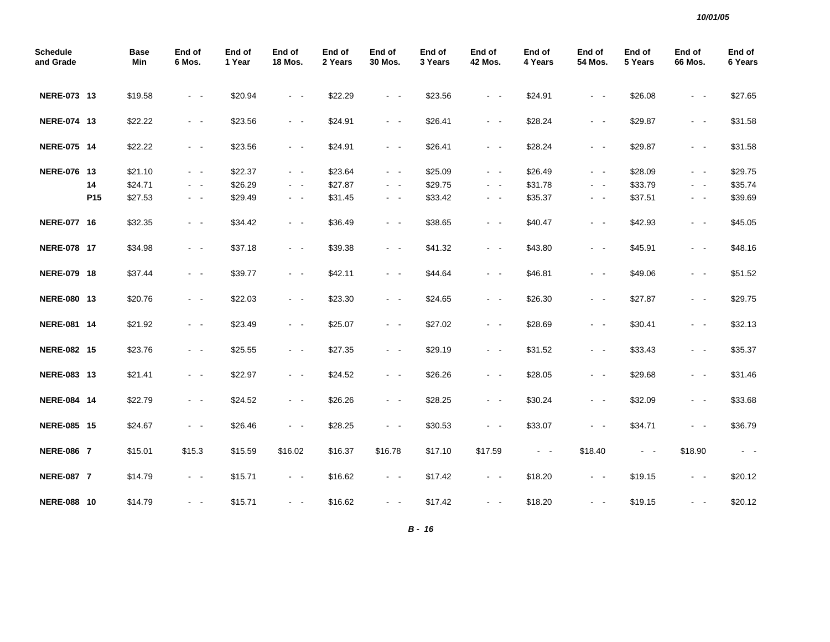| <b>Schedule</b><br>and Grade |                 | <b>Base</b><br>Min | End of<br>6 Mos.                                                                                                                      | End of<br>1 Year | End of<br><b>18 Mos.</b> | End of<br>2 Years | End of<br>30 Mos.   | End of<br>3 Years | End of<br><b>42 Mos.</b> | End of<br>4 Years   | End of<br>54 Mos.   | End of<br>5 Years   | End of<br>66 Mos.   | End of<br>6 Years   |
|------------------------------|-----------------|--------------------|---------------------------------------------------------------------------------------------------------------------------------------|------------------|--------------------------|-------------------|---------------------|-------------------|--------------------------|---------------------|---------------------|---------------------|---------------------|---------------------|
| NERE-073 13                  |                 | \$19.58            | $\sim$ $ \sim$                                                                                                                        | \$20.94          | $\omega_{\rm{max}}$      | \$22.29           | $\sim$ $ \sim$      | \$23.56           | $\sim$ $ \sim$           | \$24.91             | $\omega_{\rm{max}}$ | \$26.08             | $\sim$ $ \sim$      | \$27.65             |
| NERE-074 13                  |                 | \$22.22            | $\sim$ $ -$                                                                                                                           | \$23.56          | $\sim$ $ \sim$           | \$24.91           | $\sim$ $ \sim$      | \$26.41           | $\sim$ $ \sim$           | \$28.24             | $\sim$ $ \sim$      | \$29.87             | $\sim$ $ \sim$      | \$31.58             |
| NERE-075 14                  |                 | \$22.22            | $\sim$ $ -$                                                                                                                           | \$23.56          | $\sim$ $ \sim$           | \$24.91           | $\omega_{\rm{max}}$ | \$26.41           | $\sim$ $ \sim$           | \$28.24             | $\sim$ $ \sim$      | \$29.87             | $\sim$ $ \sim$      | \$31.58             |
| NERE-076 13                  |                 | \$21.10            | $\sim$ $ -$                                                                                                                           | \$22.37          | $\sim$ $ \sim$           | \$23.64           | $\sim$ $ \sim$      | \$25.09           | $\sim$ $ -$              | \$26.49             | $\sim$ $ -$         | \$28.09             | $\sim$ $ \sim$      | \$29.75             |
|                              | 14              | \$24.71            | $\sim$ $-$                                                                                                                            | \$26.29          | $\sim$ $ \sim$           | \$27.87           | $\sim$ $ \sim$      | \$29.75           | $\sim$ $ \sim$           | \$31.78             | $\sim$ $ -$         | \$33.79             | $\sim$ $ \sim$      | \$35.74             |
|                              | P <sub>15</sub> | \$27.53            | $\sim 100$                                                                                                                            | \$29.49          | $\sim 100$               | \$31.45           | $\sim 100$          | \$33.42           | $\sim$ $ -$              | \$35.37             | $\sigma_{\rm{max}}$ | \$37.51             | $\sim 100$          | \$39.69             |
| NERE-077 16                  |                 | \$32.35            | $\omega_{\rm{max}}$                                                                                                                   | \$34.42          | $\omega_{\rm{max}}$      | \$36.49           | $\omega_{\rm{max}}$ | \$38.65           | $\sim$ $ -$              | \$40.47             | $\sim 100$          | \$42.93             | $\sim 100$          | \$45.05             |
| NERE-078 17                  |                 | \$34.98            | $\sim$ $ -$                                                                                                                           | \$37.18          | $\sim 100$               | \$39.38           | $\omega_{\rm{max}}$ | \$41.32           | $\sim 100$               | \$43.80             | $\sim 100$          | \$45.91             | $\sim$ $ \sim$      | \$48.16             |
| NERE-079 18                  |                 | \$37.44            | $\frac{1}{2} \left( \frac{1}{2} \right) \left( \frac{1}{2} \right) \frac{1}{2} \left( \frac{1}{2} \right) \left( \frac{1}{2} \right)$ | \$39.77          | $\sim$ $ \sim$           | \$42.11           | $\omega_{\rm{max}}$ | \$44.64           | $\sim$ $ \sim$           | \$46.81             | $\omega_{\rm{max}}$ | \$49.06             | $\omega_{\rm{max}}$ | \$51.52             |
| NERE-080 13                  |                 | \$20.76            | $\sim$ $ -$                                                                                                                           | \$22.03          | $\omega_{\rm{max}}$      | \$23.30           | $\omega_{\rm{max}}$ | \$24.65           | $\sim$ $ \sim$           | \$26.30             | $\omega_{\rm{max}}$ | \$27.87             | $\omega_{\rm{max}}$ | \$29.75             |
| NERE-081 14                  |                 | \$21.92            | $\sim$ $ -$                                                                                                                           | \$23.49          | $\sim$ $ \sim$           | \$25.07           | $\sim$ $ \sim$      | \$27.02           | $\sim$ $ \sim$           | \$28.69             | $\sim$ $ \sim$      | \$30.41             | $\sim$ $ \sim$      | \$32.13             |
| NERE-082 15                  |                 | \$23.76            | $\omega_{\rm{max}}$                                                                                                                   | \$25.55          | $\omega_{\rm{max}}$      | \$27.35           | $\omega_{\rm{max}}$ | \$29.19           | $\sim$ $ \sim$           | \$31.52             | $\omega_{\rm{max}}$ | \$33.43             | $\sim$ $ -$         | \$35.37             |
| NERE-083 13                  |                 | \$21.41            | $\sim$ $ \sim$                                                                                                                        | \$22.97          | $\omega_{\rm{max}}$      | \$24.52           | $\omega_{\rm{max}}$ | \$26.26           | $\sim$ $ \sim$           | \$28.05             | $\omega_{\rm{max}}$ | \$29.68             | $\sim$ $ \sim$      | \$31.46             |
| NERE-084 14                  |                 | \$22.79            | $\sim$ $ \sim$                                                                                                                        | \$24.52          | $\omega_{\rm{max}}$      | \$26.26           | $\sim$ $ \sim$      | \$28.25           | $\sim$ $ \sim$           | \$30.24             | $\omega_{\rm{max}}$ | \$32.09             | $\sim$ $ \sim$      | \$33.68             |
| NERE-085 15                  |                 | \$24.67            | $\sim$ $ -$                                                                                                                           | \$26.46          | $\sim$ $ \sim$           | \$28.25           | $\sim$ $ \sim$      | \$30.53           | $\sim$ $ \sim$           | \$33.07             | $\omega_{\rm{max}}$ | \$34.71             | $\sim$ $ \sim$      | \$36.79             |
| <b>NERE-086 7</b>            |                 | \$15.01            | \$15.3                                                                                                                                | \$15.59          | \$16.02                  | \$16.37           | \$16.78             | \$17.10           | \$17.59                  | $\omega_{\rm{max}}$ | \$18.40             | $\omega_{\rm{max}}$ | \$18.90             | $\omega_{\rm{max}}$ |
| <b>NERE-087 7</b>            |                 | \$14.79            | $\sim$ $ \sim$                                                                                                                        | \$15.71          | $\sim 100$               | \$16.62           | $\omega_{\rm{max}}$ | \$17.42           | $\sim 100$               | \$18.20             | $\sim$ $ \sim$      | \$19.15             | $\sim$ $ \sim$      | \$20.12             |
| <b>NERE-088 10</b>           |                 | \$14.79            | $\sim$                                                                                                                                | \$15.71          | $\omega_{\rm{max}}$      | \$16.62           | $\sim$ $ \sim$      | \$17.42           | $\sim$ $ \sim$           | \$18.20             | $\sim 100$          | \$19.15             | $\sim$ $ \sim$      | \$20.12             |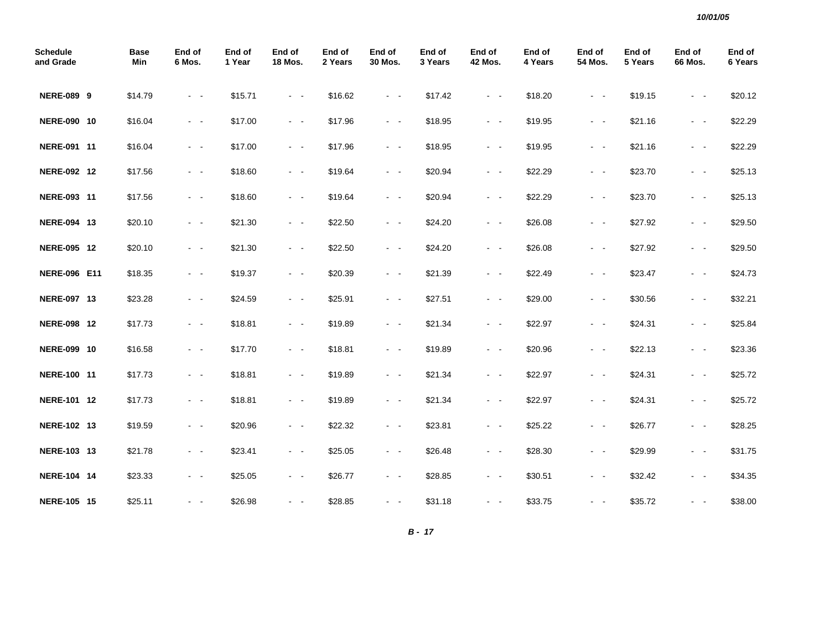| <b>Schedule</b><br>and Grade | <b>Base</b><br>Min | End of<br>6 Mos.                                                                               | End of<br>1 Year | End of<br><b>18 Mos.</b> | End of<br>2 Years | End of<br>30 Mos.                                                                                                                     | End of<br>3 Years | End of<br><b>42 Mos.</b> | End of<br>4 Years | End of<br>54 Mos.   | End of<br>5 Years | End of<br>66 Mos.                                                                                            | End of<br>6 Years |
|------------------------------|--------------------|------------------------------------------------------------------------------------------------|------------------|--------------------------|-------------------|---------------------------------------------------------------------------------------------------------------------------------------|-------------------|--------------------------|-------------------|---------------------|-------------------|--------------------------------------------------------------------------------------------------------------|-------------------|
| <b>NERE-089 9</b>            | \$14.79            | $\omega_{\rm{max}}$                                                                            | \$15.71          | $\omega_{\rm{max}}$      | \$16.62           | $\omega_{\rm{max}}$                                                                                                                   | \$17.42           | $\sim$ $ \sim$           | \$18.20           | $\omega_{\rm{max}}$ | \$19.15           | $\sim$ $ \sim$                                                                                               | \$20.12           |
| NERE-090 10                  | \$16.04            | $\sim$ $ \sim$                                                                                 | \$17.00          | $\sim$ $ \sim$           | \$17.96           | $\sim$ $ \sim$                                                                                                                        | \$18.95           | $\sim$ $ \sim$           | \$19.95           | $\omega_{\rm{max}}$ | \$21.16           | $\sim$ $ \sim$                                                                                               | \$22.29           |
| NERE-091 11                  | \$16.04            | $\sim$ $\sim$                                                                                  | \$17.00          | $\omega_{\rm{max}}$      | \$17.96           | $\sim$ $ \sim$                                                                                                                        | \$18.95           | $\sim$ $ \sim$           | \$19.95           | $\sim$ $ \sim$      | \$21.16           | $\sim$ $ \sim$                                                                                               | \$22.29           |
| NERE-092 12                  | \$17.56            | $\omega_{\rm{max}}$                                                                            | \$18.60          | $\sim 100$               | \$19.64           | $\omega_{\rm{max}}$                                                                                                                   | \$20.94           | $\sim 100$               | \$22.29           | $\sim$ $ -$         | \$23.70           | $\sim$ $ -$                                                                                                  | \$25.13           |
| NERE-093 11                  | \$17.56            | $\omega_{\rm{max}}$                                                                            | \$18.60          | $\omega_{\rm{max}}$      | \$19.64           | $\omega_{\rm{max}}$                                                                                                                   | \$20.94           | $\sim 100$               | \$22.29           | $\sim$ $ -$         | \$23.70           | $\sim$ $ -$                                                                                                  | \$25.13           |
| NERE-094 13                  | \$20.10            | $\sim$ $ \sim$                                                                                 | \$21.30          | $\sim$ $ \sim$           | \$22.50           | $\sim$ $ \sim$                                                                                                                        | \$24.20           | $\sim$ $ \sim$           | \$26.08           | $\omega_{\rm{max}}$ | \$27.92           | $\sim$ $ -$                                                                                                  | \$29.50           |
| NERE-095 12                  | \$20.10            | $\omega_{\rm{max}}$                                                                            | \$21.30          | $\omega_{\rm{max}}$      | \$22.50           | $\omega_{\rm{max}}$                                                                                                                   | \$24.20           | $\sim 100$               | \$26.08           | $\omega_{\rm{max}}$ | \$27.92           | $\sim$ $ -$                                                                                                  | \$29.50           |
| <b>NERE-096 E11</b>          | \$18.35            | $\sim$ $ -$                                                                                    | \$19.37          | $\omega_{\rm{max}}$      | \$20.39           | $\omega_{\rm{max}}$                                                                                                                   | \$21.39           | $\sim$ $ \sim$           | \$22.49           | $\omega_{\rm{max}}$ | \$23.47           | $\sim$ $ \sim$                                                                                               | \$24.73           |
| NERE-097 13                  | \$23.28            | $\frac{1}{2} \left( \frac{1}{2} \right) \left( \frac{1}{2} \right) \left( \frac{1}{2} \right)$ | \$24.59          | $\sim$ $ \sim$           | \$25.91           | $\omega_{\rm{max}}$                                                                                                                   | \$27.51           | $\sim 100$               | \$29.00           | $\omega_{\rm{max}}$ | \$30.56           | $\sim$ $ \sim$                                                                                               | \$32.21           |
| NERE-098 12                  | \$17.73            | $\sim$ $ -$                                                                                    | \$18.81          | $\sim$ $ \sim$           | \$19.89           | $\sim$ $ \sim$                                                                                                                        | \$21.34           | $\sim$ $ \sim$           | \$22.97           | $\sim$ $ -$         | \$24.31           | $\sim$ $ \sim$                                                                                               | \$25.84           |
| NERE-099 10                  | \$16.58            | $\sim$                                                                                         | \$17.70          | $\sim$ $ \sim$           | \$18.81           | $\omega_{\rm{max}}$                                                                                                                   | \$19.89           | $\sim$ $ \sim$           | \$20.96           | $\omega_{\rm{max}}$ | \$22.13           | $ -$                                                                                                         | \$23.36           |
| NERE-100 11                  | \$17.73            | $\sim$ $ \sim$                                                                                 | \$18.81          | $\sim$ $ \sim$           | \$19.89           | $\sim$ $ \sim$                                                                                                                        | \$21.34           | $\sim$ $ \sim$           | \$22.97           | $\sim 100$          | \$24.31           | $\sim$ $ \sim$                                                                                               | \$25.72           |
| NERE-101 12                  | \$17.73            | $\sim$                                                                                         | \$18.81          | $\sim$ $ \sim$           | \$19.89           | $\frac{1}{2} \left( \frac{1}{2} \right) \left( \frac{1}{2} \right) \frac{1}{2} \left( \frac{1}{2} \right) \left( \frac{1}{2} \right)$ | \$21.34           | $\sim$ $ \sim$           | \$22.97           | $\omega_{\rm{max}}$ | \$24.31           | $\sim$ $ \sim$                                                                                               | \$25.72           |
| NERE-102 13                  | \$19.59            | $\sim$ $ \sim$                                                                                 | \$20.96          | $\sim$ $ \sim$           | \$22.32           | $\sim$ $ -$                                                                                                                           | \$23.81           | $\sim$ $ \sim$           | \$25.22           | $\omega_{\rm{max}}$ | \$26.77           | $\sim$ $ \sim$                                                                                               | \$28.25           |
| NERE-103 13                  | \$21.78            | - -                                                                                            | \$23.41          | $\sim$ $ \sim$           | \$25.05           | - -                                                                                                                                   | \$26.48           | $\sim$ $ \sim$           | \$28.30           | $\sim$ $ \sim$      | \$29.99           | $\frac{1}{2} \left( \frac{1}{2} \right) \left( \frac{1}{2} \right) = \frac{1}{2} \left( \frac{1}{2} \right)$ | \$31.75           |
| NERE-104 14                  | \$23.33            | $\sim$ $ \sim$                                                                                 | \$25.05          | $\sim$ $ \sim$           | \$26.77           | $\sim$ $ \sim$                                                                                                                        | \$28.85           | $\omega_{\rm{max}}$      | \$30.51           | $\omega_{\rm{max}}$ | \$32.42           | $ -$                                                                                                         | \$34.35           |
| NERE-105 15                  | \$25.11            | $\sim$ $ \sim$                                                                                 | \$26.98          | $\sim$ $ \sim$           | \$28.85           | $\sim$ $ -$                                                                                                                           | \$31.18           | $\sim$ $ \sim$           | \$33.75           | $\sim$ $ \sim$      | \$35.72           | $ -$                                                                                                         | \$38.00           |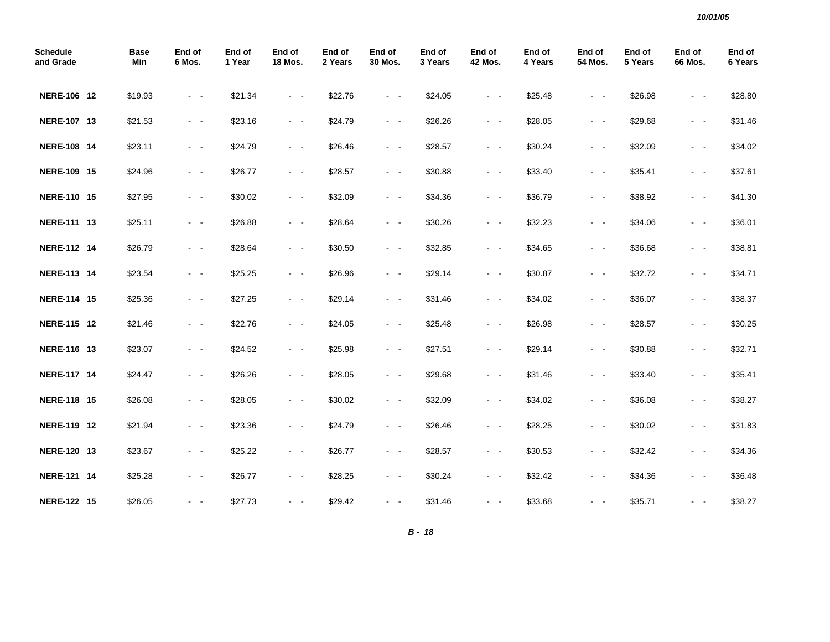| <b>Schedule</b><br>and Grade | <b>Base</b><br>Min | End of<br>6 Mos.                                                                                                                      | End of<br>1 Year | End of<br><b>18 Mos.</b> | End of<br>2 Years | End of<br>30 Mos.                                                                                                                     | End of<br>3 Years | End of<br><b>42 Mos.</b> | End of<br>4 Years | End of<br>54 Mos.       | End of<br>5 Years | End of<br>66 Mos. | End of<br>6 Years |
|------------------------------|--------------------|---------------------------------------------------------------------------------------------------------------------------------------|------------------|--------------------------|-------------------|---------------------------------------------------------------------------------------------------------------------------------------|-------------------|--------------------------|-------------------|-------------------------|-------------------|-------------------|-------------------|
| NERE-106 12                  | \$19.93            | $\sim$ $ \sim$                                                                                                                        | \$21.34          | $\sim 100$               | \$22.76           | $\sim$ $ \sim$                                                                                                                        | \$24.05           | $\sim 100$               | \$25.48           | $\omega_{\rm{max}}$     | \$26.98           | $\sim$ $ \sim$    | \$28.80           |
| NERE-107 13                  | \$21.53            | $\sim$ $ \sim$                                                                                                                        | \$23.16          | $\sim$ $ \sim$           | \$24.79           | $\sim$ $ \sim$                                                                                                                        | \$26.26           | $\sim$ $ \sim$           | \$28.05           | $\omega_{\rm{max}}$     | \$29.68           | $ -$              | \$31.46           |
| <b>NERE-108 14</b>           | \$23.11            | $\omega_{\rm{max}}$                                                                                                                   | \$24.79          | $\omega_{\rm{max}}$      | \$26.46           | $\omega_{\rm{max}}$                                                                                                                   | \$28.57           | $\sim$ $ \sim$           | \$30.24           | $\omega_{\rm{max}}$     | \$32.09           | $\sim$ $ \sim$    | \$34.02           |
| NERE-109 15                  | \$24.96            | $\sim$ $ -$                                                                                                                           | \$26.77          | $\sim$ $ \sim$           | \$28.57           | $\sim$ $ \sim$                                                                                                                        | \$30.88           | $\sim$ $ \sim$           | \$33.40           | $\sim$ $ -$             | \$35.41           | $\sim$ $ \sim$    | \$37.61           |
| NERE-110 15                  | \$27.95            | $\sim$ $\sim$                                                                                                                         | \$30.02          | $\omega_{\rm{max}}$      | \$32.09           | $\omega_{\rm{max}}$                                                                                                                   | \$34.36           | $\sim$ $ \sim$           | \$36.79           | $\omega_{\rm{max}}$     | \$38.92           | $\sim 100$        | \$41.30           |
| NERE-111 13                  | \$25.11            | $\omega_{\rm{max}}$                                                                                                                   | \$26.88          | $\omega_{\rm{max}}$      | \$28.64           | $\sim 100$ km s $^{-1}$                                                                                                               | \$30.26           | $\sim 100$               | \$32.23           | $\sim 100$ km s $^{-1}$ | \$34.06           | $\sim$ $ \sim$    | \$36.01           |
| NERE-112 14                  | \$26.79            | $\omega_{\rm{max}}$                                                                                                                   | \$28.64          | $\sim 100$               | \$30.50           | $\omega_{\rm{max}}$                                                                                                                   | \$32.85           | $\omega_{\rm{max}}$      | \$34.65           | $\omega_{\rm{max}}$     | \$36.68           | $\sim$ $ \sim$    | \$38.81           |
| NERE-113 14                  | \$23.54            | $\sim$ $ -$                                                                                                                           | \$25.25          | $\sim$ $ \sim$           | \$26.96           | $\omega_{\rm{max}}$                                                                                                                   | \$29.14           | $\sim$ $ \sim$           | \$30.87           | $\sim$ $ \sim$          | \$32.72           | $\sim$ $ -$       | \$34.71           |
| NERE-114 15                  | \$25.36            | $\sim$ $ \sim$                                                                                                                        | \$27.25          | $\omega_{\rm{max}}$      | \$29.14           | $\omega_{\rm{max}}$                                                                                                                   | \$31.46           | $\sim$ $ \sim$           | \$34.02           | $\omega_{\rm{max}}$     | \$36.07           | $\sim$ $ -$       | \$38.37           |
| NERE-115 12                  | \$21.46            | $\omega_{\rm{max}}$                                                                                                                   | \$22.76          | $\sim 100$ km s $^{-1}$  | \$24.05           | $\sim 100$ km s $^{-1}$                                                                                                               | \$25.48           | $\omega_{\rm{max}}$      | \$26.98           | $\omega_{\rm{max}}$     | \$28.57           | $\sim$ $ -$       | \$30.25           |
| NERE-116 13                  | \$23.07            | $\sim$ $ -$                                                                                                                           | \$24.52          | $\omega_{\rm{max}}$      | \$25.98           | $\omega_{\rm{max}}$                                                                                                                   | \$27.51           | $\sim$ $ \sim$           | \$29.14           | $\omega_{\rm{max}}$     | \$30.88           | $\sim$ $ \sim$    | \$32.71           |
| <b>NERE-117 14</b>           | \$24.47            | $\sim$ $\sim$                                                                                                                         | \$26.26          | $\sim$ $ \sim$           | \$28.05           | $\sim 100$                                                                                                                            | \$29.68           | $\sim 100$               | \$31.46           | $\sim$ $ -$             | \$33.40           | $\sim$ $ \sim$    | \$35.41           |
| NERE-118 15                  | \$26.08            | $\frac{1}{2} \left( \frac{1}{2} \right) \left( \frac{1}{2} \right) \frac{1}{2} \left( \frac{1}{2} \right) \left( \frac{1}{2} \right)$ | \$28.05          | $\sim$ $ \sim$           | \$30.02           | $\omega_{\rm{max}}$                                                                                                                   | \$32.09           | $\sim$ $ \sim$           | \$34.02           | $\omega_{\rm{max}}$     | \$36.08           | $\sim$ $ \sim$    | \$38.27           |
| NERE-119 12                  | \$21.94            | $\frac{1}{2} \left( \frac{1}{2} \right) \left( \frac{1}{2} \right) \frac{1}{2} \left( \frac{1}{2} \right) \left( \frac{1}{2} \right)$ | \$23.36          | $\sim$ $ \sim$           | \$24.79           | $\sim$ $ \sim$                                                                                                                        | \$26.46           | $\sim$ $ \sim$           | \$28.25           | $\sim$ $ \sim$          | \$30.02           | $\sim$ $ \sim$    | \$31.83           |
| NERE-120 13                  | \$23.67            | $\sim$ $ -$                                                                                                                           | \$25.22          | $\sim 100$               | \$26.77           | $\omega_{\rm{max}}$                                                                                                                   | \$28.57           | $\sim$ $ \sim$           | \$30.53           | $\omega_{\rm{max}}$     | \$32.42           | $\sim$ $ \sim$    | \$34.36           |
| NERE-121 14                  | \$25.28            | $\sim$ $ -$                                                                                                                           | \$26.77          | $\omega_{\rm{max}}$      | \$28.25           | $\sim$ $ -$                                                                                                                           | \$30.24           | $\sim$ $ \sim$           | \$32.42           | $\sim 100$              | \$34.36           | $\sim$ $ \sim$    | \$36.48           |
| <b>NERE-122 15</b>           | \$26.05            | - -                                                                                                                                   | \$27.73          | $\sim$ $ -$              | \$29.42           | $\frac{1}{2} \left( \frac{1}{2} \right) \left( \frac{1}{2} \right) \frac{1}{2} \left( \frac{1}{2} \right) \left( \frac{1}{2} \right)$ | \$31.46           | $\sim$ $ \sim$           | \$33.68           | $\sim 100$              | \$35.71           | $ -$              | \$38.27           |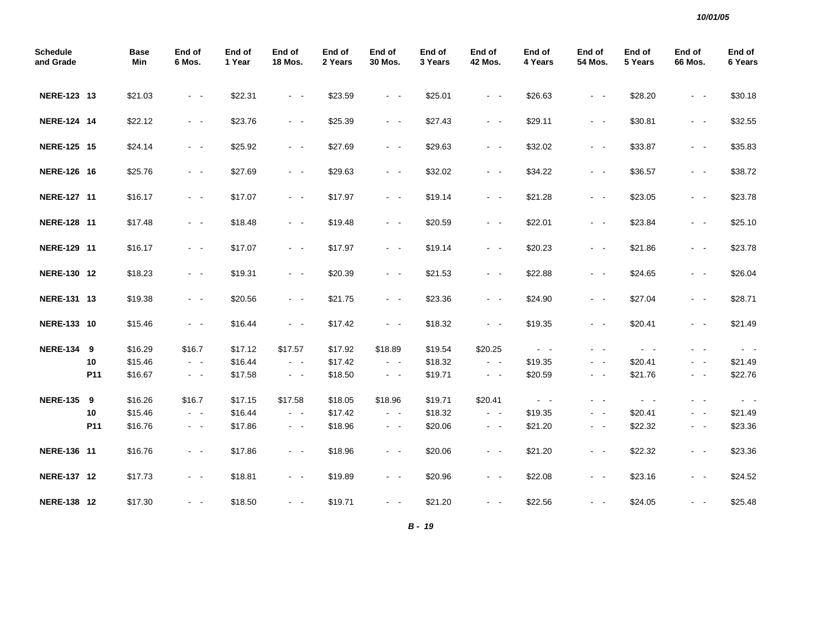| <b>Schedule</b><br>and Grade |     | <b>Base</b><br>Min | End of<br>6 Mos.    | End of<br>1 Year | End of<br><b>18 Mos.</b> | End of<br>2 Years | End of<br>30 Mos.       | End of<br>3 Years | End of<br><b>42 Mos.</b> | End of<br>4 Years   | End of<br>54 Mos.       | End of<br>5 Years | End of<br>66 Mos.       | End of<br>6 Years |
|------------------------------|-----|--------------------|---------------------|------------------|--------------------------|-------------------|-------------------------|-------------------|--------------------------|---------------------|-------------------------|-------------------|-------------------------|-------------------|
| NERE-123 13                  |     | \$21.03            | $\sim$ $ \sim$      | \$22.31          | $\sim$ $ \sim$           | \$23.59           | $\sim$ $ \sim$          | \$25.01           | $\sim$ $ \sim$           | \$26.63             | $\sim$ $ \sim$          | \$28.20           | $\sim$ $ \sim$          | \$30.18           |
| NERE-124 14                  |     | \$22.12            | $\sim$ $ \sim$      | \$23.76          | $\omega_{\rm{max}}$      | \$25.39           | $\omega_{\rm{max}}$     | \$27.43           | $\sim$ $ \sim$           | \$29.11             | $\omega_{\rm{max}}$     | \$30.81           | $\sim$ $ \sim$          | \$32.55           |
| NERE-125 15                  |     | \$24.14            | $\sim$ $ \sim$      | \$25.92          | $\sim$ $ \sim$           | \$27.69           | $\sim$ $ \sim$          | \$29.63           | $\sim$ $ \sim$           | \$32.02             | $\omega_{\rm{max}}$     | \$33.87           | $\sim$ $ \sim$          | \$35.83           |
| NERE-126 16                  |     | \$25.76            | $\sim$ $ -$         | \$27.69          | $\omega_{\rm{max}}$      | \$29.63           | $\omega_{\rm{max}}$     | \$32.02           | $\sim$ $ \sim$           | \$34.22             | $\omega_{\rm{max}}$     | \$36.57           | $\sim$ $ \sim$          | \$38.72           |
| NERE-127 11                  |     | \$16.17            | $\omega_{\rm{max}}$ | \$17.07          | $\omega_{\rm{max}}$      | \$17.97           | $\omega_{\rm{max}}$     | \$19.14           | $\omega_{\rm{max}}$      | \$21.28             | $\omega_{\rm{max}}$     | \$23.05           | $\omega_{\rm{max}}$     | \$23.78           |
| NERE-128 11                  |     | \$17.48            | $\sim$ $ -$         | \$18.48          | $\sim 100$               | \$19.48           | $\omega_{\rm{max}}$     | \$20.59           | $\sim 100$               | \$22.01             | $\sim$ $ -$             | \$23.84           | $\sim$ $ -$             | \$25.10           |
| NERE-129 11                  |     | \$16.17            | $\sim$ $ \sim$      | \$17.07          | $\sim$ $ \sim$           | \$17.97           | $\omega_{\rm{max}}$     | \$19.14           | $\sim$ $ \sim$           | \$20.23             | $\sim$ $ \sim$          | \$21.86           | $\sim$ $ \sim$          | \$23.78           |
| NERE-130 12                  |     | \$18.23            | $\sim$ $\sim$       | \$19.31          | $\omega_{\rm{max}}$      | \$20.39           | $\sim$ $ \sim$          | \$21.53           | $\sim$ $ \sim$           | \$22.88             | $\sim$ $ \sim$          | \$24.65           | $\sim$ $ \sim$          | \$26.04           |
| NERE-131 13                  |     | \$19.38            | $\omega_{\rm{max}}$ | \$20.56          | $\sim 100$               | \$21.75           | $\omega_{\rm{max}}$     | \$23.36           | $\sim 100$               | \$24.90             | $\sim$ $ -$             | \$27.04           | $\sim$ $ -$             | \$28.71           |
| NERE-133 10                  |     | \$15.46            | $\sim$ $ -$         | \$16.44          | $\omega_{\rm{max}}$      | \$17.42           | $\sim$ $ \sim$          | \$18.32           | $\sim$ $ \sim$           | \$19.35             | $\sim$ $ -$             | \$20.41           | $\sim$ $ \sim$          | \$21.49           |
| <b>NERE-134 9</b>            |     | \$16.29            | \$16.7              | \$17.12          | \$17.57                  | \$17.92           | \$18.89                 | \$19.54           | \$20.25                  | $\omega_{\rm{max}}$ | $\omega_{\rm{max}}$     | $\sim$ $ -$       | $\sim 100$ km s $^{-1}$ | $\sim$ $ \sim$    |
|                              | 10  | \$15.46            | $\sim$ $ \sim$      | \$16.44          | $\omega_{\rm{max}}$      | \$17.42           | $\omega_{\rm{max}}$     | \$18.32           | $\omega_{\rm{max}}$      | \$19.35             | $\sim 100$              | \$20.41           | $\sim$ $ \sim$          | \$21.49           |
|                              | P11 | \$16.67            | $\sim$ $ \sim$      | \$17.58          | $\omega_{\rm{max}}$      | \$18.50           | $\sim$ $ \sim$          | \$19.71           | $\sim 100$               | \$20.59             | $\omega_{\rm{max}}$     | \$21.76           | $ -$                    | \$22.76           |
| <b>NERE-135</b>              | 9   | \$16.26            | \$16.7              | \$17.15          | \$17.58                  | \$18.05           | \$18.96                 | \$19.71           | \$20.41                  | $\omega_{\rm{max}}$ | $\sim 100$ km s $^{-1}$ | $\sim$ $ \sim$    | $\sim 100$ km s $^{-1}$ | $\sim 100$        |
|                              | 10  | \$15.46            | $\sim$ $ -$         | \$16.44          | $\omega_{\rm{max}}$      | \$17.42           | $\omega_{\rm{max}}$     | \$18.32           | $\sim 100$               | \$19.35             | $\omega_{\rm{max}}$     | \$20.41           | $\sim$ $ -$             | \$21.49           |
|                              | P11 | \$16.76            | $\sim$ $ \sim$      | \$17.86          | $\sim$ $ \sim$           | \$18.96           | $\sim$ $ \sim$          | \$20.06           | $\sim$ $ \sim$           | \$21.20             | $\sim$ $ \sim$          | \$22.32           | $\sim$ $ \sim$          | \$23.36           |
| NERE-136 11                  |     | \$16.76            | $\sim$ $ -$         | \$17.86          | $\omega_{\rm{max}}$      | \$18.96           | $\sim$ $ \sim$          | \$20.06           | $\sim$ $ \sim$           | \$21.20             | $\omega_{\rm{max}}$     | \$22.32           | $ -$                    | \$23.36           |
| NERE-137 12                  |     | \$17.73            | $\sim$ $ \sim$      | \$18.81          | $\sim$ $ \sim$           | \$19.89           | $\sim$ $ \sim$          | \$20.96           | $\sim$ $ \sim$           | \$22.08             | $\omega_{\rm{max}}$     | \$23.16           | $\sim$ $ \sim$          | \$24.52           |
| NERE-138 12                  |     | \$17.30            | $\sim$ $ -$         | \$18.50          | $\sim 100$               | \$19.71           | $\sim 100$ km s $^{-1}$ | \$21.20           | $\sim 100$               | \$22.56             | $\sim 100$ km s $^{-1}$ | \$24.05           |                         | \$25.48           |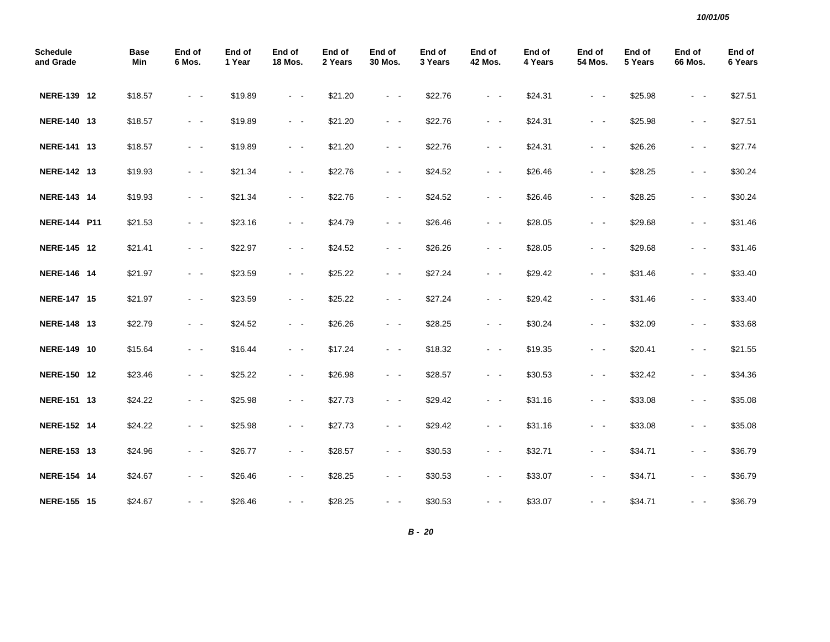| <b>Schedule</b><br>and Grade | <b>Base</b><br>Min | End of<br>6 Mos.    | End of<br>1 Year | End of<br><b>18 Mos.</b> | End of<br>2 Years | End of<br>30 Mos.   | End of<br>3 Years | End of<br><b>42 Mos.</b> | End of<br>4 Years | End of<br>54 Mos.                                                                                                                     | End of<br>5 Years | End of<br><b>66 Mos.</b> | End of<br>6 Years |
|------------------------------|--------------------|---------------------|------------------|--------------------------|-------------------|---------------------|-------------------|--------------------------|-------------------|---------------------------------------------------------------------------------------------------------------------------------------|-------------------|--------------------------|-------------------|
| NERE-139 12                  | \$18.57            | $\sim$ $ \sim$      | \$19.89          | $\sim$ $ \sim$           | \$21.20           | $\sim$ $ \sim$      | \$22.76           | $\sim$ $ \sim$           | \$24.31           | $\frac{1}{2} \left( \frac{1}{2} \right) \left( \frac{1}{2} \right) \frac{1}{2} \left( \frac{1}{2} \right) \left( \frac{1}{2} \right)$ | \$25.98           | $\sim$ $ \sim$           | \$27.51           |
| NERE-140 13                  | \$18.57            | $\sim$ $ \sim$      | \$19.89          | $\sim$ $ \sim$           | \$21.20           | $\sim$ $ \sim$      | \$22.76           | $\sim$ $ \sim$           | \$24.31           | $\sim$ $ \sim$                                                                                                                        | \$25.98           | $\sim 100$               | \$27.51           |
| NERE-141 13                  | \$18.57            | $\sim$ $ \sim$      | \$19.89          | $\sim$ $ \sim$           | \$21.20           | $\sim$ $ \sim$      | \$22.76           | $\sim$ $ \sim$           | \$24.31           | $\frac{1}{2} \left( \frac{1}{2} \right) \left( \frac{1}{2} \right) \frac{1}{2} \left( \frac{1}{2} \right) \left( \frac{1}{2} \right)$ | \$26.26           | $\sim$ $ \sim$           | \$27.74           |
| NERE-142 13                  | \$19.93            | $\sim$ $ -$         | \$21.34          | $\sim$ $ \sim$           | \$22.76           | $\sim$ $ \sim$      | \$24.52           | $\sim$ $ \sim$           | \$26.46           | $\frac{1}{2} \left( \frac{1}{2} \right) \left( \frac{1}{2} \right) \frac{1}{2} \left( \frac{1}{2} \right) \left( \frac{1}{2} \right)$ | \$28.25           | $\sim$ $ \sim$           | \$30.24           |
| NERE-143 14                  | \$19.93            | $\sim$ $ -$         | \$21.34          | $\sim 100$               | \$22.76           | $\sim$ $ -$         | \$24.52           | $\omega_{\rm{max}}$      | \$26.46           | $\frac{1}{2} \left( \frac{1}{2} \right) \left( \frac{1}{2} \right) \frac{1}{2} \left( \frac{1}{2} \right) \left( \frac{1}{2} \right)$ | \$28.25           | $\sim$ $ \sim$           | \$30.24           |
| <b>NERE-144 P11</b>          | \$21.53            | $\omega_{\rm{max}}$ | \$23.16          | $\omega_{\rm{max}}$      | \$24.79           | $\omega_{\rm{max}}$ | \$26.46           | $\omega_{\rm{max}}$      | \$28.05           | $\omega_{\rm{max}}$                                                                                                                   | \$29.68           | $\sim$ $ \sim$           | \$31.46           |
| NERE-145 12                  | \$21.41            | $\sim$ $ -$         | \$22.97          | $\sim 100$               | \$24.52           | $\omega_{\rm{max}}$ | \$26.26           | $\sim 100$               | \$28.05           | $\omega_{\rm{max}}$                                                                                                                   | \$29.68           | $\sim 100$ km s $^{-1}$  | \$31.46           |
| NERE-146 14                  | \$21.97            | $\sim$ $ \sim$      | \$23.59          | $\omega_{\rm{max}}$      | \$25.22           | $\omega_{\rm{max}}$ | \$27.24           | $\sim$ $ \sim$           | \$29.42           | $\omega_{\rm{max}}$                                                                                                                   | \$31.46           | $\sim$ $ -$              | \$33.40           |
| NERE-147 15                  | \$21.97            | $\sim$ $ -$         | \$23.59          | $\omega_{\rm{max}}$      | \$25.22           | $\omega_{\rm{max}}$ | \$27.24           | $\omega_{\rm{max}}$      | \$29.42           | $\sim$ $ -$                                                                                                                           | \$31.46           | $\omega_{\rm{max}}$      | \$33.40           |
| NERE-148 13                  | \$22.79            | $\omega_{\rm{max}}$ | \$24.52          | $\omega_{\rm{max}}$      | \$26.26           | $\sim$ $ -$         | \$28.25           | $\sim$ $ \sim$           | \$30.24           | $\sim 100$                                                                                                                            | \$32.09           | $\sim$ $ \sim$           | \$33.68           |
| NERE-149 10                  | \$15.64            | $\omega_{\rm{max}}$ | \$16.44          | $\omega_{\rm{max}}$      | \$17.24           | $\sim$ $ \sim$      | \$18.32           | $\sim$ $ \sim$           | \$19.35           | $\sim$ $ -$                                                                                                                           | \$20.41           | $\omega_{\rm{max}}$      | \$21.55           |
| NERE-150 12                  | \$23.46            | $\sim 100$          | \$25.22          | $\sim$ $ \sim$           | \$26.98           | $\sim$ $ \sim$      | \$28.57           | $\sim$ $ \sim$           | \$30.53           | $\sim$ $ -$                                                                                                                           | \$32.42           | $\sim 100$               | \$34.36           |
| NERE-151 13                  | \$24.22            | $\sim$ $\sim$       | \$25.98          | $\omega_{\rm{max}}$      | \$27.73           | $\omega_{\rm{max}}$ | \$29.42           | $\sim$ $ \sim$           | \$31.16           | $\sim$ $ -$                                                                                                                           | \$33.08           | $\sim$ $ \sim$           | \$35.08           |
| NERE-152 14                  | \$24.22            | $\sim 100$          | \$25.98          | $\sim 100$               | \$27.73           | $\sim$ $ \sim$      | \$29.42           | $\sim 100$               | \$31.16           | $\sim 100$                                                                                                                            | \$33.08           | $\sim$ $ \sim$           | \$35.08           |
| NERE-153 13                  | \$24.96            | $\sim$ $ -$         | \$26.77          | $\sim$ $ \sim$           | \$28.57           | $\sim$ $ \sim$      | \$30.53           | $\sim$ $ \sim$           | \$32.71           | $\omega_{\rm{max}}$                                                                                                                   | \$34.71           | $\sim 100$               | \$36.79           |
| <b>NERE-154 14</b>           | \$24.67            | $\sim$ $ -$         | \$26.46          | $\sim$ $ \sim$           | \$28.25           | $\sim$ $ -$         | \$30.53           | $\sim$ $ \sim$           | \$33.07           | $\sim$ $ -$                                                                                                                           | \$34.71           | $\sim$ $ \sim$           | \$36.79           |
| <b>NERE-155 15</b>           | \$24.67            | $\sim$ $ \sim$      | \$26.46          | $\sim 100$ km s $^{-1}$  | \$28.25           | $\sim$ $ \sim$      | \$30.53           | $\omega_{\rm{max}}$      | \$33.07           | $\omega_{\rm{max}}$                                                                                                                   | \$34.71           | $\omega_{\rm{max}}$      | \$36.79           |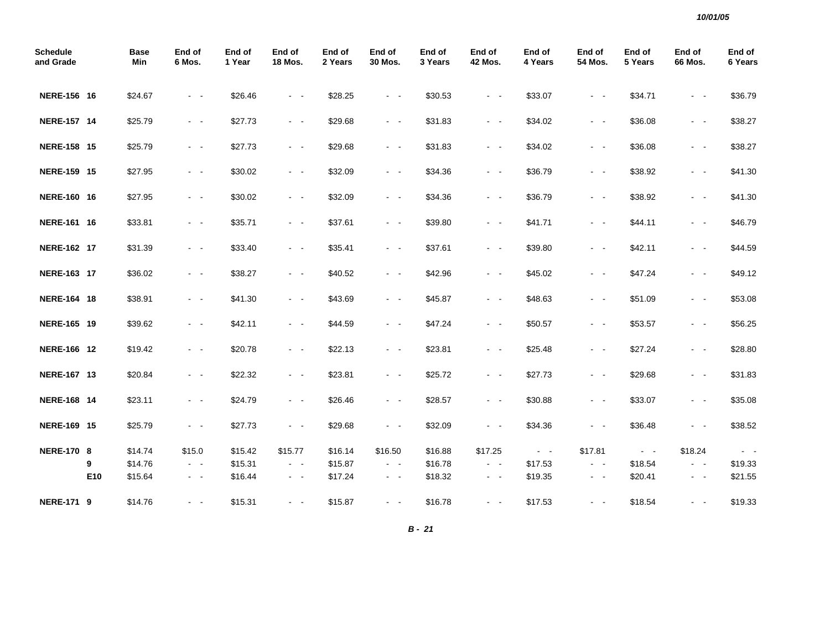| <b>Schedule</b><br>and Grade |     | <b>Base</b><br>Min | End of<br>6 Mos.    | End of<br>1 Year | End of<br><b>18 Mos.</b> | End of<br>2 Years | End of<br>30 Mos.   | End of<br>3 Years | End of<br><b>42 Mos.</b> | End of<br>4 Years | End of<br>54 Mos.   | End of<br>5 Years | End of<br><b>66 Mos.</b> | End of<br>6 Years |
|------------------------------|-----|--------------------|---------------------|------------------|--------------------------|-------------------|---------------------|-------------------|--------------------------|-------------------|---------------------|-------------------|--------------------------|-------------------|
| NERE-156 16                  |     | \$24.67            | $\sim$ $ \sim$      | \$26.46          | $\omega_{\rm{max}}$      | \$28.25           | $\omega_{\rm{max}}$ | \$30.53           | $\sim$ $ \sim$           | \$33.07           | $\omega_{\rm{max}}$ | \$34.71           | $\omega_{\rm{max}}$      | \$36.79           |
| NERE-157 14                  |     | \$25.79            | $\sim$ $ \sim$      | \$27.73          | $\sim$ $ \sim$           | \$29.68           | $\sim$ $ \sim$      | \$31.83           | $\sim$ $ \sim$           | \$34.02           | $\sim$ $ \sim$      | \$36.08           | $\omega_{\rm{max}}$      | \$38.27           |
| <b>NERE-158 15</b>           |     | \$25.79            | $\sim$ $ -$         | \$27.73          | $\sim$ $ \sim$           | \$29.68           | $\sim$ $ \sim$      | \$31.83           | $\sim$ $ \sim$           | \$34.02           | $\sim$ $ \sim$      | \$36.08           | $\sim$ $ \sim$           | \$38.27           |
| NERE-159 15                  |     | \$27.95            | $\sim$ $ -$         | \$30.02          | $\sim 100$               | \$32.09           | $\omega_{\rm{max}}$ | \$34.36           | $\omega_{\rm{max}}$      | \$36.79           | $\omega_{\rm{max}}$ | \$38.92           | $\omega_{\rm{max}}$      | \$41.30           |
| NERE-160 16                  |     | \$27.95            | $\sim$ $ -$         | \$30.02          | $\sim 100$               | \$32.09           | $\omega_{\rm{max}}$ | \$34.36           | $\omega_{\rm{max}}$      | \$36.79           | $\sim$ $ -$         | \$38.92           | $\omega_{\rm{max}}$      | \$41.30           |
| NERE-161 16                  |     | \$33.81            | $\sim$ $ \sim$      | \$35.71          | $\omega_{\rm{max}}$      | \$37.61           | $\omega_{\rm{max}}$ | \$39.80           | $\sim$ $ \sim$           | \$41.71           | $\sim$ $ \sim$      | \$44.11           | $\sim$ $ \sim$           | \$46.79           |
| NERE-162 17                  |     | \$31.39            | $\sim$ $ -$         | \$33.40          | $\sim 100$               | \$35.41           | $\omega_{\rm{max}}$ | \$37.61           | $\sim 100$               | \$39.80           | $\omega_{\rm{max}}$ | \$42.11           | $\omega_{\rm{max}}$      | \$44.59           |
| NERE-163 17                  |     | \$36.02            | $\omega_{\rm{max}}$ | \$38.27          | $\omega_{\rm{max}}$      | \$40.52           | $\sim$ $ \sim$      | \$42.96           | $\sim 100$               | \$45.02           | $\sim$ $ \sim$      | \$47.24           | $\sim$ $ \sim$           | \$49.12           |
| NERE-164 18                  |     | \$38.91            | $\sim$ $ \sim$      | \$41.30          | $\omega_{\rm{max}}$      | \$43.69           | $\omega_{\rm{max}}$ | \$45.87           | $\sim$ $ \sim$           | \$48.63           | $\sim$ $ \sim$      | \$51.09           | $\sim$ $ \sim$           | \$53.08           |
| NERE-165 19                  |     | \$39.62            | $\sim$ $ \sim$      | \$42.11          | $\sim$ $ \sim$           | \$44.59           | $\sim$ $ \sim$      | \$47.24           | $\sim$ $ \sim$           | \$50.57           | $\sim$ $ \sim$      | \$53.57           | $\sim 100$               | \$56.25           |
| NERE-166 12                  |     | \$19.42            | $\sim$ $ \sim$      | \$20.78          | $\sim 100$               | \$22.13           | $\sim 100$          | \$23.81           | $\omega_{\rm{max}}$      | \$25.48           | $\sim$ $ \sim$      | \$27.24           | $\sim 100$               | \$28.80           |
| NERE-167 13                  |     | \$20.84            | $\sim$ $ \sim$      | \$22.32          | $\sim$ $ \sim$           | \$23.81           | $\sim$ $ \sim$      | \$25.72           | $\sim 100$               | \$27.73           | $\omega_{\rm{max}}$ | \$29.68           | $\sim$ $ \sim$           | \$31.83           |
| <b>NERE-168 14</b>           |     | \$23.11            | $\omega_{\rm{max}}$ | \$24.79          | $\omega_{\rm{max}}$      | \$26.46           | $\omega_{\rm{max}}$ | \$28.57           | $\sim$ $ \sim$           | \$30.88           | $\omega_{\rm{max}}$ | \$33.07           | $\sim$ $ \sim$           | \$35.08           |
| NERE-169 15                  |     | \$25.79            | $\sim$ $ -$         | \$27.73          | $\sim$ $ \sim$           | \$29.68           | $\sim$ $ \sim$      | \$32.09           | $\sim$ $ \sim$           | \$34.36           | $\sim$ $ \sim$      | \$36.48           | $\sim$ $ \sim$           | \$38.52           |
| <b>NERE-170 8</b>            |     | \$14.74            | \$15.0              | \$15.42          | \$15.77                  | \$16.14           | \$16.50             | \$16.88           | \$17.25                  | $\sim 100$        | \$17.81             | $\sim 100$        | \$18.24                  | $\sim$ $ \sim$    |
|                              | 9   | \$14.76            | $\sim$ $ \sim$      | \$15.31          | $\sim$ $ \sim$           | \$15.87           | $\sim 100$          | \$16.78           | $\omega_{\rm{max}}$      | \$17.53           | $\omega_{\rm{max}}$ | \$18.54           | $\sim$ $ \sim$           | \$19.33           |
|                              | E10 | \$15.64            | $\sim$ $ \sim$      | \$16.44          | $\omega_{\rm{max}}$      | \$17.24           | $\omega_{\rm{max}}$ | \$18.32           | $\omega_{\rm{eff}}$      | \$19.35           | $\omega_{\rm{max}}$ | \$20.41           | $\sim$ $ \sim$           | \$21.55           |
| <b>NERE-171 9</b>            |     | \$14.76            | $\omega_{\rm{max}}$ | \$15.31          | $\sim$ $ \sim$           | \$15.87           | $\sim$ $ \sim$      | \$16.78           | $\sim$ $ \sim$           | \$17.53           | $\omega_{\rm{max}}$ | \$18.54           | $\sim 100$ km s $^{-1}$  | \$19.33           |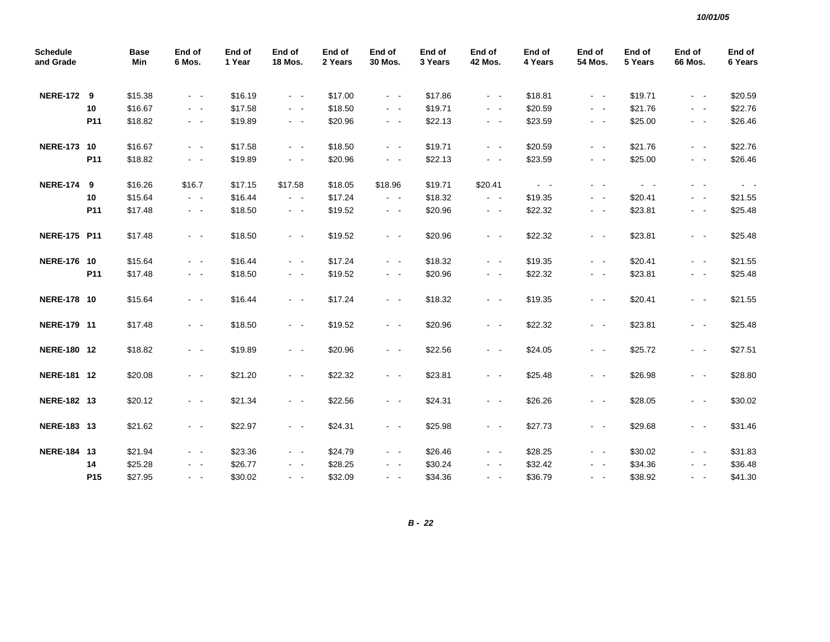| <b>Schedule</b><br>and Grade |                 | <b>Base</b><br>Min | End of<br>6 Mos.    | End of<br>1 Year | End of<br><b>18 Mos.</b> | End of<br>2 Years | End of<br>30 Mos.   | End of<br>3 Years | End of<br><b>42 Mos.</b> | End of<br>4 Years       | End of<br>54 Mos.       | End of<br>5 Years | End of<br>66 Mos.                         | End of<br>6 Years   |
|------------------------------|-----------------|--------------------|---------------------|------------------|--------------------------|-------------------|---------------------|-------------------|--------------------------|-------------------------|-------------------------|-------------------|-------------------------------------------|---------------------|
| <b>NERE-172 9</b>            |                 | \$15.38            | $\sim$ $ -$         | \$16.19          | $\sim$ $-$               | \$17.00           | $\omega_{\rm{max}}$ | \$17.86           | $\sim 100$               | \$18.81                 | $\sim$ $ -$             | \$19.71           | $\sim 100$                                | \$20.59             |
|                              | 10              | \$16.67            | $\sim$ $ -$         | \$17.58          | $\sim$ $ -$              | \$18.50           | $\sim$ $ -$         | \$19.71           | $\sim$ $ \sim$           | \$20.59                 | $\sim$ $ \sim$          | \$21.76           | $\sim$ $ \sim$                            | \$22.76             |
|                              | P <sub>11</sub> | \$18.82            | $\sim$ $ -$         | \$19.89          | $\sim$ $ \sim$           | \$20.96           | $\omega_{\rm{max}}$ | \$22.13           | $\omega_{\rm{max}}$      | \$23.59                 | $\sim$ $ -$             | \$25.00           | $\sim$ $ \sim$                            | \$26.46             |
| <b>NERE-173 10</b>           |                 | \$16.67            | $\sim$ $ -$         | \$17.58          | $\sim$ $-$               | \$18.50           | $\omega_{\rm{max}}$ | \$19.71           | $\sim 100$               | \$20.59                 | $\sim 100$ km s $^{-1}$ | \$21.76           | $\omega_{\rm{max}}$                       | \$22.76             |
|                              | P11             | \$18.82            | $\sim 100$          | \$19.89          | $\omega_{\rm{max}}$      | \$20.96           | $\omega_{\rm{max}}$ | \$22.13           | $\sim 100$               | \$23.59                 | $\sim$ $ -$             | \$25.00           | $\omega_{\rm{eff}}$ , $\omega_{\rm{eff}}$ | \$26.46             |
| <b>NERE-174 9</b>            |                 | \$16.26            | \$16.7              | \$17.15          | \$17.58                  | \$18.05           | \$18.96             | \$19.71           | \$20.41                  | $\sim 100$ km s $^{-1}$ | $\sim$ $ \sim$          | $\sim 100$        | $\sim$ $\sim$                             | $\omega_{\rm{max}}$ |
|                              | 10              | \$15.64            | $\omega_{\rm{max}}$ | \$16.44          | $\sim$ $ -$              | \$17.24           | $\omega_{\rm{max}}$ | \$18.32           | $\omega_{\rm{max}}$      | \$19.35                 | $\omega_{\rm{max}}$     | \$20.41           | $\sim$ $ -$                               | \$21.55             |
|                              | P11             | \$17.48            | $\sim$ $ \sim$      | \$18.50          | $\omega_{\rm{max}}$      | \$19.52           | $\omega_{\rm{max}}$ | \$20.96           | $\sim$ $ \sim$           | \$22.32                 | $\sim$ $ \sim$          | \$23.81           | $\omega_{\rm{max}}$                       | \$25.48             |
| <b>NERE-175 P11</b>          |                 | \$17.48            | $\omega_{\rm{max}}$ | \$18.50          | $\sim$ $ -$              | \$19.52           | $\omega_{\rm{max}}$ | \$20.96           | $\sim 100$               | \$22.32                 | $\omega_{\rm{max}}$     | \$23.81           | $\omega_{\rm{max}}$                       | \$25.48             |
| <b>NERE-176 10</b>           |                 | \$15.64            | $\omega_{\rm{max}}$ | \$16.44          | $\sim$ $ -$              | \$17.24           | $\sim$ $ -$         | \$18.32           | $\sim 100$               | \$19.35                 | $\omega_{\rm{max}}$     | \$20.41           | $\omega_{\rm{max}}$                       | \$21.55             |
|                              | P <sub>11</sub> | \$17.48            | $\sim$ $-$          | \$18.50          | $\sim$ $ \sim$           | \$19.52           | $\sim$ $ \sim$      | \$20.96           | $\sim$ $ \sim$           | \$22.32                 | $\sim$ $ -$             | \$23.81           | $\sim$ $ \sim$                            | \$25.48             |
| <b>NERE-178 10</b>           |                 | \$15.64            | $\sim$ $ \sim$      | \$16.44          | $\sim$ $ -$              | \$17.24           | $\sim$ $ -$         | \$18.32           | $\omega_{\rm{max}}$      | \$19.35                 | $\omega_{\rm{max}}$     | \$20.41           | $\sim$ $ \sim$                            | \$21.55             |
| NERE-179 11                  |                 | \$17.48            | $\sim$ $ \sim$      | \$18.50          | $\sim$ $ \sim$           | \$19.52           | $\sim$ $ \sim$      | \$20.96           | $\omega_{\rm{max}}$      | \$22.32                 | $\sim$ $ -$             | \$23.81           | $\sim$ $ \sim$                            | \$25.48             |
| NERE-180 12                  |                 | \$18.82            | $\sim$ $-$          | \$19.89          | $\sim$ $ \sim$           | \$20.96           | $\sim$ $ \sim$      | \$22.56           | $\sim$ $ \sim$           | \$24.05                 | $\sim$ $ \sim$          | \$25.72           | $\sim$ $ \sim$                            | \$27.51             |
| NERE-181 12                  |                 | \$20.08            | $\omega_{\rm{max}}$ | \$21.20          | $\sim$ $ -$              | \$22.32           | $\sim$ $ -$         | \$23.81           | $\sim 100$               | \$25.48                 | $\omega_{\rm{max}}$     | \$26.98           | $\omega_{\rm{eff}}$ , $\omega_{\rm{eff}}$ | \$28.80             |
| NERE-182 13                  |                 | \$20.12            | $\sim$ $ -$         | \$21.34          | $\sim$ $ -$              | \$22.56           | $\sim 100$          | \$24.31           | $\sim 100$               | \$26.26                 | $\omega_{\rm{max}}$     | \$28.05           | $\omega_{\rm{max}}$                       | \$30.02             |
| NERE-183 13                  |                 | \$21.62            | $\sim$ $ \sim$      | \$22.97          | $\sim$ $ \sim$           | \$24.31           | $\sim$ $ \sim$      | \$25.98           | $\sim$ $ \sim$           | \$27.73                 | $\sim$ $ \sim$          | \$29.68           | $\sim$ $ \sim$                            | \$31.46             |
| NERE-184 13                  |                 | \$21.94            | $\sim 100$          | \$23.36          | $\sim$ $ \sim$           | \$24.79           | $\sim$ $ -$         | \$26.46           | $\omega_{\rm{max}}$      | \$28.25                 | $\omega_{\rm{max}}$     | \$30.02           | $\sim$ $ -$                               | \$31.83             |
|                              | 14              | \$25.28            | $\sim 100$          | \$26.77          | $\omega_{\rm{max}}$      | \$28.25           | $\sim$ $ \sim$      | \$30.24           | $\omega_{\rm{max}}$      | \$32.42                 | $\sim$ $ -$             | \$34.36           | $\omega_{\rm{max}}$                       | \$36.48             |
|                              | P <sub>15</sub> | \$27.95            | $\sim$ $ -$         | \$30.02          | $\sim$ $ \sim$           | \$32.09           | $\sim$ $ \sim$      | \$34.36           | $\omega_{\rm{max}}$      | \$36.79                 | $\sim$ $ -$             | \$38.92           | $\omega_{\rm{max}}$                       | \$41.30             |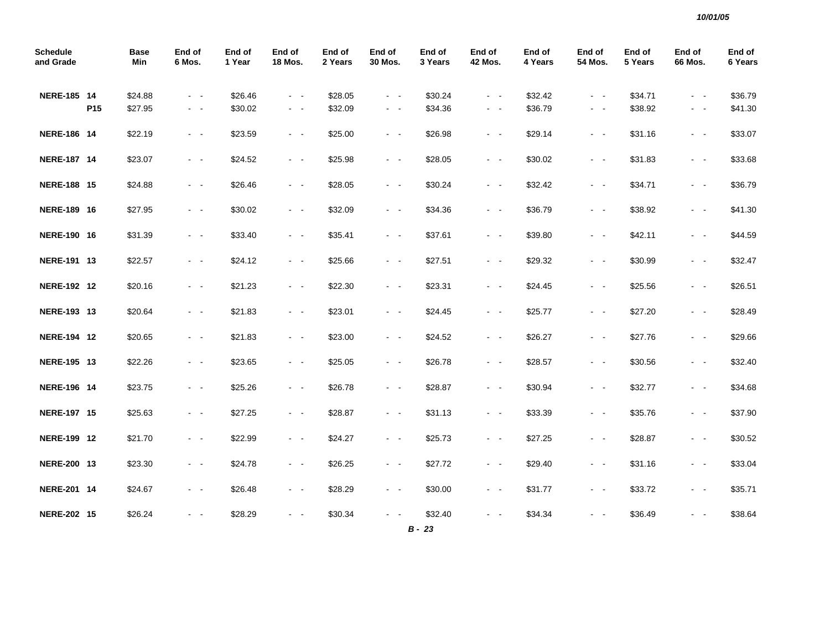| <b>Schedule</b><br>and Grade |                 | <b>Base</b><br>Min | End of<br>6 Mos.    | End of<br>1 Year | End of<br><b>18 Mos.</b> | End of<br>2 Years | End of<br>30 Mos.       | End of<br>3 Years   | End of<br>42 Mos.       | End of<br>4 Years | End of<br>54 Mos.                         | End of<br>5 Years | End of<br>66 Mos.   | End of<br>6 Years |
|------------------------------|-----------------|--------------------|---------------------|------------------|--------------------------|-------------------|-------------------------|---------------------|-------------------------|-------------------|-------------------------------------------|-------------------|---------------------|-------------------|
| NERE-185 14                  |                 | \$24.88            | $\omega_{\rm{max}}$ | \$26.46          | $\omega_{\rm{max}}$      | \$28.05           | $\sim 100$              | \$30.24             | $\sim 100$              | \$32.42           | $\sim$ $ -$                               | \$34.71           | $\sim$ $ -$         | \$36.79           |
|                              | P <sub>15</sub> | \$27.95            | $\sim$ $ -$         | \$30.02          | $\omega_{\rm{max}}$      | \$32.09           | $\sim 100$              | \$34.36             | $\omega_{\rm{max}}$     | \$36.79           | $\omega_{\rm{eff}}$ , $\omega_{\rm{eff}}$ | \$38.92           | $\sim 100$          | \$41.30           |
| NERE-186 14                  |                 | \$22.19            | $\omega_{\rm{max}}$ | \$23.59          | $\sim$ $ -$              | \$25.00           | $\omega_{\rm{max}}$     | \$26.98             | $\omega_{\rm{max}}$     | \$29.14           | $\omega_{\rm{max}}$                       | \$31.16           | $\sim$ $ \sim$      | \$33.07           |
| NERE-187 14                  |                 | \$23.07            | $\omega_{\rm{max}}$ | \$24.52          | $\omega_{\rm{max}}$      | \$25.98           | $\omega_{\rm{max}}$     | \$28.05             | $\sim 100$              | \$30.02           | $\omega_{\rm{max}}$                       | \$31.83           | $\omega_{\rm{eff}}$ | \$33.68           |
| NERE-188 15                  |                 | \$24.88            | $\omega_{\rm{max}}$ | \$26.46          | $\omega_{\rm{max}}$      | \$28.05           | $\omega_{\rm{max}}$     | \$30.24             | $\omega_{\rm{max}}$     | \$32.42           | $\omega_{\rm{max}}$                       | \$34.71           | $\sim$ $ \sim$      | \$36.79           |
| NERE-189 16                  |                 | \$27.95            | $\sim 100$          | \$30.02          | $\omega_{\rm{max}}$      | \$32.09           | $\sim$ $ \sim$          | \$34.36             | $\sim$ $ \sim$          | \$36.79           | $\sim$ $ \sim$                            | \$38.92           | $\sim$ $ \sim$      | \$41.30           |
| NERE-190 16                  |                 | \$31.39            | $\sim$ $ -$         | \$33.40          | $\omega_{\rm{max}}$      | \$35.41           | $\omega_{\rm{max}}$     | \$37.61             | $\sim 100$ km s $^{-1}$ | \$39.80           | $\omega_{\rm{max}}$                       | \$42.11           | $\sim$ $ \sim$      | \$44.59           |
| NERE-191 13                  |                 | \$22.57            | $\omega_{\rm{max}}$ | \$24.12          | $\omega_{\rm{max}}$      | \$25.66           | $\omega_{\rm{max}}$     | \$27.51             | $\sim 100$              | \$29.32           | $\omega_{\rm{max}}$                       | \$30.99           | $\sim$ $ -$         | \$32.47           |
| NERE-192 12                  |                 | \$20.16            | $\sim$ $ \sim$      | \$21.23          | $\omega_{\rm{max}}$      | \$22.30           | $\omega_{\rm{max}}$     | \$23.31             | $\omega_{\rm{max}}$     | \$24.45           | $\omega_{\rm{max}}$                       | \$25.56           | $\sim$ $ \sim$      | \$26.51           |
| NERE-193 13                  |                 | \$20.64            | $\omega_{\rm{max}}$ | \$21.83          | $\sim 100$ km s $^{-1}$  | \$23.01           | $\sim 100$ km s $^{-1}$ | \$24.45             | $\sim 100$ km s $^{-1}$ | \$25.77           | $\sim 100$ km s $^{-1}$                   | \$27.20           | $\omega_{\rm{max}}$ | \$28.49           |
| NERE-194 12                  |                 | \$20.65            | $\omega_{\rm{max}}$ | \$21.83          | $\omega_{\rm{max}}$      | \$23.00           | $\omega_{\rm{max}}$     | \$24.52             | $\sim 100$              | \$26.27           | $\omega_{\rm{max}}$                       | \$27.76           | $\omega_{\rm{max}}$ | \$29.66           |
| NERE-195 13                  |                 | \$22.26            | $\omega_{\rm{max}}$ | \$23.65          | $\omega_{\rm{max}}$      | \$25.05           | $\omega_{\rm{max}}$     | \$26.78             | $\omega_{\rm{max}}$     | \$28.57           | $\omega_{\rm{max}}$                       | \$30.56           | $\omega_{\rm{max}}$ | \$32.40           |
| NERE-196 14                  |                 | \$23.75            | $\omega_{\rm{max}}$ | \$25.26          | $\omega_{\rm{max}}$      | \$26.78           | $\omega_{\rm{max}}$     | \$28.87             | $\sim 100$              | \$30.94           | $\sim 100$ km s $^{-1}$                   | \$32.77           | $\omega_{\rm{max}}$ | \$34.68           |
| NERE-197 15                  |                 | \$25.63            | $\omega_{\rm{max}}$ | \$27.25          | $\omega_{\rm{max}}$      | \$28.87           | $\omega_{\rm{max}}$     | \$31.13             | $\sim 100$              | \$33.39           | $\omega_{\rm{max}}$                       | \$35.76           | $\sim$ $ \sim$      | \$37.90           |
| <b>NERE-199 12</b>           |                 | \$21.70            | $\sim$ $ \sim$      | \$22.99          | $\omega_{\rm{max}}$      | \$24.27           | $\omega_{\rm{max}}$     | \$25.73             | $\omega_{\rm{max}}$     | \$27.25           | $\omega_{\rm{max}}$                       | \$28.87           | $\omega_{\rm{max}}$ | \$30.52           |
| NERE-200 13                  |                 | \$23.30            | $\omega_{\rm{max}}$ | \$24.78          | $\omega_{\rm{max}}$      | \$26.25           | $\omega_{\rm{max}}$     | \$27.72             | $\omega_{\rm{max}}$     | \$29.40           | $\omega_{\rm{max}}$                       | \$31.16           | $\sim$ $ \sim$      | \$33.04           |
| NERE-201 14                  |                 | \$24.67            | $\sim$ $ \sim$      | \$26.48          | $\sim$ $ \sim$           | \$28.29           | $\sim$                  | \$30.00             | $\omega_{\rm{max}}$     | \$31.77           | $\omega_{\rm{max}}$                       | \$33.72           | $\sim$ $ \sim$      | \$35.71           |
| NERE-202 15                  |                 | \$26.24            | $\sim$ $ \sim$      | \$28.29          |                          | \$30.34           | $\sim$ $\sim$           | \$32.40<br>$B - 23$ | $\sim$ $ \sim$          | \$34.34           |                                           | \$36.49           | - -                 | \$38.64           |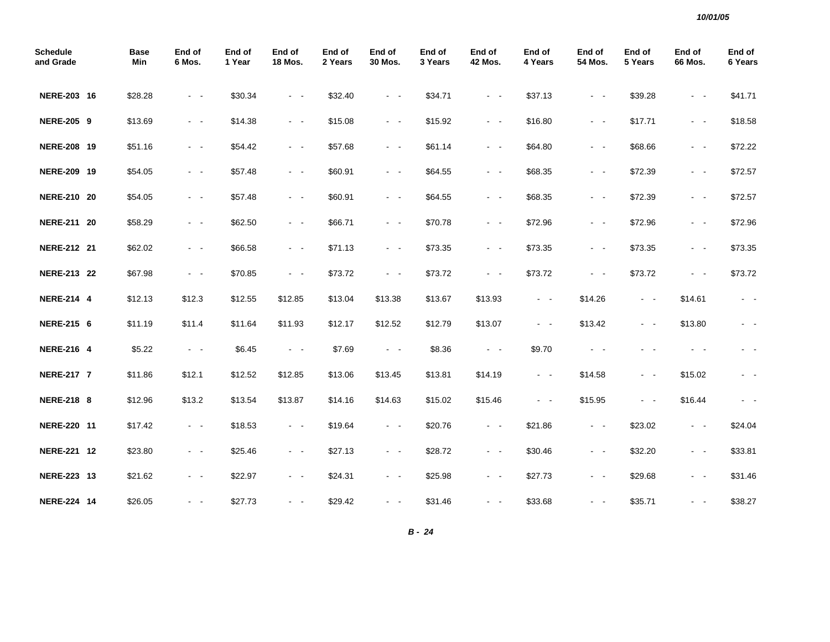| <b>Schedule</b><br>and Grade | <b>Base</b><br>Min | End of<br>6 Mos.    | End of<br>1 Year | End of<br><b>18 Mos.</b> | End of<br>2 Years | End of<br>30 Mos.                                                                                            | End of<br>3 Years | End of<br><b>42 Mos.</b> | End of<br>4 Years   | End of<br><b>54 Mos.</b> | End of<br>5 Years | End of<br><b>66 Mos.</b> | End of<br>6 Years       |
|------------------------------|--------------------|---------------------|------------------|--------------------------|-------------------|--------------------------------------------------------------------------------------------------------------|-------------------|--------------------------|---------------------|--------------------------|-------------------|--------------------------|-------------------------|
| NERE-203 16                  | \$28.28            | $\sim$ $ \sim$      | \$30.34          | $\sim 100$               | \$32.40           | $\sim$ $ \sim$                                                                                               | \$34.71           | $\sim$ $ -$              | \$37.13             | $\sim$ $ -$              | \$39.28           | $\sim$ $ \sim$           | \$41.71                 |
| <b>NERE-205 9</b>            | \$13.69            | $\sim$ $ \sim$      | \$14.38          | $\sim$ $ \sim$           | \$15.08           | $\sim$ $ \sim$                                                                                               | \$15.92           | $\sim$ $ \sim$           | \$16.80             | $\sim$ $ \sim$           | \$17.71           | $\sim$ $ \sim$           | \$18.58                 |
| NERE-208 19                  | \$51.16            | $\sim$ $ -$         | \$54.42          | $\omega_{\rm{max}}$      | \$57.68           | $\omega_{\rm{max}}$                                                                                          | \$61.14           | $\omega_{\rm{max}}$      | \$64.80             | $\sim$ $ -$              | \$68.66           | $\omega_{\rm{max}}$      | \$72.22                 |
| NERE-209 19                  | \$54.05            | $\sim$ $ -$         | \$57.48          | $\sim$ $ \sim$           | \$60.91           | $\sim$ $ \sim$                                                                                               | \$64.55           | $\sim$ $ \sim$           | \$68.35             | $\sim$ $ -$              | \$72.39           | $\sim$ $ \sim$           | \$72.57                 |
| NERE-210 20                  | \$54.05            | $\sim$ $ -$         | \$57.48          | $\sim 100$ km $^{-1}$    | \$60.91           | $\omega_{\rm{max}}$                                                                                          | \$64.55           | $\sim$ $ -$              | \$68.35             | $\sim$ $ -$              | \$72.39           | $\omega_{\rm{max}}$      | \$72.57                 |
| NERE-211 20                  | \$58.29            | $\sim$ $ -$         | \$62.50          | $\omega_{\rm{max}}$      | \$66.71           | $\omega_{\rm{max}}$                                                                                          | \$70.78           | $\omega_{\rm{max}}$      | \$72.96             | $\sim$ $ -$              | \$72.96           | $\omega_{\rm{max}}$      | \$72.96                 |
| NERE-212 21                  | \$62.02            | $\sim$ $ \sim$      | \$66.58          | $\omega_{\rm{max}}$      | \$71.13           | $\omega_{\rm{max}}$                                                                                          | \$73.35           | $\sim$ $ \sim$           | \$73.35             | $\sim$ $ \sim$           | \$73.35           | $\sim$ $ \sim$           | \$73.35                 |
| NERE-213 22                  | \$67.98            | $\sim$ $ -$         | \$70.85          | $\omega_{\rm{max}}$      | \$73.72           | $\omega_{\rm{max}}$                                                                                          | \$73.72           | $\sim$ $ \sim$           | \$73.72             | $\sim$ $ \sim$           | \$73.72           | $\omega_{\rm{max}}$      | \$73.72                 |
| <b>NERE-214 4</b>            | \$12.13            | \$12.3              | \$12.55          | \$12.85                  | \$13.04           | \$13.38                                                                                                      | \$13.67           | \$13.93                  | $\sim$ $ -$         | \$14.26                  | $\sim$ $ \sim$    | \$14.61                  | $\sim$ $ \sim$          |
| <b>NERE-215 6</b>            | \$11.19            | \$11.4              | \$11.64          | \$11.93                  | \$12.17           | \$12.52                                                                                                      | \$12.79           | \$13.07                  | $\omega_{\rm{max}}$ | \$13.42                  | $\sim$ $ \sim$    | \$13.80                  | $\sim 100$              |
| <b>NERE-216 4</b>            | \$5.22             | $\omega_{\rm{max}}$ | \$6.45           | $\omega_{\rm{max}}$      | \$7.69            | $\sim 100$ km $^{-1}$                                                                                        | \$8.36            | $\sim 100$               | \$9.70              | $\sim$ $ \sim$           | - -               | $\sim 100$               | $\sim 100$ km s $^{-1}$ |
| <b>NERE-217 7</b>            | \$11.86            | \$12.1              | \$12.52          | \$12.85                  | \$13.06           | \$13.45                                                                                                      | \$13.81           | \$14.19                  | $\omega_{\rm{max}}$ | \$14.58                  | $\sim$ $ \sim$    | \$15.02                  | $\omega_{\rm{max}}$     |
| <b>NERE-218 8</b>            | \$12.96            | \$13.2              | \$13.54          | \$13.87                  | \$14.16           | \$14.63                                                                                                      | \$15.02           | \$15.46                  | $\sim$ $ \sim$      | \$15.95                  | $\sim 100$        | \$16.44                  | $\sim$ $ -$             |
| NERE-220 11                  | \$17.42            | $\sim$ $-$          | \$18.53          | $\sim 100$               | \$19.64           | $\sim 100$                                                                                                   | \$20.76           | $\sim 100$               | \$21.86             | $\sim$ $ \sim$           | \$23.02           | $\sim 100$               | \$24.04                 |
| NERE-221 12                  | \$23.80            | $\sim$ $ \sim$      | \$25.46          | $\sim$ $ \sim$           | \$27.13           | $\frac{1}{2} \left( \frac{1}{2} \right) \left( \frac{1}{2} \right) = \frac{1}{2} \left( \frac{1}{2} \right)$ | \$28.72           | $\sim$ $ \sim$           | \$30.46             | $\sim$ $ \sim$           | \$32.20           | $\sim$ $ \sim$           | \$33.81                 |
| NERE-223 13                  | \$21.62            | $\sim$ $ \sim$      | \$22.97          | $\sim$ $ \sim$           | \$24.31           | $\sim$ $ \sim$                                                                                               | \$25.98           | $\sim 100$               | \$27.73             | $\sim$ $ \sim$           | \$29.68           | $\sim$ $ \sim$           | \$31.46                 |
| NERE-224 14                  | \$26.05            | $\sim$ $ \sim$      | \$27.73          | $\sigma_{\rm{max}}$      | \$29.42           | $\sim$ $ \sim$                                                                                               | \$31.46           | $\sim$ $ \sim$           | \$33.68             | $\sim$ $ \sim$           | \$35.71           | $\sim$ $ \sim$           | \$38.27                 |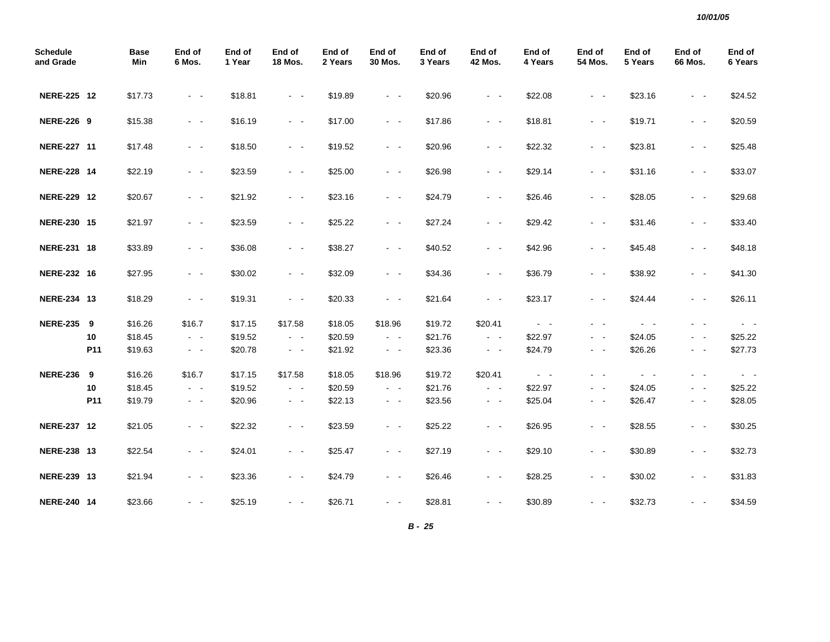| <b>Schedule</b><br>and Grade |     | <b>Base</b><br>Min | End of<br>6 Mos.        | End of<br>1 Year | End of<br><b>18 Mos.</b> | End of<br>2 Years | End of<br>30 Mos.       | End of<br>3 Years | End of<br><b>42 Mos.</b> | End of<br>4 Years   | End of<br><b>54 Mos.</b> | End of<br>5 Years   | End of<br><b>66 Mos.</b> | End of<br>6 Years   |
|------------------------------|-----|--------------------|-------------------------|------------------|--------------------------|-------------------|-------------------------|-------------------|--------------------------|---------------------|--------------------------|---------------------|--------------------------|---------------------|
| NERE-225 12                  |     | \$17.73            | $\sim$ $ \sim$          | \$18.81          | $\sim 100$               | \$19.89           | $\sim$ $ \sim$          | \$20.96           | $\omega_{\rm{max}}$      | \$22.08             | $\omega_{\rm{max}}$      | \$23.16             | $ -$                     | \$24.52             |
| <b>NERE-226 9</b>            |     | \$15.38            | $\sim$ $ \sim$          | \$16.19          | $\sim 100$               | \$17.00           | $\omega_{\rm{max}}$     | \$17.86           | $\omega_{\rm{max}}$      | \$18.81             | $\omega_{\rm{max}}$      | \$19.71             | $\sim$ $ \sim$           | \$20.59             |
| NERE-227 11                  |     | \$17.48            | $\omega_{\rm{max}}$     | \$18.50          | $\sim 100$               | \$19.52           | $\sim$ $ \sim$          | \$20.96           | $\omega_{\rm{max}}$      | \$22.32             | $\omega_{\rm{max}}$      | \$23.81             | $\sim$ $ \sim$           | \$25.48             |
| NERE-228 14                  |     | \$22.19            | $\omega_{\rm{max}}$     | \$23.59          | $\sim 100$ km s $^{-1}$  | \$25.00           | $\omega_{\rm{max}}$     | \$26.98           | $\sim 100$               | \$29.14             | $\omega_{\rm{max}}$      | \$31.16             | $\sim 100$               | \$33.07             |
| NERE-229 12                  |     | \$20.67            | $\sim$ $ -$             | \$21.92          | $\sim$ $ \sim$           | \$23.16           | $\sim$ $ \sim$          | \$24.79           | $\sim$ $ \sim$           | \$26.46             | $\sim$ $ -$              | \$28.05             | $\sim$ $ \sim$           | \$29.68             |
| NERE-230 15                  |     | \$21.97            | $\omega_{\rm{max}}$     | \$23.59          | $\sim 100$ km s $^{-1}$  | \$25.22           | $\sim 100$ km s $^{-1}$ | \$27.24           | $\omega_{\rm{max}}$      | \$29.42             | $\omega_{\rm{max}}$      | \$31.46             | $\sim$ $ \sim$           | \$33.40             |
| NERE-231 18                  |     | \$33.89            | $\omega_{\rm{max}}$     | \$36.08          | $\sim 100$               | \$38.27           | $\sim$ $ \sim$          | \$40.52           | $\omega_{\rm{max}}$      | \$42.96             | $\omega_{\rm{max}}$      | \$45.48             | $\sim$ $ \sim$           | \$48.18             |
| NERE-232 16                  |     | \$27.95            | $\sim$ $ \sim$          | \$30.02          | $\sim$ $ \sim$           | \$32.09           | $\sim$ $ \sim$          | \$34.36           | $\sim$ $ \sim$           | \$36.79             | $\sim$ $ -$              | \$38.92             | $\sim$ $ \sim$           | \$41.30             |
| NERE-234 13                  |     | \$18.29            | $\sim$ $ \sim$          | \$19.31          | $\omega_{\rm{max}}$      | \$20.33           | $\sim$ $ \sim$          | \$21.64           | $\sim$ $ \sim$           | \$23.17             | $\sim$ $ \sim$           | \$24.44             | $\sim$ $ \sim$           | \$26.11             |
| NERE-235 9                   |     | \$16.26            | \$16.7                  | \$17.15          | \$17.58                  | \$18.05           | \$18.96                 | \$19.72           | \$20.41                  | $\sigma_{\rm{max}}$ | $\sim$ $ \sim$           | $\sim$ $ \sim$      | $\sim$ $ \sim$           | $\sim 100$          |
|                              | 10  | \$18.45            | $\sim$ $ -$             | \$19.52          | $\sim 100$               | \$20.59           | $\omega_{\rm{max}}$     | \$21.76           | $\omega_{\rm{max}}$      | \$22.97             | $\omega_{\rm{max}}$      | \$24.05             | $\sim$ $ \sim$           | \$25.22             |
|                              | P11 | \$19.63            | $\sim$ $ \sim$          | \$20.78          | $\sim$ $ \sim$           | \$21.92           | $\sim$ $ \sim$          | \$23.36           | $\sim$ $ \sim$           | \$24.79             | $\sim$ $ \sim$           | \$26.26             | $\sim$ $ \sim$           | \$27.73             |
| <b>NERE-236</b>              | 9   | \$16.26            | \$16.7                  | \$17.15          | \$17.58                  | \$18.05           | \$18.96                 | \$19.72           | \$20.41                  | $\omega_{\rm{max}}$ | $\sim 100$ km s $^{-1}$  | $\omega_{\rm{max}}$ | - -                      | $\omega_{\rm{max}}$ |
|                              | 10  | \$18.45            | $\sim 100$              | \$19.52          | $\sim$ $ \sim$           | \$20.59           | $\sim$ $ \sim$          | \$21.76           | $\sim 100$               | \$22.97             | $\sim 100$ km s $^{-1}$  | \$24.05             | $\sim$ $ \sim$           | \$25.22             |
|                              | P11 | \$19.79            | $\sigma_{\rm{eff}}=0.5$ | \$20.96          | $\sigma_{\rm{max}}$      | \$22.13           | $\sigma_{\rm{max}}$     | \$23.56           | $\sim$ $ \sim$           | \$25.04             | $\sim$ $ -$              | \$26.47             | $\sim$ $ \sim$           | \$28.05             |
| NERE-237 12                  |     | \$21.05            | $\sim$ $ \sim$          | \$22.32          | $\sim 100$               | \$23.59           | $\sim$ $ \sim$          | \$25.22           | $\sim$ $ \sim$           | \$26.95             | $\omega_{\rm{max}}$      | \$28.55             | $\sim$ $ \sim$           | \$30.25             |
| NERE-238 13                  |     | \$22.54            | $\sim$ $ \sim$          | \$24.01          | $\sim 100$               | \$25.47           | $\sim$ $ \sim$          | \$27.19           | $\sim 100$               | \$29.10             | $\omega_{\rm{max}}$      | \$30.89             | $\sim$ $ \sim$           | \$32.73             |
| NERE-239 13                  |     | \$21.94            | $\sim$ $-$              | \$23.36          | $\sim$ $ \sim$           | \$24.79           | $\sim$ $ \sim$          | \$26.46           | $\sim 100$               | \$28.25             | $\sim$ $ \sim$           | \$30.02             | $\sim$ $ \sim$           | \$31.83             |
| NERE-240 14                  |     | \$23.66            | $\sim$ $-$              | \$25.19          | $\sim 100$ km s $^{-1}$  | \$26.71           | $\sim$ $ \sim$          | \$28.81           | $\sim$ $ -$              | \$30.89             | $\omega_{\rm{max}}$      | \$32.73             | $\sim$ $ \sim$           | \$34.59             |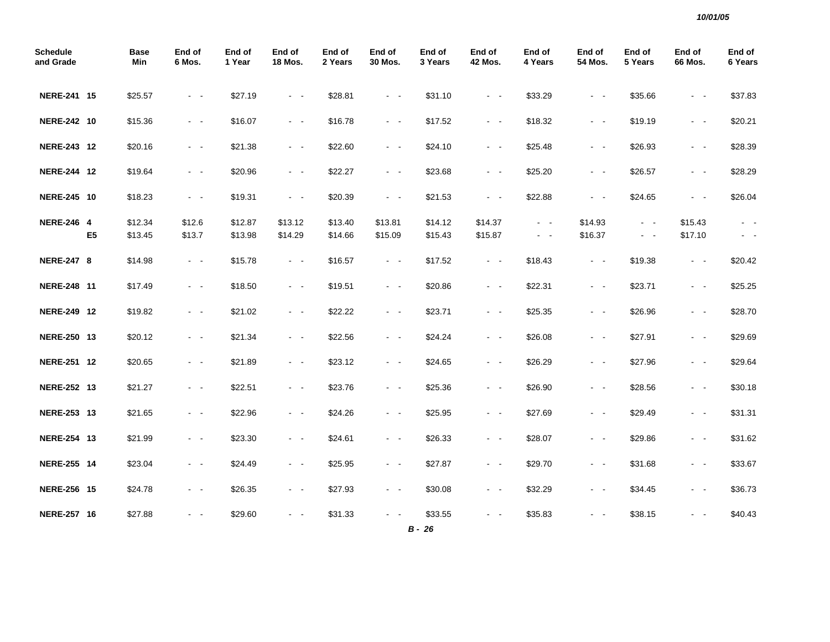| <b>Schedule</b><br>and Grade |                | <b>Base</b><br>Min | End of<br>6 Mos.    | End of<br>1 Year | End of<br><b>18 Mos.</b> | End of<br>2 Years | End of<br>30 Mos.       | End of<br>3 Years   | End of<br><b>42 Mos.</b> | End of<br>4 Years       | End of<br><b>54 Mos.</b> | End of<br>5 Years   | End of<br><b>66 Mos.</b> | End of<br>6 Years |
|------------------------------|----------------|--------------------|---------------------|------------------|--------------------------|-------------------|-------------------------|---------------------|--------------------------|-------------------------|--------------------------|---------------------|--------------------------|-------------------|
| NERE-241 15                  |                | \$25.57            | $\sim$ $ -$         | \$27.19          | $\omega_{\rm{max}}$      | \$28.81           | $\omega_{\rm{max}}$     | \$31.10             | $\omega_{\rm{max}}$      | \$33.29                 | $\omega_{\rm{max}}$      | \$35.66             | $\sim$ $ \sim$           | \$37.83           |
| NERE-242 10                  |                | \$15.36            | $\sim$ $ -$         | \$16.07          | $\omega_{\rm{max}}$      | \$16.78           | $\omega_{\rm{max}}$     | \$17.52             | $\sim 100$               | \$18.32                 | $\sim$ $ -$              | \$19.19             | $\omega_{\rm{max}}$      | \$20.21           |
| NERE-243 12                  |                | \$20.16            | $\sim$ $ -$         | \$21.38          | $\omega_{\rm{max}}$      | \$22.60           | $\omega_{\rm{max}}$     | \$24.10             | $\sim 100$               | \$25.48                 | $\sim$ $ -$              | \$26.93             | $\omega_{\rm{max}}$      | \$28.39           |
| NERE-244 12                  |                | \$19.64            | $\sim$ $ -$         | \$20.96          | $\omega_{\rm{max}}$      | \$22.27           | $\omega_{\rm{max}}$     | \$23.68             | $\sim$ $ \sim$           | \$25.20                 | $\sim$ $ \sim$           | \$26.57             | $\sim$ $ \sim$           | \$28.29           |
| NERE-245 10                  |                | \$18.23            | $\sim$ $ \sim$      | \$19.31          | $\omega_{\rm{max}}$      | \$20.39           | $\sim 100$              | \$21.53             | $\sim 100$               | \$22.88                 | $\omega_{\rm{max}}$      | \$24.65             | $\omega_{\rm{max}}$      | \$26.04           |
| <b>NERE-246 4</b>            |                | \$12.34            | \$12.6              | \$12.87          | \$13.12                  | \$13.40           | \$13.81                 | \$14.12             | \$14.37                  | $\sim 100$ km s $^{-1}$ | \$14.93                  | $\omega_{\rm{max}}$ | \$15.43                  | $\sim 100$        |
|                              | E <sub>5</sub> | \$13.45            | \$13.7              | \$13.98          | \$14.29                  | \$14.66           | \$15.09                 | \$15.43             | \$15.87                  | $\sim$ $ \sim$          | \$16.37                  | $\omega_{\rm{max}}$ | \$17.10                  |                   |
| <b>NERE-247 8</b>            |                | \$14.98            | $\sim$ $ \sim$      | \$15.78          | $\omega_{\rm{max}}$      | \$16.57           | $\omega_{\rm{max}}$     | \$17.52             | $\omega_{\rm{max}}$      | \$18.43                 | $\sim 100$               | \$19.38             | $\omega_{\rm{max}}$      | \$20.42           |
| NERE-248 11                  |                | \$17.49            | $\omega_{\rm{max}}$ | \$18.50          | $\sim 100$               | \$19.51           | $\omega_{\rm{max}}$     | \$20.86             | $\omega_{\rm{max}}$      | \$22.31                 | $\omega_{\rm{max}}$      | \$23.71             | $\sim$ $ \sim$           | \$25.25           |
| NERE-249 12                  |                | \$19.82            | $\omega_{\rm{max}}$ | \$21.02          | $\omega_{\rm{max}}$      | \$22.22           | $\omega_{\rm{max}}$     | \$23.71             | $\omega_{\rm{max}}$      | \$25.35                 | $\omega_{\rm{max}}$      | \$26.96             | $\omega_{\rm{max}}$      | \$28.70           |
| NERE-250 13                  |                | \$20.12            | $\omega_{\rm{max}}$ | \$21.34          | $\omega_{\rm{max}}$      | \$22.56           | $\omega_{\rm{max}}$     | \$24.24             | $\sim 100$               | \$26.08                 | $\sim$ $ -$              | \$27.91             | $\omega_{\rm{max}}$      | \$29.69           |
| NERE-251 12                  |                | \$20.65            | $\omega_{\rm{max}}$ | \$21.89          | $\omega_{\rm{max}}$      | \$23.12           | $\sim 100$              | \$24.65             | $\sim 100$               | \$26.29                 | $\sim$ $ -$              | \$27.96             | $\omega_{\rm{max}}$      | \$29.64           |
| NERE-252 13                  |                | \$21.27            | $\sim$ $ \sim$      | \$22.51          | $\omega_{\rm{max}}$      | \$23.76           | $\omega_{\rm{max}}$     | \$25.36             | $\omega_{\rm{max}}$      | \$26.90                 | $\sim$ $ -$              | \$28.56             | $\omega_{\rm{max}}$      | \$30.18           |
| NERE-253 13                  |                | \$21.65            | $\omega_{\rm{max}}$ | \$22.96          | $\omega_{\rm{max}}$      | \$24.26           | $\sim 100$ km s $^{-1}$ | \$25.95             | $\sim 100$ km s $^{-1}$  | \$27.69                 | $\omega_{\rm{max}}$      | \$29.49             | $\omega_{\rm{max}}$      | \$31.31           |
| NERE-254 13                  |                | \$21.99            | $\sim$ $ -$         | \$23.30          | $\sim$ $ \sim$           | \$24.61           | $\omega_{\rm{max}}$     | \$26.33             | $\omega_{\rm{max}}$      | \$28.07                 | $\omega_{\rm{max}}$      | \$29.86             | $\omega_{\rm{max}}$      | \$31.62           |
| NERE-255 14                  |                | \$23.04            | $\sim$ $ \sim$      | \$24.49          | $\sim$ $ \sim$           | \$25.95           | $\omega_{\rm{max}}$     | \$27.87             | $\sim 100$               | \$29.70                 | $\omega_{\rm{max}}$      | \$31.68             | $\sim$ $ \sim$           | \$33.67           |
| NERE-256 15                  |                | \$24.78            | $\sim 100$          | \$26.35          | $\omega_{\rm{max}}$      | \$27.93           | $\omega_{\rm{max}}$     | \$30.08             | $\omega_{\rm{max}}$      | \$32.29                 | $\omega_{\rm{max}}$      | \$34.45             | $\sim$ $ -$              | \$36.73           |
| NERE-257 16                  |                | \$27.88            | $\sim$ $ \sim$      | \$29.60          | $\sim 100$               | \$31.33           | $\omega_{\rm{max}}$     | \$33.55<br>$B - 26$ | $\sim$ $ \sim$           | \$35.83                 |                          | \$38.15             | - -                      | \$40.43           |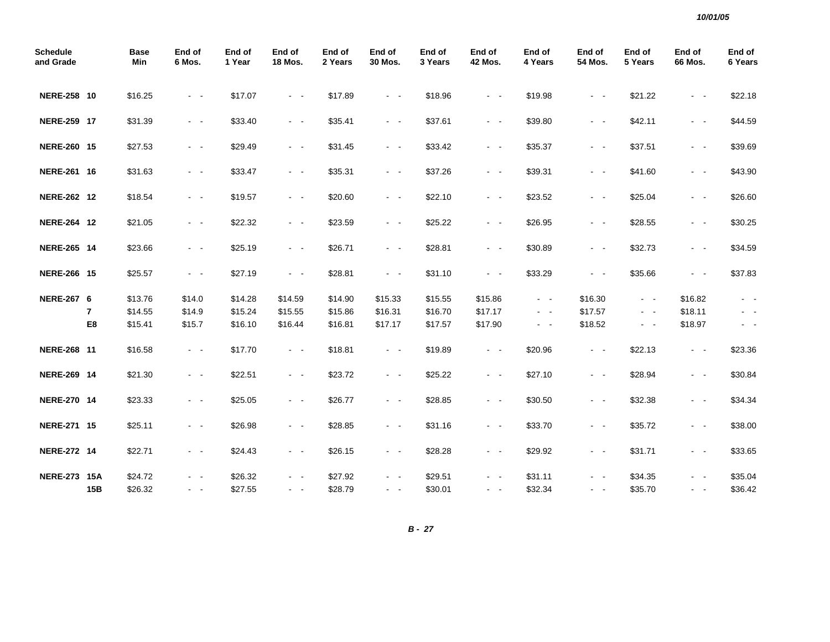| <b>Schedule</b><br>and Grade |                | <b>Base</b><br>Min | End of<br>6 Mos.    | End of<br>1 Year | End of<br><b>18 Mos.</b> | End of<br>2 Years | End of<br>30 Mos.       | End of<br>3 Years | End of<br><b>42 Mos.</b> | End of<br>4 Years | End of<br>54 Mos.       | End of<br>5 Years   | End of<br>66 Mos.   | End of<br>6 Years                                                                              |
|------------------------------|----------------|--------------------|---------------------|------------------|--------------------------|-------------------|-------------------------|-------------------|--------------------------|-------------------|-------------------------|---------------------|---------------------|------------------------------------------------------------------------------------------------|
| NERE-258 10                  |                | \$16.25            | $\sim$ $ \sim$      | \$17.07          | $\omega_{\rm{max}}$      | \$17.89           | $\omega_{\rm{max}}$     | \$18.96           | $\sim$ $ \sim$           | \$19.98           | $\omega_{\rm{max}}$     | \$21.22             | $\sim$ $ \sim$      | \$22.18                                                                                        |
| NERE-259 17                  |                | \$31.39            | $\omega_{\rm{max}}$ | \$33.40          | $\sim 100$               | \$35.41           | $\omega_{\rm{max}}$     | \$37.61           | $\omega_{\rm{max}}$      | \$39.80           | $\omega_{\rm{max}}$     | \$42.11             | $\omega_{\rm{max}}$ | \$44.59                                                                                        |
| NERE-260 15                  |                | \$27.53            | $\sim$ $ -$         | \$29.49          | $\omega_{\rm{max}}$      | \$31.45           | $\omega_{\rm{max}}$     | \$33.42           | $\sim$ $ \sim$           | \$35.37           | $\sim$ $ \sim$          | \$37.51             | $\sim$ $ -$         | \$39.69                                                                                        |
| NERE-261 16                  |                | \$31.63            | $\omega_{\rm{max}}$ | \$33.47          | $\sim 100$               | \$35.31           | $\sim$ $ \sim$          | \$37.26           | $\sim$ $ \sim$           | \$39.31           | $\omega_{\rm{max}}$     | \$41.60             | $\sim$ $ \sim$      | \$43.90                                                                                        |
| NERE-262 12                  |                | \$18.54            | $\sim$ $ \sim$      | \$19.57          | $\sim 100$               | \$20.60           | $\omega_{\rm{max}}$     | \$22.10           | $\sim$ $ \sim$           | \$23.52           | $\omega_{\rm{max}}$     | \$25.04             | $\sim$ $ \sim$      | \$26.60                                                                                        |
| NERE-264 12                  |                | \$21.05            | $\sim$ $ -$         | \$22.32          | $\sim$ $ -$              | \$23.59           | $\sim 100$ km s $^{-1}$ | \$25.22           | $\sim 100$ km s $^{-1}$  | \$26.95           | $\sim 100$ km s $^{-1}$ | \$28.55             | $\sim$ $ \sim$      | \$30.25                                                                                        |
| NERE-265 14                  |                | \$23.66            | $\sim$ $ -$         | \$25.19          | $\omega_{\rm{max}}$      | \$26.71           | $\omega_{\rm{max}}$     | \$28.81           | $\sim$ $ \sim$           | \$30.89           | $\omega_{\rm{max}}$     | \$32.73             | $\sim$ $ \sim$      | \$34.59                                                                                        |
| NERE-266 15                  |                | \$25.57            | $\sim 100$          | \$27.19          | $\sim$ $ -$              | \$28.81           | $ -$                    | \$31.10           | $\sim$ $ \sim$           | \$33.29           | $\omega_{\rm{max}}$     | \$35.66             | $ -$                | \$37.83                                                                                        |
| <b>NERE-267 6</b>            |                | \$13.76            | \$14.0              | \$14.28          | \$14.59                  | \$14.90           | \$15.33                 | \$15.55           | \$15.86                  | $\sim$ $ \sim$    | \$16.30                 | $\omega_{\rm{max}}$ | \$16.82             | $ -$                                                                                           |
|                              | $\overline{7}$ | \$14.55            | \$14.9              | \$15.24          | \$15.55                  | \$15.86           | \$16.31                 | \$16.70           | \$17.17                  | $\sim 100$        | \$17.57                 | $\sim$ $ -$         | \$18.11             | $ -$                                                                                           |
|                              | E8             | \$15.41            | \$15.7              | \$16.10          | \$16.44                  | \$16.81           | \$17.17                 | \$17.57           | \$17.90                  | $\sim$ $ \sim$    | \$18.52                 | $\sim$ $ \sim$      | \$18.97             | $\frac{1}{2} \left( \frac{1}{2} \right) \left( \frac{1}{2} \right) \left( \frac{1}{2} \right)$ |
| NERE-268 11                  |                | \$16.58            | $\omega_{\rm{max}}$ | \$17.70          | $\sim 100$               | \$18.81           | $\omega_{\rm{max}}$     | \$19.89           | $\sim 100$               | \$20.96           | $\sim 100$              | \$22.13             | $\omega_{\rm{max}}$ | \$23.36                                                                                        |
| NERE-269 14                  |                | \$21.30            | $\omega_{\rm{max}}$ | \$22.51          | $\omega_{\rm{max}}$      | \$23.72           | $\omega_{\rm{max}}$     | \$25.22           | $\sim$ $ \sim$           | \$27.10           | $\omega_{\rm{max}}$     | \$28.94             | $\sim$ $ \sim$      | \$30.84                                                                                        |
| NERE-270 14                  |                | \$23.33            | $\omega_{\rm{max}}$ | \$25.05          | $\sim 100$               | \$26.77           | $\omega_{\rm{max}}$     | \$28.85           | $\sim 100$               | \$30.50           | $\omega_{\rm{max}}$     | \$32.38             | $\sim$ $ \sim$      | \$34.34                                                                                        |
| NERE-271 15                  |                | \$25.11            | $\sim$ $ \sim$      | \$26.98          | $\omega_{\rm{max}}$      | \$28.85           | $\sim$ $ \sim$          | \$31.16           | $\sim$ $ \sim$           | \$33.70           | $\sim$ $ \sim$          | \$35.72             | $\sim$ $ \sim$      | \$38.00                                                                                        |
| NERE-272 14                  |                | \$22.71            | $\omega_{\rm{max}}$ | \$24.43          | $\omega_{\rm{max}}$      | \$26.15           | $\omega_{\rm{max}}$     | \$28.28           | $\omega_{\rm{max}}$      | \$29.92           | $\omega_{\rm{max}}$     | \$31.71             | $\sim$ $ \sim$      | \$33.65                                                                                        |
| <b>NERE-273 15A</b>          |                | \$24.72            | $\sim$ $ -$         | \$26.32          | $\sim$ $\sim$            | \$27.92           | $\sim$ $\sim$           | \$29.51           | - -                      | \$31.11           | $\sim$ $ -$             | \$34.35             | $\sim$ $\sim$       | \$35.04                                                                                        |
|                              | 15B            | \$26.32            | $\sim$ $ -$         | \$27.55          | $\omega_{\rm{max}}$      | \$28.79           | $\omega_{\rm{max}}$     | \$30.01           | $\omega_{\rm{max}}$      | \$32.34           | $\sim$ $ -$             | \$35.70             | $\sim 100$          | \$36.42                                                                                        |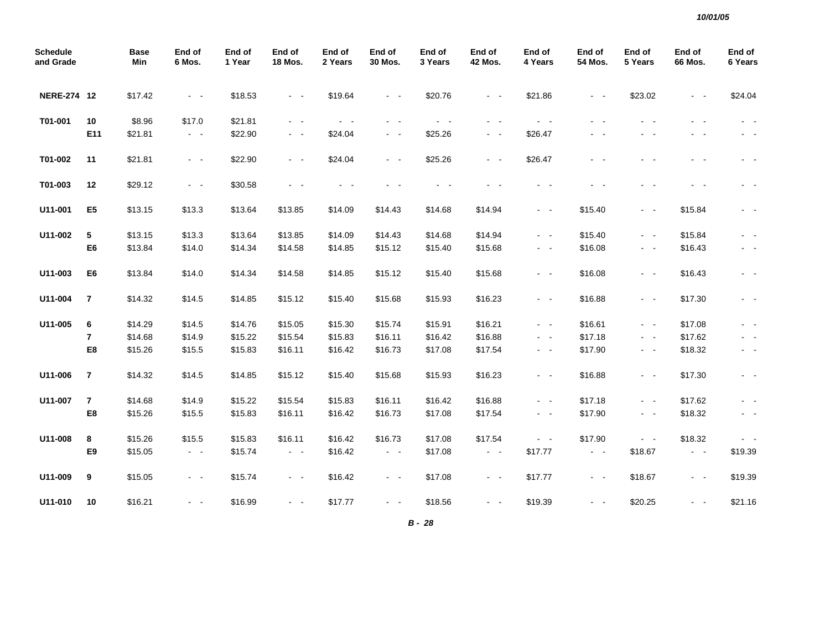| <b>Schedule</b><br>and Grade |                         | <b>Base</b><br>Min | End of<br>6 Mos.    | End of<br>1 Year | End of<br><b>18 Mos.</b> | End of<br>2 Years | End of<br>30 Mos.   | End of<br>3 Years       | End of<br>42 Mos.                                                                              | End of<br>4 Years   | End of<br>54 Mos. | End of<br>5 Years   | End of<br>66 Mos.   | End of<br>6 Years                                                                              |
|------------------------------|-------------------------|--------------------|---------------------|------------------|--------------------------|-------------------|---------------------|-------------------------|------------------------------------------------------------------------------------------------|---------------------|-------------------|---------------------|---------------------|------------------------------------------------------------------------------------------------|
| NERE-274 12                  |                         | \$17.42            | $\sim 100$          | \$18.53          | $\sim$ $ \sim$           | \$19.64           | $\sim 100$          | \$20.76                 | $\sim$ $ \sim$                                                                                 | \$21.86             | $\sim$ $ \sim$    | \$23.02             | $\sim$ $ -$         | \$24.04                                                                                        |
| T01-001                      | 10                      | \$8.96             | \$17.0              | \$21.81          | $\sim$ $ \sim$           | $\sim$ $ \sim$    | $\sim$<br>$\sim$    | $\sim 100$ km s $^{-1}$ | $\frac{1}{2} \left( \frac{1}{2} \right) \left( \frac{1}{2} \right) \left( \frac{1}{2} \right)$ | $\sim$ $ \sim$      |                   | . .                 |                     |                                                                                                |
|                              | E11                     | \$21.81            | $\sim$ $ \sim$      | \$22.90          | $\sim 100$ km s $^{-1}$  | \$24.04           | $\sim$ $ \sim$      | \$25.26                 | $\sim$ $ \sim$                                                                                 | \$26.47             |                   | $\sim$              |                     |                                                                                                |
| T01-002                      | 11                      | \$21.81            | $\sim$ $ -$         | \$22.90          | $\sim$ $ \sim$           | \$24.04           | $\omega_{\rm{max}}$ | \$25.26                 | $\sim$ $ \sim$                                                                                 | \$26.47             | - -               | . .                 |                     |                                                                                                |
| T01-003                      | 12                      | \$29.12            | $\sim$ $ \sim$      | \$30.58          | $\sim 100$               | $\sim$ 10 $\sim$  | - -                 | $ -$                    |                                                                                                | $ -$                |                   | $\sim$ $ -$         | - -                 | $\sim$ $\sim$                                                                                  |
| U11-001                      | E <sub>5</sub>          | \$13.15            | \$13.3              | \$13.64          | \$13.85                  | \$14.09           | \$14.43             | \$14.68                 | \$14.94                                                                                        | $\omega_{\rm{max}}$ | \$15.40           | $\omega_{\rm{max}}$ | \$15.84             | $\sim$ $ \sim$                                                                                 |
| U11-002                      | 5                       | \$13.15            | \$13.3              | \$13.64          | \$13.85                  | \$14.09           | \$14.43             | \$14.68                 | \$14.94                                                                                        | $\sim$ $ \sim$      | \$15.40           | $\sim$ $ -$         | \$15.84             | $\frac{1}{2} \left( \frac{1}{2} \right) \left( \frac{1}{2} \right) \left( \frac{1}{2} \right)$ |
|                              | E6                      | \$13.84            | \$14.0              | \$14.34          | \$14.58                  | \$14.85           | \$15.12             | \$15.40                 | \$15.68                                                                                        | $\sim$ $ -$         | \$16.08           | $\sim 100$          | \$16.43             | $\sim$ $-$                                                                                     |
| U11-003                      | E6                      | \$13.84            | \$14.0              | \$14.34          | \$14.58                  | \$14.85           | \$15.12             | \$15.40                 | \$15.68                                                                                        | $\sim$ $ -$         | \$16.08           | $\sim$ $ \sim$      | \$16.43             | $\sim$ $ \sim$                                                                                 |
| U11-004                      | $\overline{7}$          | \$14.32            | \$14.5              | \$14.85          | \$15.12                  | \$15.40           | \$15.68             | \$15.93                 | \$16.23                                                                                        | $\sim$ $ \sim$      | \$16.88           | $\sim$ $ -$         | \$17.30             | $\sim$ $ \sim$                                                                                 |
| U11-005                      | 6                       | \$14.29            | \$14.5              | \$14.76          | \$15.05                  | \$15.30           | \$15.74             | \$15.91                 | \$16.21                                                                                        | $\sim$ $ \sim$      | \$16.61           | $\sim$ $ -$         | \$17.08             | $\sim$ $ \sim$                                                                                 |
|                              | 7                       | \$14.68            | \$14.9              | \$15.22          | \$15.54                  | \$15.83           | \$16.11             | \$16.42                 | \$16.88                                                                                        | $\sim$ $ \sim$      | \$17.18           | $\sim 100$          | \$17.62             | $\sim$ $ \sim$                                                                                 |
|                              | E8                      | \$15.26            | \$15.5              | \$15.83          | \$16.11                  | \$16.42           | \$16.73             | \$17.08                 | \$17.54                                                                                        | $\sim$ $ \sim$      | \$17.90           | $\omega_{\rm{max}}$ | \$18.32             | $\sim$ $ \sim$                                                                                 |
| U11-006                      | $\overline{\mathbf{r}}$ | \$14.32            | \$14.5              | \$14.85          | \$15.12                  | \$15.40           | \$15.68             | \$15.93                 | \$16.23                                                                                        | $\sim$ $ \sim$      | \$16.88           | $\sim$ $ \sim$      | \$17.30             | $\sim$ $ \sim$                                                                                 |
| U11-007                      | 7                       | \$14.68            | \$14.9              | \$15.22          | \$15.54                  | \$15.83           | \$16.11             | \$16.42                 | \$16.88                                                                                        | $\sim$ $ \sim$      | \$17.18           | $\sim$ $ \sim$      | \$17.62             | $\sim$ $ \sim$                                                                                 |
|                              | E8                      | \$15.26            | \$15.5              | \$15.83          | \$16.11                  | \$16.42           | \$16.73             | \$17.08                 | \$17.54                                                                                        | $\sim$ $ -$         | \$17.90           | $\sim 100$          | \$18.32             | $\sim$ $ \sim$                                                                                 |
| U11-008                      | 8                       | \$15.26            | \$15.5              | \$15.83          | \$16.11                  | \$16.42           | \$16.73             | \$17.08                 | \$17.54                                                                                        | $\sim$ $ \sim$      | \$17.90           | $\sim$ $ \sim$      | \$18.32             | $\sim$ $ \sim$                                                                                 |
|                              | E9                      | \$15.05            | $\sim 100$          | \$15.74          | $\sim$ $ \sim$           | \$16.42           | $\sim$ $ \sim$      | \$17.08                 | $\sim$ $ \sim$                                                                                 | \$17.77             | $\sim$ $ \sim$    | \$18.67             | $\sim$ $ \sim$      | \$19.39                                                                                        |
| U11-009                      | 9                       | \$15.05            | $\omega_{\rm{max}}$ | \$15.74          | $\omega_{\rm{max}}$      | \$16.42           | $\sim 100$          | \$17.08                 | $\sim$ $ \sim$                                                                                 | \$17.77             | $\sim$ $ \sim$    | \$18.67             | $\omega_{\rm{max}}$ | \$19.39                                                                                        |
| U11-010                      | 10                      | \$16.21            | $\sim$ $ \sim$      | \$16.99          | $\sim 100$               | \$17.77           | $\sim 100$          | \$18.56                 | $\sim$ $ -$                                                                                    | \$19.39             | $\sim$ $ -$       | \$20.25             | $\sim$ $ \sim$      | \$21.16                                                                                        |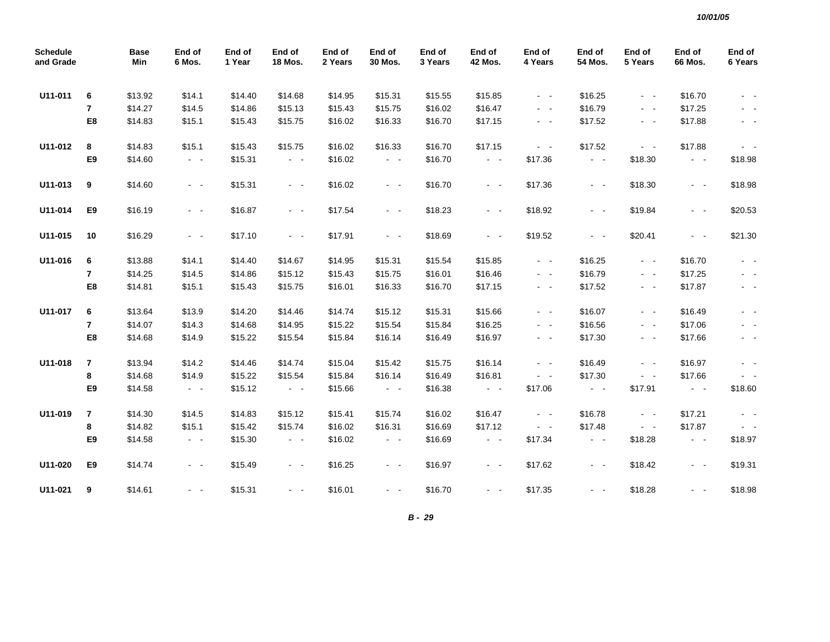| <b>Schedule</b><br>and Grade |                         | <b>Base</b><br>Min | End of<br>6 Mos.                          | End of<br>1 Year | End of<br><b>18 Mos.</b> | End of<br>2 Years | End of<br>30 Mos.   | End of<br>3 Years | End of<br><b>42 Mos.</b> | End of<br>4 Years                         | End of<br>54 Mos.                         | End of<br>5 Years   | End of<br>66 Mos.   | End of<br>6 Years |
|------------------------------|-------------------------|--------------------|-------------------------------------------|------------------|--------------------------|-------------------|---------------------|-------------------|--------------------------|-------------------------------------------|-------------------------------------------|---------------------|---------------------|-------------------|
| U11-011                      | 6                       | \$13.92            | \$14.1                                    | \$14.40          | \$14.68                  | \$14.95           | \$15.31             | \$15.55           | \$15.85                  | $\sim$ $ -$                               | \$16.25                                   | $\sim$ $ \sim$      | \$16.70             | $\sim$ $ \sim$    |
|                              | $\overline{7}$          | \$14.27            | \$14.5                                    | \$14.86          | \$15.13                  | \$15.43           | \$15.75             | \$16.02           | \$16.47                  | $\sim$ $-$                                | \$16.79                                   | $\omega_{\rm{max}}$ | \$17.25             | $\sim$ $ \sim$    |
|                              | E8                      | \$14.83            | \$15.1                                    | \$15.43          | \$15.75                  | \$16.02           | \$16.33             | \$16.70           | \$17.15                  | $\sim$ $-$                                | \$17.52                                   | $\sim$ $ \sim$      | \$17.88             | $\sim$ $ \sim$    |
| U11-012                      | 8                       | \$14.83            | \$15.1                                    | \$15.43          | \$15.75                  | \$16.02           | \$16.33             | \$16.70           | \$17.15                  | $\sim$ $ \sim$                            | \$17.52                                   | $\sim$ $ \sim$      | \$17.88             | $\sim$ $ \sim$    |
|                              | E9                      | \$14.60            | $\sigma_{\rm{eff}}$ , $\sigma_{\rm{eff}}$ | \$15.31          | $\sim$ $ -$              | \$16.02           | $\sim$ $ \sim$      | \$16.70           | $\sim$ $-$               | \$17.36                                   | $\sim$ $ \sim$                            | \$18.30             | $\sim$ $ -$         | \$18.98           |
| U11-013                      | 9                       | \$14.60            | $\sim$ $ -$                               | \$15.31          | $\sim$ $ \sim$           | \$16.02           | $\sim$ $ \sim$      | \$16.70           | $\sim$ $ -$              | \$17.36                                   | $\sim$ $ -$                               | \$18.30             | $\sim$ $ \sim$      | \$18.98           |
| U11-014                      | E9                      | \$16.19            | $\sim$ $ \sim$                            | \$16.87          | $\omega_{\rm{max}}$      | \$17.54           | $\omega_{\rm{max}}$ | \$18.23           | $\sim$ $ -$              | \$18.92                                   | $\sim$ $ -$                               | \$19.84             | $\omega_{\rm{max}}$ | \$20.53           |
| U11-015                      | 10                      | \$16.29            | $\sim$ $ -$                               | \$17.10          | $\sim 100$               | \$17.91           | $\sim$ $ \sim$      | \$18.69           | $\sim$ $ -$              | \$19.52                                   | $\sim$ $ \sim$                            | \$20.41             | $\sim$ $ \sim$      | \$21.30           |
| U11-016                      | 6                       | \$13.88            | \$14.1                                    | \$14.40          | \$14.67                  | \$14.95           | \$15.31             | \$15.54           | \$15.85                  | $\sim$ $-$                                | \$16.25                                   | $\sim$ $ \sim$      | \$16.70             | $\sim$ $ \sim$    |
|                              | $\overline{7}$          | \$14.25            | \$14.5                                    | \$14.86          | \$15.12                  | \$15.43           | \$15.75             | \$16.01           | \$16.46                  | $\sim$ $ \sim$                            | \$16.79                                   | $\omega_{\rm{max}}$ | \$17.25             | $\sim$ $ \sim$    |
|                              | E8                      | \$14.81            | \$15.1                                    | \$15.43          | \$15.75                  | \$16.01           | \$16.33             | \$16.70           | \$17.15                  | $\sim$ $ -$                               | \$17.52                                   | $\sim$ $ \sim$      | \$17.87             | $\sim$ $ \sim$    |
| U11-017                      | 6                       | \$13.64            | \$13.9                                    | \$14.20          | \$14.46                  | \$14.74           | \$15.12             | \$15.31           | \$15.66                  | $\sim$ $ -$                               | \$16.07                                   | $\sim 100$          | \$16.49             | $\sim$ $ \sim$    |
|                              | $\overline{7}$          | \$14.07            | \$14.3                                    | \$14.68          | \$14.95                  | \$15.22           | \$15.54             | \$15.84           | \$16.25                  | $\sim$ $ -$                               | \$16.56                                   | $\sim$ $ -$         | \$17.06             | $\sim$ $-$        |
|                              | E8                      | \$14.68            | \$14.9                                    | \$15.22          | \$15.54                  | \$15.84           | \$16.14             | \$16.49           | \$16.97                  | $\sim$ $ -$                               | \$17.30                                   | $\sim$ $ -$         | \$17.66             | $\sim$ $ \sim$    |
| U11-018                      | $\overline{\mathbf{r}}$ | \$13.94            | \$14.2                                    | \$14.46          | \$14.74                  | \$15.04           | \$15.42             | \$15.75           | \$16.14                  | $\sim$ $ -$                               | \$16.49                                   | $\sim$ $ -$         | \$16.97             | $\sim$ $ \sim$    |
|                              | 8                       | \$14.68            | \$14.9                                    | \$15.22          | \$15.54                  | \$15.84           | \$16.14             | \$16.49           | \$16.81                  | $\omega_{\rm{max}}$                       | \$17.30                                   | $\omega_{\rm{max}}$ | \$17.66             | $\sim$ $ \sim$    |
|                              | E9                      | \$14.58            | $\omega_{\rm{max}}$                       | \$15.12          | $\omega_{\rm{max}}$      | \$15.66           | $\sim 100$          | \$16.38           | $\omega_{\rm{max}}$      | \$17.06                                   | $\omega_{\rm{max}}$                       | \$17.91             | $\sim$ $ \sim$      | \$18.60           |
| U11-019                      | 7                       | \$14.30            | \$14.5                                    | \$14.83          | \$15.12                  | \$15.41           | \$15.74             | \$16.02           | \$16.47                  | $\sim$ $ \sim$                            | \$16.78                                   | $\omega_{\rm{max}}$ | \$17.21             | $\sim 100$        |
|                              | 8                       | \$14.82            | \$15.1                                    | \$15.42          | \$15.74                  | \$16.02           | \$16.31             | \$16.69           | \$17.12                  | $\sigma_{\rm{eff}}$ , $\sigma_{\rm{eff}}$ | \$17.48                                   | $\omega_{\rm{max}}$ | \$17.87             |                   |
|                              | E9                      | \$14.58            | $\omega_{\rm{eff}}$                       | \$15.30          | $\sim$ $ -$              | \$16.02           | $\sim$ $ \sim$      | \$16.69           | $\omega_{\rm{eff}}$      | \$17.34                                   | $\sigma_{\rm{eff}}$ , $\sigma_{\rm{eff}}$ | \$18.28             | $\sim$ $ \sim$      | \$18.97           |
| U11-020                      | E9                      | \$14.74            | $\sim$ $ \sim$                            | \$15.49          | $\omega_{\rm{max}}$      | \$16.25           | $\sim$ $ \sim$      | \$16.97           | $\sim$ $ \sim$           | \$17.62                                   | $\sim$ $ \sim$                            | \$18.42             | $\sim$ $ \sim$      | \$19.31           |
| U11-021                      | 9                       | \$14.61            | $ -$                                      | \$15.31          | $\sim$ 10 $\sim$         | \$16.01           | $\sim$ $ -$         | \$16.70           | $\sim 100$               | \$17.35                                   | $\sim$ $\sim$                             | \$18.28             | $\sim$ $ \sim$      | \$18.98           |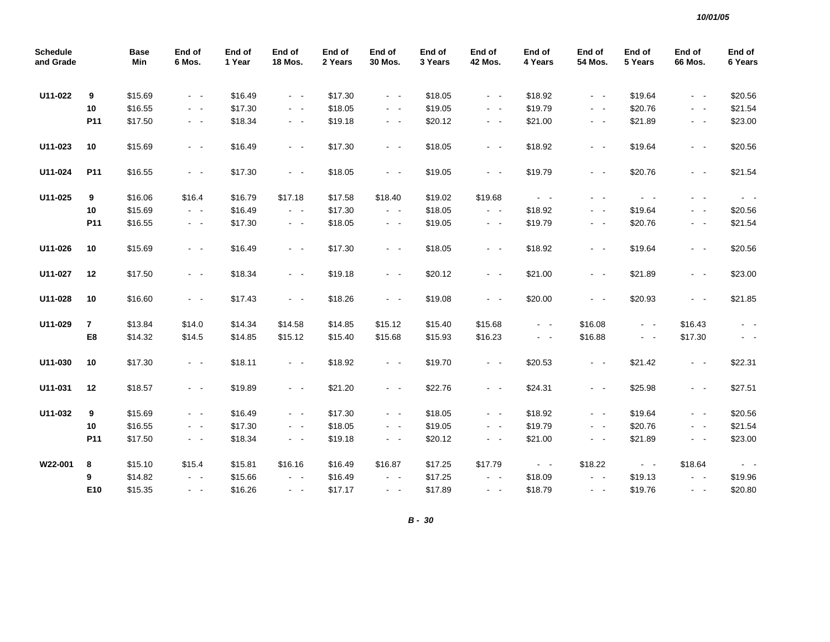| <b>Schedule</b><br>and Grade |              | <b>Base</b><br>Min | End of<br>6 Mos.        | End of<br>1 Year | End of<br>18 Mos.   | End of<br>2 Years | End of<br>30 Mos.   | End of<br>3 Years | End of<br><b>42 Mos.</b> | End of<br>4 Years   | End of<br>54 Mos.   | End of<br>5 Years   | End of<br>66 Mos.   | End of<br>6 Years   |
|------------------------------|--------------|--------------------|-------------------------|------------------|---------------------|-------------------|---------------------|-------------------|--------------------------|---------------------|---------------------|---------------------|---------------------|---------------------|
| U11-022                      | 9            | \$15.69            | $\sim$ $ \sim$          | \$16.49          | $\omega_{\rm{max}}$ | \$17.30           | $\sim$ $ \sim$      | \$18.05           | $\omega_{\rm{max}}$      | \$18.92             | $\omega_{\rm{max}}$ | \$19.64             | $\omega_{\rm{max}}$ | \$20.56             |
|                              | 10           | \$16.55            | $\sim 100$              | \$17.30          | $\sim 100$          | \$18.05           | $\sim 100$          | \$19.05           | $\sim 100$               | \$19.79             | $\omega_{\rm{max}}$ | \$20.76             | $\omega_{\rm{max}}$ | \$21.54             |
|                              | P11          | \$17.50            | $\sim$ $ -$             | \$18.34          | $\sigma_{\rm{max}}$ | \$19.18           | $\sim$ $ \sim$      | \$20.12           | $\sim$ $ \sim$           | \$21.00             | $\sim$ $ -$         | \$21.89             | $\sim$ $ \sim$      | \$23.00             |
| U11-023                      | $10\,$       | \$15.69            | $\sim$ $ -$             | \$16.49          | $\sim 100$          | \$17.30           | $\sim$ $ \sim$      | \$18.05           | $\sim$ $ \sim$           | \$18.92             | $\sim 100$          | \$19.64             | $\sim$ $ \sim$      | \$20.56             |
| U11-024                      | P11          | \$16.55            | $\sim$ $ -$             | \$17.30          | $\sim$ $ \sim$      | \$18.05           | $\sim$ $ \sim$      | \$19.05           | $\omega_{\rm{max}}$      | \$19.79             | $\sim$ $ \sim$      | \$20.76             | $\sim$ $ \sim$      | \$21.54             |
| U11-025                      | 9            | \$16.06            | \$16.4                  | \$16.79          | \$17.18             | \$17.58           | \$18.40             | \$19.02           | \$19.68                  | $\omega_{\rm{max}}$ | $\sim$ $ -$         | $\omega_{\rm{max}}$ | $\sim$ $ -$         | $\sim 100$          |
|                              | 10           | \$15.69            | $\omega_{\rm{max}}$     | \$16.49          | $\omega_{\rm{max}}$ | \$17.30           | $\omega_{\rm{max}}$ | \$18.05           | $\omega_{\rm{max}}$      | \$18.92             | $\sim$ $ \sim$      | \$19.64             | $\sim$ $ -$         | \$20.56             |
|                              | P11          | \$16.55            | $\sim$ $-$              | \$17.30          | $\sim$ $ \sim$      | \$18.05           | $\sim$ $ -$         | \$19.05           | $\sim$ $ \sim$           | \$19.79             | $\sim$ $ -$         | \$20.76             | $\sim$ $ \sim$      | \$21.54             |
| U11-026                      | 10           | \$15.69            | $\sim$ $ \sim$          | \$16.49          | $\sim 100$          | \$17.30           | $\sim 100$          | \$18.05           | $\sim 100$               | \$18.92             | $\sim 100$          | \$19.64             | $\sim$ $ \sim$      | \$20.56             |
| U11-027                      | 12           | \$17.50            | $\sim$ $ \sim$          | \$18.34          | $\sim$ $ \sim$      | \$19.18           | $\sim$ $ \sim$      | \$20.12           | $\sim$ $ \sim$           | \$21.00             | $\sim$ $ \sim$      | \$21.89             | $\sim$ $ \sim$      | \$23.00             |
| U11-028                      | 10           | \$16.60            | $\sim$ $ -$             | \$17.43          | $\sim$ $ \sim$      | \$18.26           | $\sim$ $ \sim$      | \$19.08           | $\omega_{\rm{max}}$      | \$20.00             | $\omega_{\rm{max}}$ | \$20.93             | $\omega_{\rm{max}}$ | \$21.85             |
| U11-029                      | $\mathbf{7}$ | \$13.84            | \$14.0                  | \$14.34          | \$14.58             | \$14.85           | \$15.12             | \$15.40           | \$15.68                  | $\omega_{\rm{max}}$ | \$16.08             | $\omega_{\rm{max}}$ | \$16.43             |                     |
|                              | E8           | \$14.32            | \$14.5                  | \$14.85          | \$15.12             | \$15.40           | \$15.68             | \$15.93           | \$16.23                  | $\omega_{\rm{eff}}$ | \$16.88             | $\omega_{\rm{max}}$ | \$17.30             | $\sim$ $ \sim$      |
| U11-030                      | 10           | \$17.30            | $\sim$ $ -$             | \$18.11          | $\sim$ $ \sim$      | \$18.92           | $\sim$ $ \sim$      | \$19.70           | $\omega_{\rm{max}}$      | \$20.53             | $\omega_{\rm{max}}$ | \$21.42             | $\sim$ $ \sim$      | \$22.31             |
| U11-031                      | 12           | \$18.57            | $\sim$ $ \sim$          | \$19.89          | $\omega_{\rm{max}}$ | \$21.20           | $\omega_{\rm{max}}$ | \$22.76           | $\omega_{\rm{max}}$      | \$24.31             | $\omega_{\rm{max}}$ | \$25.98             | $\sim$ $ \sim$      | \$27.51             |
| U11-032                      | 9            | \$15.69            | $\sim$ $ -$             | \$16.49          | $\sim$ $ \sim$      | \$17.30           | $\sim$ $ \sim$      | \$18.05           | $\omega_{\rm{max}}$      | \$18.92             | $\sim$ $ \sim$      | \$19.64             | $\sim$ $ \sim$      | \$20.56             |
|                              | 10           | \$16.55            | $\sim$ $ -$             | \$17.30          | $\omega_{\rm{max}}$ | \$18.05           | $\omega_{\rm{max}}$ | \$19.05           | $\omega_{\rm{max}}$      | \$19.79             | $\sim$ $ \sim$      | \$20.76             | $\sim$ $\sim$       | \$21.54             |
|                              | P11          | \$17.50            | $\sigma_{\rm{eff}}=0.5$ | \$18.34          | $\sim$ $ \sim$      | \$19.18           | $\sim$ $ \sim$      | \$20.12           | $\sim$ $ \sim$           | \$21.00             | $\sim$ $ -$         | \$21.89             | $\sim$ $ \sim$      | \$23.00             |
| W22-001                      | 8            | \$15.10            | \$15.4                  | \$15.81          | \$16.16             | \$16.49           | \$16.87             | \$17.25           | \$17.79                  | $\omega_{\rm{max}}$ | \$18.22             | $\omega_{\rm{max}}$ | \$18.64             | $\omega_{\rm{max}}$ |
|                              | 9            | \$14.82            | $\omega_{\rm{max}}$     | \$15.66          | $\sim$ $ \sim$      | \$16.49           | $\sim$ $ -$         | \$17.25           | $\sim$ $ \sim$           | \$18.09             | $\sim$ $ \sim$      | \$19.13             | $ -$                | \$19.96             |
|                              | E10          | \$15.35            | $\omega_{\rm{max}}$     | \$16.26          | $\omega_{\rm{max}}$ | \$17.17           | $\omega_{\rm{max}}$ | \$17.89           | $\sim 100$               | \$18.79             | $\omega_{\rm{max}}$ | \$19.76             | $\omega_{\rm{max}}$ | \$20.80             |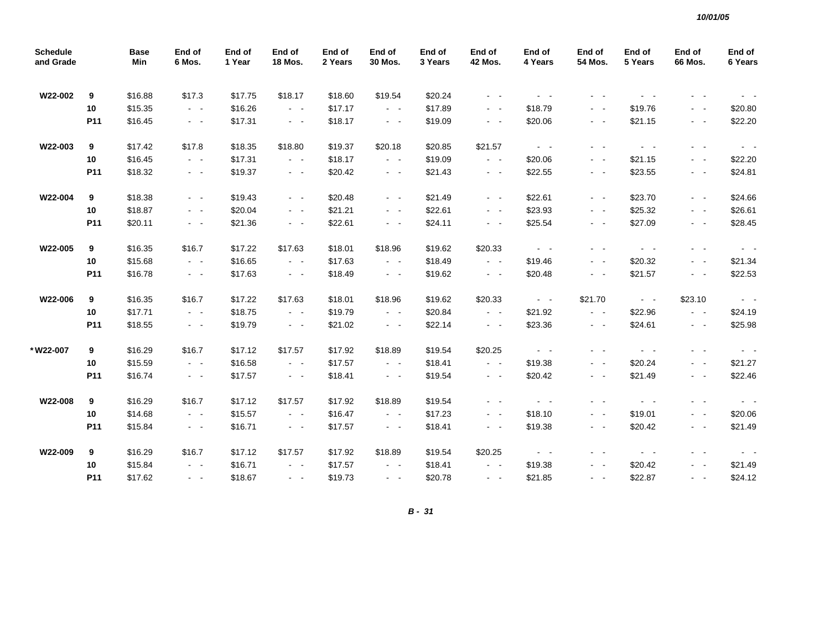| <b>Schedule</b><br>and Grade |                 | <b>Base</b><br>Min | End of<br>6 Mos.    | End of<br>1 Year | End of<br><b>18 Mos.</b> | End of<br>2 Years | End of<br>30 Mos.   | End of<br>3 Years | End of<br><b>42 Mos.</b>                  | End of<br>4 Years | End of<br>54 Mos.       | End of<br>5 Years       | End of<br>66 Mos.       | End of<br>6 Years     |
|------------------------------|-----------------|--------------------|---------------------|------------------|--------------------------|-------------------|---------------------|-------------------|-------------------------------------------|-------------------|-------------------------|-------------------------|-------------------------|-----------------------|
| W22-002                      | 9               | \$16.88            | \$17.3              | \$17.75          | \$18.17                  | \$18.60           | \$19.54             | \$20.24           | $\sim 100$                                | $\sim 100$        | $\sim$ $ -$             |                         |                         |                       |
|                              | 10 <sup>°</sup> | \$15.35            | $\omega_{\rm{max}}$ | \$16.26          | $\omega_{\rm{max}}$      | \$17.17           | $\omega_{\rm{max}}$ | \$17.89           | $\sim 100$                                | \$18.79           | $\sim$ $-$              | \$19.76                 | $\sim 100$ km s $^{-1}$ | \$20.80               |
|                              | P11             | \$16.45            | $\sim$ $ \sim$      | \$17.31          | $\sim$ $ \sim$           | \$18.17           | $\sim$ $ \sim$      | \$19.09           | $\sim 100$                                | \$20.06           | $\sim 100$              | \$21.15                 | $\sim 100$              | \$22.20               |
| W22-003                      | 9               | \$17.42            | \$17.8              | \$18.35          | \$18.80                  | \$19.37           | \$20.18             | \$20.85           | \$21.57                                   | $\sim$ $ \sim$    | $\sim$ $\sim$           | $\sim$ $ \sim$          | $\sim$ $ \sim$          | $\sim 100$            |
|                              | 10 <sub>1</sub> | \$16.45            | $\omega_{\rm{max}}$ | \$17.31          | $\omega_{\rm{eff}}$      | \$18.17           | $\omega_{\rm{max}}$ | \$19.09           | $\omega_{\rm{max}}$                       | \$20.06           | $\omega_{\rm{max}}$     | \$21.15                 | $\omega_{\rm{max}}$     | \$22.20               |
|                              | P11             | \$18.32            | $\sim$ $ \sim$      | \$19.37          | $\sim$ $ \sim$           | \$20.42           | $\sim$ $ \sim$      | \$21.43           | $\omega_{\rm{max}}$                       | \$22.55           | $\sim$ $ \sim$          | \$23.55                 | $\sim$ $ \sim$          | \$24.81               |
| W22-004                      | 9               | \$18.38            | $\sim$ $ \sim$      | \$19.43          | $\sim$ $ -$              | \$20.48           | $\sim$ $ -$         | \$21.49           | $\sim 100$                                | \$22.61           | $\sim 100$              | \$23.70                 | $\sim 100$              | \$24.66               |
|                              | 10              | \$18.87            | $\sim 100$          | \$20.04          | $\sim$ $ \sim$           | \$21.21           | $\sim$ $ \sim$      | \$22.61           | $\sim 100$                                | \$23.93           | $\sim$ $ \sim$          | \$25.32                 | $\sim$ $ -$             | \$26.61               |
|                              | P11             | \$20.11            | $\sim$ $ \sim$      | \$21.36          | $\omega_{\rm{max}}$      | \$22.61           | $\omega_{\rm{max}}$ | \$24.11           | $\sim 100$                                | \$25.54           | $\sim$ $ -$             | \$27.09                 | $\omega_{\rm{eff}}$     | \$28.45               |
| W22-005                      | 9               | \$16.35            | \$16.7              | \$17.22          | \$17.63                  | \$18.01           | \$18.96             | \$19.62           | \$20.33                                   | $\sim 100$        | $\sim$                  | $\sim$ $ \sim$          | $\sim$ $ \sim$          | $\sim 100$            |
|                              | 10              | \$15.68            | $\sim$ $ \sim$      | \$16.65          | $\omega_{\rm{max}}$      | \$17.63           | $\omega_{\rm{max}}$ | \$18.49           | $\omega_{\rm{eff}}$ , $\omega_{\rm{eff}}$ | \$19.46           | $\sim$ $ \sim$          | \$20.32                 | $\sim$ $ \sim$          | \$21.34               |
|                              | P11             | \$16.78            | $\sigma_{\rm{max}}$ | \$17.63          | $\sim$ $ \sim$           | \$18.49           | $\sim$ $ \sim$      | \$19.62           | $\omega_{\rm{max}}$                       | \$20.48           | $\sim 100$              | \$21.57                 | $\sim 100$              | \$22.53               |
| W22-006                      | 9               | \$16.35            | \$16.7              | \$17.22          | \$17.63                  | \$18.01           | \$18.96             | \$19.62           | \$20.33                                   | $\sim 100$        | \$21.70                 | $\sim$ $ \sim$          | \$23.10                 | $\sim 100$            |
|                              | 10 <sub>1</sub> | \$17.71            | $\sim 100$          | \$18.75          | $\omega_{\rm{max}}$      | \$19.79           | $\omega_{\rm{max}}$ | \$20.84           | $\sim$ $ \sim$                            | \$21.92           | $\omega_{\rm{max}}$     | \$22.96                 | $\sim 100$              | \$24.19               |
|                              | P11             | \$18.55            | $\sigma_{\rm{max}}$ | \$19.79          | $\omega_{\rm{max}}$      | \$21.02           | $\omega_{\rm{max}}$ | \$22.14           | $\omega_{\rm{max}}$                       | \$23.36           | $\omega_{\rm{max}}$     | \$24.61                 | $\sim$ $ \sim$          | \$25.98               |
| *W22-007                     | 9               | \$16.29            | \$16.7              | \$17.12          | \$17.57                  | \$17.92           | \$18.89             | \$19.54           | \$20.25                                   | $\sim 100$        | $\sim$<br>$\sim$        | $\sim 100$ km s $^{-1}$ | $\sim$ $ -$             |                       |
|                              | 10              | \$15.59            | $\sim$ $ \sim$      | \$16.58          | $\sim$ $ \sim$           | \$17.57           | $\sim$ $ \sim$      | \$18.41           | $\sim 100$                                | \$19.38           | $\sim$ $\sim$           | \$20.24                 | $\sim$ $ \sim$          | \$21.27               |
|                              | P11             | \$16.74            | $\sim$ $ \sim$      | \$17.57          | $\omega_{\rm{max}}$      | \$18.41           | $\sim$ $ \sim$      | \$19.54           | $\sim$ $ \sim$                            | \$20.42           | $\sim$ $ -$             | \$21.49                 | $\sim$ $ -$             | \$22.46               |
| W22-008                      | 9               | \$16.29            | \$16.7              | \$17.12          | \$17.57                  | \$17.92           | \$18.89             | \$19.54           | $\sim 100$                                | $\sim 100$        | $\sim$ $ -$             | $\omega_{\rm{max}}$     | $\sim 100$ km s $^{-1}$ | $\sim 100$            |
|                              | 10              | \$14.68            | $\sim$ $ \sim$      | \$15.57          | $\sim$ $ \sim$           | \$16.47           | $\sim$ $ \sim$      | \$17.23           | $\sim 100$                                | \$18.10           | $\sim$ $ \sim$          | \$19.01                 | $\omega_{\rm{max}}$     | \$20.06               |
|                              | P11             | \$15.84            | $\sigma_{\rm{max}}$ | \$16.71          | $\sim$ $ -$              | \$17.57           | $\sim$ $ -$         | \$18.41           | $\sim$ $ \sim$                            | \$19.38           | $\sim$ $ \sim$          | \$20.42                 | $\sim 100$              | \$21.49               |
| W22-009                      | 9               | \$16.29            | \$16.7              | \$17.12          | \$17.57                  | \$17.92           | \$18.89             | \$19.54           | \$20.25                                   | $\sim 100$        | $\sim$ $ -$             | $\sim 100$ km s $^{-1}$ | . .                     | $\sim 100$ km $^{-1}$ |
|                              | 10              | \$15.84            | $\omega_{\rm{max}}$ | \$16.71          | $\omega_{\rm{max}}$      | \$17.57           | $\omega_{\rm{max}}$ | \$18.41           | $\omega_{\rm{eff}}$ , $\omega_{\rm{eff}}$ | \$19.38           | $\sim$ $ \sim$          | \$20.42                 | $\sim$ $ \sim$          | \$21.49               |
|                              | P11             | \$17.62            | $\omega_{\rm{max}}$ | \$18.67          | $\omega_{\rm{max}}$      | \$19.73           | $\omega_{\rm{max}}$ | \$20.78           | $\sim 100$                                | \$21.85           | $\sim 100$ km s $^{-1}$ | \$22.87                 | $\sim 100$ km s $^{-1}$ | \$24.12               |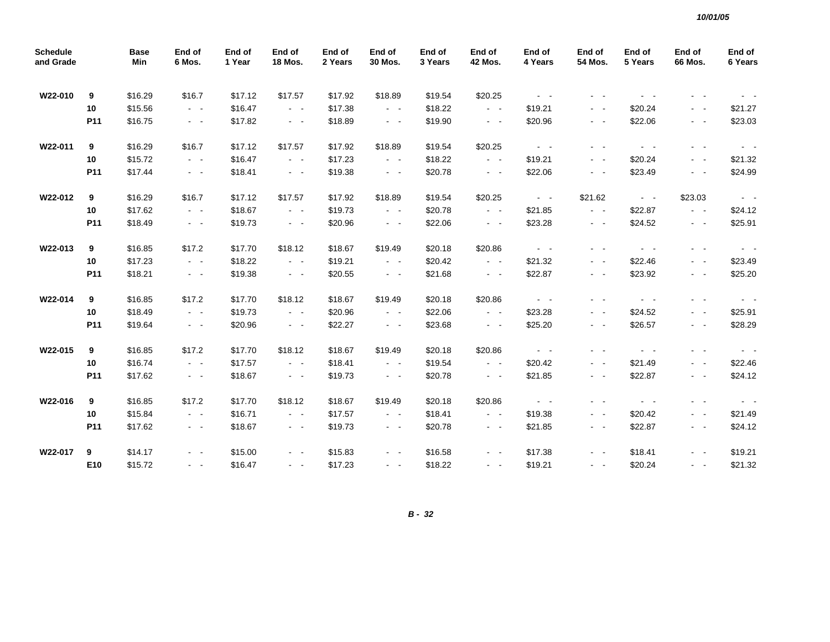| <b>Schedule</b><br>and Grade |                 | <b>Base</b><br>Min | End of<br>6 Mos.        | End of<br>1 Year | End of<br><b>18 Mos.</b> | End of<br>2 Years | End of<br>30 Mos.                         | End of<br>3 Years | End of<br><b>42 Mos.</b>                  | End of<br>4 Years                         | End of<br>54 Mos.   | End of<br>5 Years       | End of<br>66 Mos.   | End of<br>6 Years     |
|------------------------------|-----------------|--------------------|-------------------------|------------------|--------------------------|-------------------|-------------------------------------------|-------------------|-------------------------------------------|-------------------------------------------|---------------------|-------------------------|---------------------|-----------------------|
| W22-010                      | 9               | \$16.29            | \$16.7                  | \$17.12          | \$17.57                  | \$17.92           | \$18.89                                   | \$19.54           | \$20.25                                   | $\sim 100$                                | $\sim$ $ \sim$      | $\sim$ $ \sim$          | $\sim$ $ \sim$      |                       |
|                              | 10              | \$15.56            | $\sim$ $ \sim$          | \$16.47          | $\sim$ $ \sim$           | \$17.38           | $\sim$ $ \sim$                            | \$18.22           | $\sim$ $ \sim$                            | \$19.21                                   | $\sim$ $ \sim$      | \$20.24                 | $\sim$ $ \sim$      | \$21.27               |
|                              | P11             | \$16.75            | $\sim$ $ \sim$          | \$17.82          | $\sim$ $ \sim$           | \$18.89           | $\sim$ $ \sim$                            | \$19.90           | $\sim$ $ -$                               | \$20.96                                   | $\sim$ $ -$         | \$22.06                 | $\sim$ $ \sim$      | \$23.03               |
| W22-011                      | 9               | \$16.29            | \$16.7                  | \$17.12          | \$17.57                  | \$17.92           | \$18.89                                   | \$19.54           | \$20.25                                   | $\sim 100$                                | - -                 | $\sim 100$              | $\sim$ $ -$         | $\sim$ $ \sim$        |
|                              | 10              | \$15.72            | $\sim$ $ -$             | \$16.47          | $\sim$ $ \sim$           | \$17.23           | $\sim$ $ \sim$                            | \$18.22           | $\omega_{\rm{eff}}$ , $\omega_{\rm{eff}}$ | \$19.21                                   | $\sim$              | \$20.24                 | $\sim$ $ \sim$      | \$21.32               |
|                              | P11             | \$17.44            | $\sim 100$              | \$18.41          | $\sim$ $ \sim$           | \$19.38           | $\sim$ $ \sim$                            | \$20.78           | $\sim$ $ \sim$                            | \$22.06                                   | $\sim$ $ \sim$      | \$23.49                 | $\sim$ $ \sim$      | \$24.99               |
| W22-012                      | 9               | \$16.29            | \$16.7                  | \$17.12          | \$17.57                  | \$17.92           | \$18.89                                   | \$19.54           | \$20.25                                   | $\omega_{\rm{eff}}$ , $\omega_{\rm{eff}}$ | \$21.62             | $\sim 100$              | \$23.03             | $\sim 100$ $\sim$     |
|                              | 10              | \$17.62            | $\sim$ $ \sim$          | \$18.67          | $\sim$ $ \sim$           | \$19.73           | $\sim$ $ \sim$                            | \$20.78           | $\omega_{\rm{max}}$                       | \$21.85                                   | $\sim$ $ \sim$      | \$22.87                 | $\sim$ $ \sim$      | \$24.12               |
|                              | P11             | \$18.49            | $\sim$ $ -$             | \$19.73          | $\sim$ $ \sim$           | \$20.96           | $\sim$ $ \sim$                            | \$22.06           | $\sim$ $ \sim$                            | \$23.28                                   | $\sim$ $ \sim$      | \$24.52                 | $\sim$ $ \sim$      | \$25.91               |
| W22-013                      | 9               | \$16.85            | \$17.2                  | \$17.70          | \$18.12                  | \$18.67           | \$19.49                                   | \$20.18           | \$20.86                                   | $\omega_{\rm{eff}}$ , $\omega_{\rm{eff}}$ | $\sim$ $ -$         | $\sim 100$ km $^{-1}$   | $\sim$ $ -$         | $\sim 100$            |
|                              | 10              | \$17.23            | $\sim$ $ \sim$          | \$18.22          | $\sim$ $ \sim$           | \$19.21           | $\sim$ $ \sim$                            | \$20.42           | $\omega_{\rm{max}}$                       | \$21.32                                   | $ -$                | \$22.46                 | $\sim 100$          | \$23.49               |
|                              | P <sub>11</sub> | \$18.21            | $\omega_{\rm{eff}}$     | \$19.38          | $\sim$ $ \sim$           | \$20.55           | $\sim$ $ \sim$                            | \$21.68           | $\omega_{\rm{eff}}$ , $\omega_{\rm{eff}}$ | \$22.87                                   | $\sim$ $ \sim$      | \$23.92                 | $\sim$ $ \sim$      | \$25.20               |
| W22-014                      | 9               | \$16.85            | \$17.2                  | \$17.70          | \$18.12                  | \$18.67           | \$19.49                                   | \$20.18           | \$20.86                                   | $\Delta \phi = 0.1$                       | $\sim$ $-$          | $\sim 100$ km s $^{-1}$ | $\sim$ $ -$         | $\sim 100$ km $^{-1}$ |
|                              | 10              | \$18.49            | $\omega_{\rm{max}}$     | \$19.73          | $\sim 100$               | \$20.96           | $\sim$ $ \sim$                            | \$22.06           | $\sim 100$                                | \$23.28                                   | $\sim 100$          | \$24.52                 | $\omega_{\rm{max}}$ | \$25.91               |
|                              | P11             | \$19.64            | $\sim$ $ -$             | \$20.96          | $\omega_{\rm{max}}$      | \$22.27           | $\sim$ $ \sim$                            | \$23.68           | $\sim$ $ \sim$                            | \$25.20                                   | $\sim$ $ \sim$      | \$26.57                 | $\sim$ $ \sim$      | \$28.29               |
| W22-015                      | 9               | \$16.85            | \$17.2                  | \$17.70          | \$18.12                  | \$18.67           | \$19.49                                   | \$20.18           | \$20.86                                   | $\omega_{\rm{max}}$                       | $\sim$ $\sim$       | $\omega_{\rm{max}}$     | $\sim$ $ -$         | $\sim$ $ \sim$        |
|                              | 10              | \$16.74            | $\sim$ $ -$             | \$17.57          | $\omega_{\rm{max}}$      | \$18.41           | $\omega_{\rm{max}}$                       | \$19.54           | $\omega_{\rm{max}}$                       | \$20.42                                   | $\sim$ $ \sim$      | \$21.49                 | $\sim 100$          | \$22.46               |
|                              | P11             | \$17.62            | $\sim$ $ \sim$          | \$18.67          | $\omega_{\rm{max}}$      | \$19.73           | $\omega_{\rm{max}}$                       | \$20.78           | $\omega_{\rm{max}}$                       | \$21.85                                   | $\sim$ $ -$         | \$22.87                 | $\sim 100$          | \$24.12               |
| W22-016                      | 9               | \$16.85            | \$17.2                  | \$17.70          | \$18.12                  | \$18.67           | \$19.49                                   | \$20.18           | \$20.86                                   | $\sim 100$                                | $\sim$ $\sim$       | $\sim 100$              | $\sim$ $ -$         | $\sim 100$            |
|                              | 10              | \$15.84            | $\sigma_{\rm{eff}}=0.5$ | \$16.71          | $\sim$ $ \sim$           | \$17.57           | $\sigma_{\rm{eff}}$ , $\sigma_{\rm{eff}}$ | \$18.41           | $\sim$ $ \sim$                            | \$19.38                                   | $\omega_{\rm{max}}$ | \$20.42                 | $\sim$ $ \sim$      | \$21.49               |
|                              | P11             | \$17.62            | $\omega_{\rm{max}}$     | \$18.67          | $\omega_{\rm{max}}$      | \$19.73           | $\omega_{\rm{max}}$                       | \$20.78           | $\sim 100$                                | \$21.85                                   | $\omega_{\rm{max}}$ | \$22.87                 | $\omega_{\rm{max}}$ | \$24.12               |
| W22-017                      | 9               | \$14.17            | $\sim 100$              | \$15.00          | $\sim$ $ \sim$           | \$15.83           | $\sim$ $ \sim$                            | \$16.58           | $\sim$ $ \sim$                            | \$17.38                                   | $\sim$              | \$18.41                 | $\sim$ $ \sim$      | \$19.21               |
|                              | E10             | \$15.72            | $\sim$ $ \sim$          | \$16.47          | $\sim$ $ \sim$           | \$17.23           | $\sim$ $ \sim$                            | \$18.22           | $\sim$ $ \sim$                            | \$19.21                                   | $\sim$ $ \sim$      | \$20.24                 | $\sim$ $ \sim$      | \$21.32               |

*10/01/05*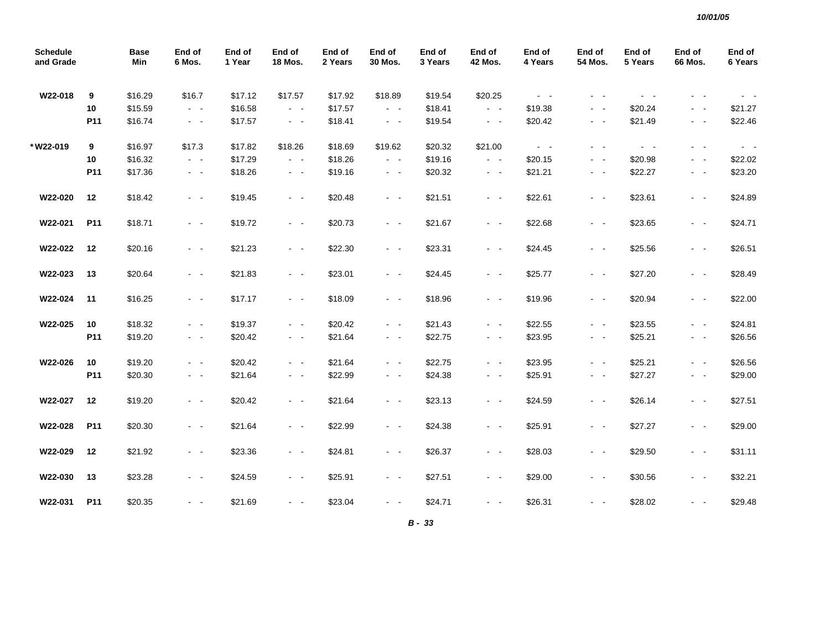| <b>Schedule</b><br>and Grade |                 | <b>Base</b><br>Min | End of<br>6 Mos.                          | End of<br>1 Year | End of<br><b>18 Mos.</b> | End of<br>2 Years | End of<br>30 Mos.   | End of<br>3 Years | End of<br><b>42 Mos.</b> | End of<br>4 Years   | End of<br>54 Mos. | End of<br>5 Years | End of<br><b>66 Mos.</b> | End of<br>6 Years   |
|------------------------------|-----------------|--------------------|-------------------------------------------|------------------|--------------------------|-------------------|---------------------|-------------------|--------------------------|---------------------|-------------------|-------------------|--------------------------|---------------------|
| W22-018                      | 9               | \$16.29            | \$16.7                                    | \$17.12          | \$17.57                  | \$17.92           | \$18.89             | \$19.54           | \$20.25                  | $\omega_{\rm{max}}$ | $\sim$            |                   |                          |                     |
|                              | 10              | \$15.59            | $\sim$ $ \sim$                            | \$16.58          | $\omega_{\rm{max}}$      | \$17.57           | $\omega_{\rm{max}}$ | \$18.41           | $\sim$ $ \sim$           | \$19.38             | $\sim$ $ -$       | \$20.24           | $ -$                     | \$21.27             |
|                              | P11             | \$16.74            | $\sigma_{\rm{eff}}$ , $\sigma_{\rm{eff}}$ | \$17.57          | $\omega_{\rm{max}}$      | \$18.41           | $\sim$ $ \sim$      | \$19.54           | $\sim$ $ \sim$           | \$20.42             | $\sim$ $ -$       | \$21.49           | $\sim 100$               | \$22.46             |
| *W22-019                     | 9               | \$16.97            | \$17.3                                    | \$17.82          | \$18.26                  | \$18.69           | \$19.62             | \$20.32           | \$21.00                  | $\omega_{\rm{max}}$ | $\sim$            | $\sim 100$        | $\sim$ $-$               | $\omega_{\rm{max}}$ |
|                              | 10              | \$16.32            | $\sim 100$                                | \$17.29          | $\sim$ $ -$              | \$18.26           | $\sim$ $ -$         | \$19.16           | $\sim$ $ \sim$           | \$20.15             | $\sim$ $ \sim$    | \$20.98           | $\sim$ $ -$              | \$22.02             |
|                              | P <sub>11</sub> | \$17.36            | $\sim 100$                                | \$18.26          | $\omega_{\rm{max}}$      | \$19.16           | $\omega_{\rm{max}}$ | \$20.32           | $\omega_{\rm{max}}$      | \$21.21             | $\sim$ $ -$       | \$22.27           | $\sim$ $ -$              | \$23.20             |
| W22-020                      | 12              | \$18.42            | $\sim$ $ -$                               | \$19.45          | $\omega_{\rm{max}}$      | \$20.48           | $\omega_{\rm{max}}$ | \$21.51           | $\omega_{\rm{max}}$      | \$22.61             | $\sim$ $ -$       | \$23.61           | $\sim$ $ -$              | \$24.89             |
| W22-021                      | P11             | \$18.71            | $\omega_{\rm{max}}$                       | \$19.72          | $\omega_{\rm{max}}$      | \$20.73           | $\omega_{\rm{max}}$ | \$21.67           | $\sim 100$               | \$22.68             | $\sim$ $ \sim$    | \$23.65           | $\sim$ $ -$              | \$24.71             |
| W22-022                      | 12              | \$20.16            | $\sim$ $ \sim$                            | \$21.23          | $\sim$ $ \sim$           | \$22.30           | $\sim$ $ \sim$      | \$23.31           | $\omega_{\rm{max}}$      | \$24.45             | $\sim$ $ \sim$    | \$25.56           | $\sim$ $ \sim$           | \$26.51             |
| W22-023                      | 13              | \$20.64            | $\omega_{\rm{max}}$                       | \$21.83          | $\omega_{\rm{max}}$      | \$23.01           | $\omega_{\rm{max}}$ | \$24.45           | $\sim$ $ \sim$           | \$25.77             | $\sim$ $ \sim$    | \$27.20           | $\sim$ $ \sim$           | \$28.49             |
| W22-024                      | 11              | \$16.25            | $\sim$ $ \sim$                            | \$17.17          | $\sim$ $ \sim$           | \$18.09           | $\sim$ $ \sim$      | \$18.96           | $\omega_{\rm{max}}$      | \$19.96             | $\sim$ $ \sim$    | \$20.94           | $\sim 100$               | \$22.00             |
| W22-025                      | 10              | \$18.32            | $\sim$ $ \sim$                            | \$19.37          | $\omega_{\rm{max}}$      | \$20.42           | $\sim$ $ \sim$      | \$21.43           | $\sim$ $ \sim$           | \$22.55             | $\sim$ $ \sim$    | \$23.55           | $\sim$ $ \sim$           | \$24.81             |
|                              | P <sub>11</sub> | \$19.20            | $\sim$ $ \sim$                            | \$20.42          | $\sim$ $ \sim$           | \$21.64           | $\sim$ $ \sim$      | \$22.75           | $\sim$ $ \sim$           | \$23.95             | $\sim$ $ -$       | \$25.21           | $\sim$ $ \sim$           | \$26.56             |
| W22-026                      | 10              | \$19.20            | $\sim$ $ \sim$                            | \$20.42          | $\omega_{\rm{max}}$      | \$21.64           | $\omega_{\rm{max}}$ | \$22.75           | $\omega_{\rm{max}}$      | \$23.95             | $\sim$ $ -$       | \$25.21           | $\omega_{\rm{max}}$      | \$26.56             |
|                              | P11             | \$20.30            | $\sim$ $-$                                | \$21.64          | $\sim$ $-$               | \$22.99           | $\sim$ $-$          | \$24.38           | $\sim$ $ \sim$           | \$25.91             | $\sim$ $ -$       | \$27.27           | $\sim$ $ -$              | \$29.00             |
| W22-027                      | $12$            | \$19.20            | $\sim$ $ \sim$                            | \$20.42          | $\sim$ $ \sim$           | \$21.64           | $\sim$ $ \sim$      | \$23.13           | $\sim$ $ \sim$           | \$24.59             | $\sim$ $ \sim$    | \$26.14           | $\sim$ $ \sim$           | \$27.51             |
| W22-028                      | P11             | \$20.30            | $\sim$ $ \sim$                            | \$21.64          | $\sim$ $ \sim$           | \$22.99           | $\sim$ $ \sim$      | \$24.38           | $\sim$ $ \sim$           | \$25.91             | $\sim$ $ \sim$    | \$27.27           | $\sim$ $ \sim$           | \$29.00             |
| W22-029                      | 12              | \$21.92            | $\sim 100$                                | \$23.36          | $\sim$ $ \sim$           | \$24.81           | $\sim$ $ \sim$      | \$26.37           | $\sim$ $ \sim$           | \$28.03             | $\sim$ $ -$       | \$29.50           | $\sim 100$               | \$31.11             |
| W22-030                      | 13              | \$23.28            | $\omega_{\rm{max}}$                       | \$24.59          | $\omega_{\rm{max}}$      | \$25.91           | $\omega_{\rm{max}}$ | \$27.51           | $\omega_{\rm{max}}$      | \$29.00             | $\sim$ $ \sim$    | \$30.56           | $\sim$ $ \sim$           | \$32.21             |
| W22-031                      | P11             | \$20.35            | $\sim$ $ -$                               | \$21.69          | $\sim 100$               | \$23.04           | $\sim 100$          | \$24.71           | $\omega_{\rm{max}}$      | \$26.31             | $\sim$ $ \sim$    | \$28.02           | $\omega_{\rm{max}}$      | \$29.48             |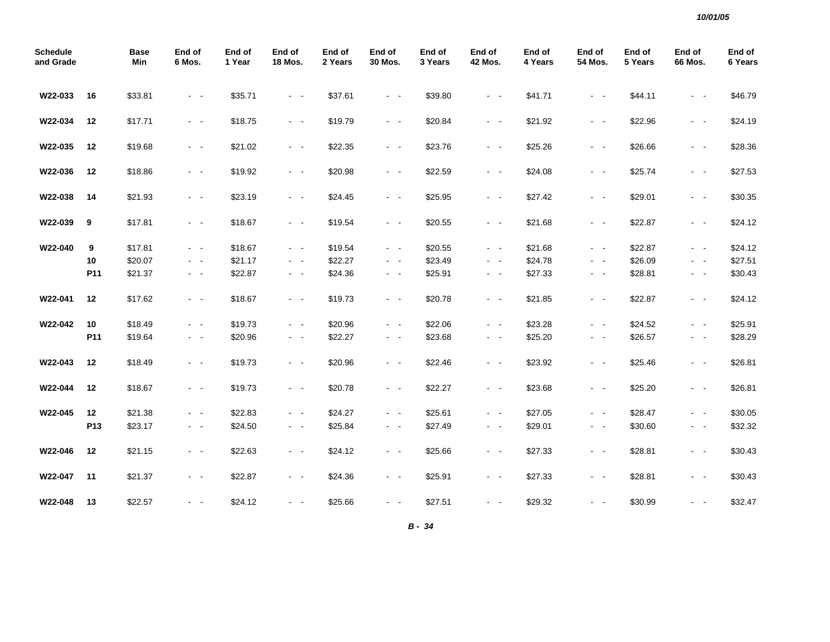| <b>Schedule</b><br>and Grade |                 | <b>Base</b><br>Min | End of<br>6 Mos.        | End of<br>1 Year | End of<br><b>18 Mos.</b>                  | End of<br>2 Years | End of<br>30 Mos.       | End of<br>3 Years | End of<br><b>42 Mos.</b> | End of<br>4 Years | End of<br><b>54 Mos.</b> | End of<br>5 Years | End of<br>66 Mos.                                                                                            | End of<br>6 Years |
|------------------------------|-----------------|--------------------|-------------------------|------------------|-------------------------------------------|-------------------|-------------------------|-------------------|--------------------------|-------------------|--------------------------|-------------------|--------------------------------------------------------------------------------------------------------------|-------------------|
| W22-033                      | 16              | \$33.81            | $\sim$ $ \sim$          | \$35.71          | $\sim$ $ \sim$                            | \$37.61           | $\sim$ $ \sim$          | \$39.80           | $\sim$ $ \sim$           | \$41.71           | $\sim$ $ \sim$           | \$44.11           | $\sim$ $ \sim$                                                                                               | \$46.79           |
| W22-034                      | 12              | \$17.71            | $\sim$ $ \sim$          | \$18.75          | $\sim$ $ \sim$                            | \$19.79           | $\omega_{\rm{max}}$     | \$20.84           | $\sim 100$               | \$21.92           | $\omega_{\rm{max}}$      | \$22.96           | $\sim$ $ \sim$                                                                                               | \$24.19           |
| W22-035                      | 12              | \$19.68            | $\sim$ $ \sim$          | \$21.02          | $\sim 100$                                | \$22.35           | $\omega_{\rm{max}}$     | \$23.76           | $\sim$ $ \sim$           | \$25.26           | $\omega_{\rm{max}}$      | \$26.66           | $\sim$ $ \sim$                                                                                               | \$28.36           |
| W22-036                      | 12              | \$18.86            | $\omega_{\rm{max}}$     | \$19.92          | $\sim 100$ km s $^{-1}$                   | \$20.98           | $\sim 100$ km s $^{-1}$ | \$22.59           | $\sim 100$ km s $^{-1}$  | \$24.08           | $\sim 100$ km s $^{-1}$  | \$25.74           | $\omega_{\rm{max}}$                                                                                          | \$27.53           |
| W22-038                      | 14              | \$21.93            | $\sim$ $ -$             | \$23.19          | $\sim 100$                                | \$24.45           | $\omega_{\rm{max}}$     | \$25.95           | $\sim 100$               | \$27.42           | $\sim$ $ -$              | \$29.01           | $\sim$ $ -$                                                                                                  | \$30.35           |
| W22-039                      | 9               | \$17.81            | $\sim$ $ -$             | \$18.67          | $\omega_{\rm{max}}$                       | \$19.54           | $\omega_{\rm{max}}$     | \$20.55           | $\sim$ $ -$              | \$21.68           | $\omega_{\rm{max}}$      | \$22.87           | $\sim$ $ -$                                                                                                  | \$24.12           |
| W22-040                      | 9               | \$17.81            | $\omega_{\rm{max}}$     | \$18.67          | $\omega_{\rm{max}}$                       | \$19.54           | $\omega_{\rm{max}}$     | \$20.55           | $\sim$ $ -$              | \$21.68           | $\sim 100$               | \$22.87           | $\sim$ $ -$                                                                                                  | \$24.12           |
|                              | 10              | \$20.07            | $\sim 100$              | \$21.17          | $\omega_{\rm{max}}$                       | \$22.27           | $\omega_{\rm{max}}$     | \$23.49           | $\sim 100$               | \$24.78           | $\omega_{\rm{max}}$      | \$26.09           | $\sim$ $ \sim$                                                                                               | \$27.51           |
|                              | P11             | \$21.37            | $\omega_{\rm{max}}$     | \$22.87          | $\sim$ $ \sim$                            | \$24.36           | $\omega_{\rm{max}}$     | \$25.91           | $\sim$ $ \sim$           | \$27.33           | $\omega_{\rm{max}}$      | \$28.81           | $\sim$ $ \sim$                                                                                               | \$30.43           |
| W22-041                      | 12              | \$17.62            | $\sim$ $ \sim$          | \$18.67          | $\omega_{\rm{eff}}$ , $\omega_{\rm{eff}}$ | \$19.73           | $\sim$ $ \sim$          | \$20.78           | $\sim$ $ \sim$           | \$21.85           | $\sim$ $ \sim$           | \$22.87           | $\sim$ $ \sim$                                                                                               | \$24.12           |
| W22-042                      | 10              | \$18.49            | $\sim$ $ -$             | \$19.73          | $\sim 100$                                | \$20.96           | $\omega_{\rm{max}}$     | \$22.06           | $\sim 100$               | \$23.28           | $\sim$ $ -$              | \$24.52           | $\sim$ $ \sim$                                                                                               | \$25.91           |
|                              | P <sub>11</sub> | \$19.64            | $\sim$ $ -$             | \$20.96          | $\sim$ $ \sim$                            | \$22.27           | $\sim$ $ \sim$          | \$23.68           | $\sim$ $ \sim$           | \$25.20           | $\sim$ $ \sim$           | \$26.57           | $\frac{1}{2} \left( \frac{1}{2} \right) \left( \frac{1}{2} \right) = \frac{1}{2} \left( \frac{1}{2} \right)$ | \$28.29           |
| W22-043                      | 12              | \$18.49            | $\omega_{\rm{max}}$     | \$19.73          | $\omega_{\rm{max}}$                       | \$20.96           | $\omega_{\rm{max}}$     | \$22.46           | $\sim$ $ \sim$           | \$23.92           | $\omega_{\rm{max}}$      | \$25.46           | $\sim$ $ \sim$                                                                                               | \$26.81           |
| W22-044                      | 12              | \$18.67            | $\sim$ $ -$             | \$19.73          | $\sim$ $ \sim$                            | \$20.78           | $\sim$ $ \sim$          | \$22.27           | $\sim$ $ \sim$           | \$23.68           | $\omega_{\rm{max}}$      | \$25.20           | $\sim$ $ \sim$                                                                                               | \$26.81           |
| W22-045                      | 12              | \$21.38            | $\sim$ $\sim$           | \$22.83          | $\sim$ $ \sim$                            | \$24.27           | $\sim 100$ km s $^{-1}$ | \$25.61           | $\sim$ $ \sim$           | \$27.05           | $\sim 100$ km s $^{-1}$  | \$28.47           | $\sim$ $ \sim$                                                                                               | \$30.05           |
|                              | P13             | \$23.17            | $\sigma_{\rm{eff}}=0.5$ | \$24.50          | $\sim$ $ \sim$                            | \$25.84           | $\sim$ $ \sim$          | \$27.49           | $\sim$ $ \sim$           | \$29.01           | $\sim$ $ \sim$           | \$30.60           | $\sim$ $ \sim$                                                                                               | \$32.32           |
| W22-046                      | 12              | \$21.15            | - -                     | \$22.63          | $\sim$ $ \sim$                            | \$24.12           | - -                     | \$25.66           | $\sim$ $ \sim$           | \$27.33           | $\sim$ $ \sim$           | \$28.81           | $\sim$ $\sim$                                                                                                | \$30.43           |
| W22-047                      | 11              | \$21.37            | $\sim$ $ \sim$          | \$22.87          | $\sim$ $ \sim$                            | \$24.36           | $\sim$ $ \sim$          | \$25.91           | $\sim$ $ \sim$           | \$27.33           | $\omega_{\rm{max}}$      | \$28.81           | $\sim$ $ \sim$                                                                                               | \$30.43           |
| W22-048                      | 13              | \$22.57            | $\sim$ $ \sim$          | \$24.12          | $\sim$ $ \sim$                            | \$25.66           | $\sim$ $ -$             | \$27.51           | $\sim$ $ \sim$           | \$29.32           | $\sim$ $ \sim$           | \$30.99           |                                                                                                              | \$32.47           |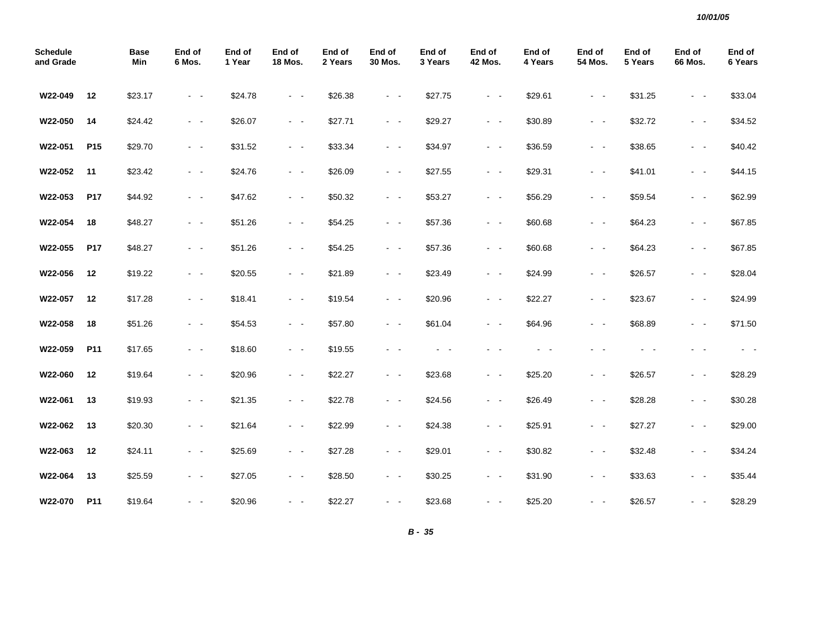| <b>Schedule</b><br>and Grade |                 | <b>Base</b><br>Min | End of<br>6 Mos.                                                                                                                      | End of<br>1 Year | End of<br><b>18 Mos.</b>      | End of<br>2 Years | End of<br>30 Mos.   | End of<br>3 Years | End of<br><b>42 Mos.</b> | End of<br>4 Years | End of<br>54 Mos.   | End of<br>5 Years | End of<br>66 Mos. | End of<br>6 Years |
|------------------------------|-----------------|--------------------|---------------------------------------------------------------------------------------------------------------------------------------|------------------|-------------------------------|-------------------|---------------------|-------------------|--------------------------|-------------------|---------------------|-------------------|-------------------|-------------------|
| W22-049                      | 12              | \$23.17            | $\sim$ $ \sim$                                                                                                                        | \$24.78          | $\omega_{\rm{max}}$           | \$26.38           | $\sim$ $ \sim$      | \$27.75           | $\omega_{\rm{max}}$      | \$29.61           | $\sim$ $ \sim$      | \$31.25           | $ -$              | \$33.04           |
| W22-050                      | 14              | \$24.42            | $\sim$ $ -$                                                                                                                           | \$26.07          | $\sim 100$ km s $^{-1}$       | \$27.71           | $\sim$ $ \sim$      | \$29.27           | $\sim 100$               | \$30.89           | $\omega_{\rm{max}}$ | \$32.72           | $\sim$ $ \sim$    | \$34.52           |
| W22-051                      | P <sub>15</sub> | \$29.70            | $\sim$ $ \sim$                                                                                                                        | \$31.52          | $\sim 100$                    | \$33.34           | $\sim$ $ \sim$      | \$34.97           | $\sim 100$               | \$36.59           | $\sim 100$          | \$38.65           | $ -$              | \$40.42           |
| W22-052                      | 11              | \$23.42            | $\sim$ $\sim$                                                                                                                         | \$24.76          | $\sim$ $ \sim$                | \$26.09           | $\sim$ $ \sim$      | \$27.55           | $\sim$ $ \sim$           | \$29.31           | $\sim$ $ \sim$      | \$41.01           | $\sim$ $ -$       | \$44.15           |
| W22-053                      | P17             | \$44.92            | $\sim$ $\sim$                                                                                                                         | \$47.62          | $\sim$ $ \sim$                | \$50.32           | $\sim$ $ \sim$      | \$53.27           | $\sim$ $ \sim$           | \$56.29           | $\omega_{\rm{max}}$ | \$59.54           | $\sim$ $ \sim$    | \$62.99           |
| W22-054                      | 18              | \$48.27            | $\sim$ $ \sim$                                                                                                                        | \$51.26          | $\alpha$ , $\beta$ , $\alpha$ | \$54.25           | $\sim$ $ \sim$      | \$57.36           | $\sim$ $ \sim$           | \$60.68           | $\sim$ $ -$         | \$64.23           | $\sim$ $ \sim$    | \$67.85           |
| W22-055                      | P17             | \$48.27            | $\omega_{\rm{max}}$                                                                                                                   | \$51.26          | $\sim 100$ km $^{-1}$         | \$54.25           | $\sim$ $ \sim$      | \$57.36           | $\sim 100$               | \$60.68           | $\omega_{\rm{max}}$ | \$64.23           | $\sim$ $ \sim$    | \$67.85           |
| W22-056                      | 12              | \$19.22            | $\frac{1}{2} \left( \frac{1}{2} \right) \left( \frac{1}{2} \right) \frac{1}{2} \left( \frac{1}{2} \right) \left( \frac{1}{2} \right)$ | \$20.55          | $\sim$ $ \sim$                | \$21.89           | $\sim$ $ \sim$      | \$23.49           | $\sim 100$               | \$24.99           | $\omega_{\rm{max}}$ | \$26.57           | $\sim$ $ \sim$    | \$28.04           |
| W22-057                      | 12              | \$17.28            | $\omega_{\rm{max}}$                                                                                                                   | \$18.41          | $\sim 100$ km $^{-1}$         | \$19.54           | $\sim$ $ \sim$      | \$20.96           | $\sim 100$               | \$22.27           | $\omega_{\rm{max}}$ | \$23.67           | $\sim$ $ \sim$    | \$24.99           |
| W22-058                      | 18              | \$51.26            | $\sim 100$                                                                                                                            | \$54.53          | $\sim 100$                    | \$57.80           | $\sim$ $ \sim$      | \$61.04           | $\sim 100$               | \$64.96           | $\sim$ $ \sim$      | \$68.89           | $\sim$ $ \sim$    | \$71.50           |
| W22-059                      | P11             | \$17.65            | $\sim$ $\sim$                                                                                                                         | \$18.60          | $\sim$ $ \sim$                | \$19.55           | $\sim$<br>٠         |                   |                          |                   | - -                 |                   | . .               | $\sim$ $ \sim$    |
| W22-060                      | 12              | \$19.64            | $\sim$ $ \sim$                                                                                                                        | \$20.96          | $\sim 100$ km s $^{-1}$       | \$22.27           | $\sim 100$          | \$23.68           | $\sim 100$ km $^{-1}$    | \$25.20           | $\sim 100$          | \$26.57           | $\sim 100$        | \$28.29           |
| W22-061                      | 13              | \$19.93            | $\sim$ $ \sim$                                                                                                                        | \$21.35          | $\omega_{\rm{max}}$           | \$22.78           | $\omega_{\rm{max}}$ | \$24.56           | $\sim$ $ \sim$           | \$26.49           | $\sim$ $ \sim$      | \$28.28           | $ -$              | \$30.28           |
| W22-062                      | 13              | \$20.30            | $\sim$ $-$                                                                                                                            | \$21.64          | $\sim$ $ \sim$                | \$22.99           | $\sim$ $ \sim$      | \$24.38           | $\omega_{\rm{max}}$      | \$25.91           | $\sim 100$          | \$27.27           | $\sim$ $ \sim$    | \$29.00           |
| W22-063                      | 12              | \$24.11            | $\sim$ $ \sim$                                                                                                                        | \$25.69          | $\sim 100$                    | \$27.28           | $\sim$ $ \sim$      | \$29.01           | $\sim 100$               | \$30.82           | $\omega_{\rm{max}}$ | \$32.48           | $\sim$ $ \sim$    | \$34.24           |
| W22-064                      | 13              | \$25.59            | $\sim 100$                                                                                                                            | \$27.05          | $\sim$ $ \sim$                | \$28.50           | $\sim$ $ \sim$      | \$30.25           | $\sim 100$               | \$31.90           | $\sim 100$          | \$33.63           | $\sim$ $ \sim$    | \$35.44           |
| W22-070                      | P11             | \$19.64            | $\sim$ $\sim$                                                                                                                         | \$20.96          | $\sim$ $ \sim$                | \$22.27           | $\sim$ $ \sim$      | \$23.68           | $\sim$ $ \sim$           | \$25.20           | $\sim$ $ \sim$      | \$26.57           | $\sim$ $ -$       | \$28.29           |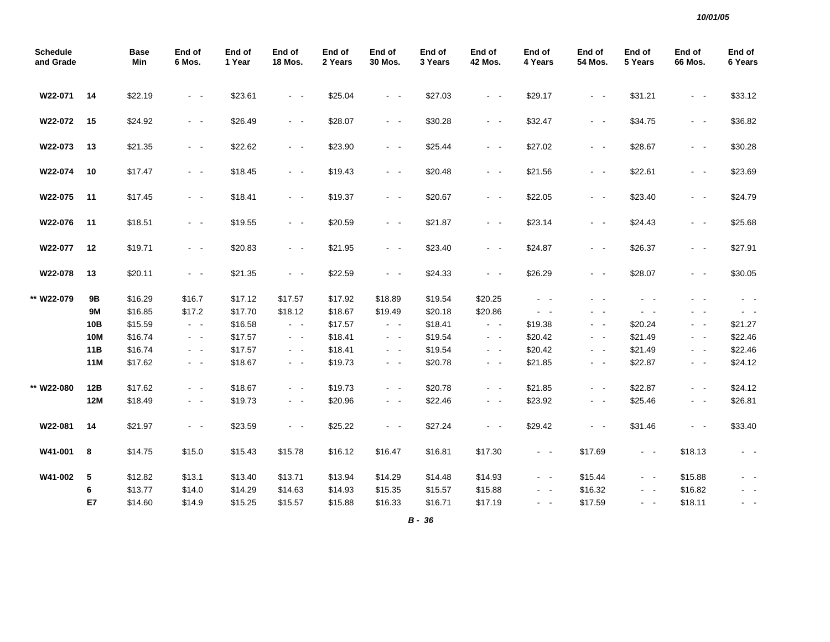| <b>Schedule</b><br>and Grade |                  | <b>Base</b><br>Min | End of<br>6 Mos.    | End of<br>1 Year | End of<br><b>18 Mos.</b> | End of<br>2 Years | End of<br>30 Mos.   | End of<br>3 Years | End of<br><b>42 Mos.</b> | End of<br>4 Years | End of<br>54 Mos. | End of<br>5 Years | End of<br>66 Mos.   | End of<br>6 Years |
|------------------------------|------------------|--------------------|---------------------|------------------|--------------------------|-------------------|---------------------|-------------------|--------------------------|-------------------|-------------------|-------------------|---------------------|-------------------|
| W22-071                      | 14               | \$22.19            | $\sim$ $ \sim$      | \$23.61          | $\sim 100$               | \$25.04           | $\omega_{\rm{max}}$ | \$27.03           | $\sim 100$ km s $^{-1}$  | \$29.17           | $\sim$ $ \sim$    | \$31.21           | $\sim$ $ \sim$      | \$33.12           |
| W22-072                      | 15               | \$24.92            | $\sim$ $ \sim$      | \$26.49          | $\sim$ $ \sim$           | \$28.07           | $\sim$ $ \sim$      | \$30.28           | $\sim 100$               | \$32.47           | $\sim$ $ \sim$    | \$34.75           | $\sim$ $ \sim$      | \$36.82           |
| W22-073                      | 13               | \$21.35            | $\sim$ $ \sim$      | \$22.62          | $\sim$ $ \sim$           | \$23.90           | $\sim$ $ \sim$      | \$25.44           | $\sim 100$               | \$27.02           | $\sim$ $ \sim$    | \$28.67           | $\sim$ $ \sim$      | \$30.28           |
| W22-074                      | 10               | \$17.47            | $\sim$ $ \sim$      | \$18.45          | $\sim$ $ \sim$           | \$19.43           | $\sim$ $ \sim$      | \$20.48           | $\sim$ $ \sim$           | \$21.56           | $ -$              | \$22.61           | $\sim$ $ \sim$      | \$23.69           |
| W22-075                      | 11               | \$17.45            | $\sim$ $ \sim$      | \$18.41          | $\sim 100$               | \$19.37           | $\sim 100$          | \$20.67           | $\sim 100$               | \$22.05           | $\sim$ $ -$       | \$23.40           | $\sim$ $ \sim$      | \$24.79           |
| W22-076                      | $-11$            | \$18.51            | $\omega_{\rm{max}}$ | \$19.55          | $\omega_{\rm{max}}$      | \$20.59           | $\omega_{\rm{max}}$ | \$21.87           | $\sim 100$               | \$23.14           | $\sim$ $ \sim$    | \$24.43           | $\omega_{\rm{max}}$ | \$25.68           |
| W22-077                      | 12               | \$19.71            | $\omega_{\rm{max}}$ | \$20.83          | $\sim 100$               | \$21.95           | $\omega_{\rm{max}}$ | \$23.40           | $\sim$ $ \sim$           | \$24.87           | $\sim$ $ \sim$    | \$26.37           | $\sim$ $ \sim$      | \$27.91           |
| W22-078                      | 13               | \$20.11            | $\sim$ $ \sim$      | \$21.35          | $\sim$ $ \sim$           | \$22.59           | $\sim$ $ \sim$      | \$24.33           | $\sim$ $ \sim$           | \$26.29           | $\sim$ $ \sim$    | \$28.07           | $\sim$ $ \sim$      | \$30.05           |
| ** W22-079                   | <b>9B</b>        | \$16.29            | \$16.7              | \$17.12          | \$17.57                  | \$17.92           | \$18.89             | \$19.54           | \$20.25                  | $\sim 100$        | $ -$              | $\sim$ $ \sim$    | $\sim$ 10 $\sim$    | $\sim$ $ \sim$    |
|                              | <b>9M</b>        | \$16.85            | \$17.2              | \$17.70          | \$18.12                  | \$18.67           | \$19.49             | \$20.18           | \$20.86                  | $\sim$ $ \sim$    | $\sim$ $ -$       | $\sim$ $ \sim$    | $ -$                |                   |
|                              | 10B              | \$15.59            | $\sim$ $ \sim$      | \$16.58          | $\sim$ $ \sim$           | \$17.57           | $\sigma_{\rm{max}}$ | \$18.41           | $\sim$ $ -$              | \$19.38           | $\sim$ $-$        | \$20.24           | $\sim$ $ \sim$      | \$21.27           |
|                              | <b>10M</b>       | \$16.74            | $\sim$ $ \sim$      | \$17.57          | $\sim 100$               | \$18.41           | $\omega_{\rm{max}}$ | \$19.54           | $\sim 100$               | \$20.42           | $\sim$ $ \sim$    | \$21.49           | $\sim$ $ \sim$      | \$22.46           |
|                              | 11B              | \$16.74            | $\sim$ $ -$         | \$17.57          | $\sim$ $ \sim$           | \$18.41           | $\sim$ $ \sim$      | \$19.54           | $\sim 100$               | \$20.42           | $\sim$ $-$        | \$21.49           | $\sim$ $ \sim$      | \$22.46           |
|                              | <b>11M</b>       | \$17.62            | $\sim$ $ -$         | \$18.67          | $\sim$ $ \sim$           | \$19.73           | $\sim$ $ \sim$      | \$20.78           | $\sim$ $ \sim$           | \$21.85           | $\sim$ $ \sim$    | \$22.87           | $\sim$ $ \sim$      | \$24.12           |
| ** W22-080                   | 12B              | \$17.62            | $\sim$ $ \sim$      | \$18.67          | $\sim 100$               | \$19.73           | $\omega_{\rm{max}}$ | \$20.78           | $\sim$ $ \sim$           | \$21.85           | $\sim$ $ -$       | \$22.87           | $\sim$ $ \sim$      | \$24.12           |
|                              | <b>12M</b>       | \$18.49            | $\sim$ $ \sim$      | \$19.73          | $\sim$ $ \sim$           | \$20.96           | $\sim 100$          | \$22.46           | $\sim$ $ \sim$           | \$23.92           | $\sim$ $ \sim$    | \$25.46           | $\sim$ $ \sim$      | \$26.81           |
| W22-081                      | 14               | \$21.97            | $\sim 100$          | \$23.59          | $\sim$ $ \sim$           | \$25.22           | $\sim$ $ -$         | \$27.24           | $\sim$ $ \sim$           | \$29.42           | $\sim$ $\sim$     | \$31.46           | $\sim$ $ \sim$      | \$33.40           |
| W41-001                      | $\boldsymbol{8}$ | \$14.75            | \$15.0              | \$15.43          | \$15.78                  | \$16.12           | \$16.47             | \$16.81           | \$17.30                  | $\sim$ $ \sim$    | \$17.69           | $\sim$ $ \sim$    | \$18.13             | $\sim$ $ \sim$    |
| W41-002                      | 5                | \$12.82            | \$13.1              | \$13.40          | \$13.71                  | \$13.94           | \$14.29             | \$14.48           | \$14.93                  | $\sim$ $ \sim$    | \$15.44           | $\sim 100$        | \$15.88             | $\sim$ $-$        |
|                              | 6                | \$13.77            | \$14.0              | \$14.29          | \$14.63                  | \$14.93           | \$15.35             | \$15.57           | \$15.88                  | $\sim$ $ \sim$    | \$16.32           | $\sim$ $ \sim$    | \$16.82             | $\sim$ $-$        |
|                              | E7               | \$14.60            | \$14.9              | \$15.25          | \$15.57                  | \$15.88           | \$16.33             | \$16.71           | \$17.19                  | $\sim$ $ \sim$    | \$17.59           | $\sim$ $ \sim$    | \$18.11             | $\sim$ $ \sim$    |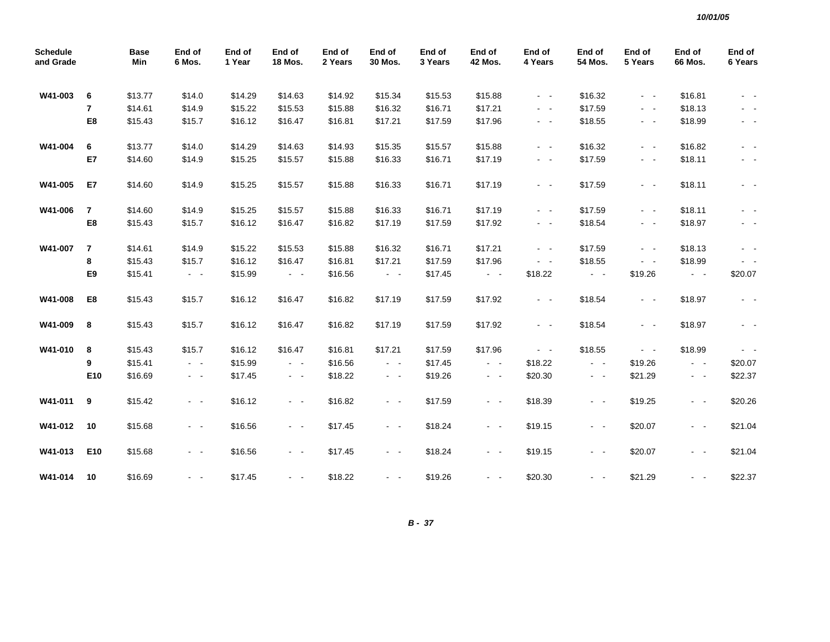| <b>Schedule</b><br>and Grade |                | <b>Base</b><br>Min | End of<br>6 Mos.        | End of<br>1 Year | End of<br><b>18 Mos.</b> | End of<br>2 Years | End of<br>30 Mos.       | End of<br>3 Years | End of<br>42 Mos.   | End of<br>4 Years | End of<br>54 Mos.   | End of<br>5 Years | End of<br><b>66 Mos.</b> | End of<br>6 Years |
|------------------------------|----------------|--------------------|-------------------------|------------------|--------------------------|-------------------|-------------------------|-------------------|---------------------|-------------------|---------------------|-------------------|--------------------------|-------------------|
| W41-003                      | 6              | \$13.77            | \$14.0                  | \$14.29          | \$14.63                  | \$14.92           | \$15.34                 | \$15.53           | \$15.88             | $\sim$ $ \sim$    | \$16.32             | $\sim 100$        | \$16.81                  | $\sim$ $ \sim$    |
|                              | 7              | \$14.61            | \$14.9                  | \$15.22          | \$15.53                  | \$15.88           | \$16.32                 | \$16.71           | \$17.21             | $\sim$ $ -$       | \$17.59             | $\sim$ $ -$       | \$18.13                  | $\sim$ $ \sim$    |
|                              | E8             | \$15.43            | \$15.7                  | \$16.12          | \$16.47                  | \$16.81           | \$17.21                 | \$17.59           | \$17.96             | $\sim$ $ -$       | \$18.55             | $\sim$ $ -$       | \$18.99                  | $\sim$ $ \sim$    |
| W41-004                      | 6              | \$13.77            | \$14.0                  | \$14.29          | \$14.63                  | \$14.93           | \$15.35                 | \$15.57           | \$15.88             | $\sim$ $ -$       | \$16.32             | $\sim$ $ \sim$    | \$16.82                  | $\sim$ $ \sim$    |
|                              | E7             | \$14.60            | \$14.9                  | \$15.25          | \$15.57                  | \$15.88           | \$16.33                 | \$16.71           | \$17.19             | $\sim 100$        | \$17.59             | $\sim$ $ \sim$    | \$18.11                  | $\sim$ $ \sim$    |
| W41-005                      | E7             | \$14.60            | \$14.9                  | \$15.25          | \$15.57                  | \$15.88           | \$16.33                 | \$16.71           | \$17.19             | $\sim 100$        | \$17.59             | $\sim$ $ -$       | \$18.11                  | $\sim$ $ -$       |
| W41-006                      | $\overline{7}$ | \$14.60            | \$14.9                  | \$15.25          | \$15.57                  | \$15.88           | \$16.33                 | \$16.71           | \$17.19             | $\sim$ $ \sim$    | \$17.59             | $\sim$ $ \sim$    | \$18.11                  | $\sim$ $ \sim$    |
|                              | E8             | \$15.43            | \$15.7                  | \$16.12          | \$16.47                  | \$16.82           | \$17.19                 | \$17.59           | \$17.92             | $\sim$ $ -$       | \$18.54             | $\sim$ $ -$       | \$18.97                  | $\sim$ $-$        |
| W41-007                      | $\overline{7}$ | \$14.61            | \$14.9                  | \$15.22          | \$15.53                  | \$15.88           | \$16.32                 | \$16.71           | \$17.21             | $\sim$ $ -$       | \$17.59             | $\sim$ $ -$       | \$18.13                  | $\sim$ $-$        |
|                              | 8              | \$15.43            | \$15.7                  | \$16.12          | \$16.47                  | \$16.81           | \$17.21                 | \$17.59           | \$17.96             | $\sim$ $ -$       | \$18.55             | $\sim$ $ \sim$    | \$18.99                  | $\sim$ $ \sim$    |
|                              | E9             | \$15.41            | $\sim 100$              | \$15.99          | $\omega_{\rm{max}}$      | \$16.56           | $\sim$ $-$              | \$17.45           | $\omega_{\rm{max}}$ | \$18.22           | $\omega_{\rm{max}}$ | \$19.26           | $\sim$ $ \sim$           | \$20.07           |
| W41-008                      | E8             | \$15.43            | \$15.7                  | \$16.12          | \$16.47                  | \$16.82           | \$17.19                 | \$17.59           | \$17.92             | $\sim 100$        | \$18.54             | $\sim$ $ \sim$    | \$18.97                  | $\sim$ $ \sim$    |
| W41-009                      | 8              | \$15.43            | \$15.7                  | \$16.12          | \$16.47                  | \$16.82           | \$17.19                 | \$17.59           | \$17.92             | $\sim 100$        | \$18.54             | $\sim$ $ \sim$    | \$18.97                  | $\sim$ $ \sim$    |
| W41-010                      | 8              | \$15.43            | \$15.7                  | \$16.12          | \$16.47                  | \$16.81           | \$17.21                 | \$17.59           | \$17.96             | $\sim$ $ \sim$    | \$18.55             | $\sim$ $ \sim$    | \$18.99                  | $\sim$ $ \sim$    |
|                              | 9              | \$15.41            | $\sim 100$              | \$15.99          | $\sim 100$               | \$16.56           | $\sim$ $ \sim$          | \$17.45           | $\sim 100$          | \$18.22           | $\omega_{\rm{max}}$ | \$19.26           | $\sim$ $ \sim$           | \$20.07           |
|                              | E10            | \$16.69            | $\sigma_{\rm{eff}}=0.5$ | \$17.45          | $\sim 100$               | \$18.22           | $\sim 100$ km s $^{-1}$ | \$19.26           | $\sim 100$          | \$20.30           | $\sim 100$          | \$21.29           | $\sigma_{\rm{max}}$      | \$22.37           |
| W41-011                      | 9              | \$15.42            | $\sim$ $ \sim$          | \$16.12          | $\sim$ $ \sim$           | \$16.82           | $\sim$ $ \sim$          | \$17.59           | $\sim 100$          | \$18.39           | $\sim$ $ \sim$      | \$19.25           | $\sim 100$               | \$20.26           |
| W41-012                      | 10             | \$15.68            | $\sim$ $ -$             | \$16.56          | $\sim 100$               | \$17.45           | $\sim$ $ \sim$          | \$18.24           | $\sim 100$          | \$19.15           | $\sim$ $ -$         | \$20.07           | $\sim 100$               | \$21.04           |
| W41-013                      | E10            | \$15.68            | $\sim$ $ -$             | \$16.56          | $\sim 100$               | \$17.45           | $\sim$ $ \sim$          | \$18.24           | $\sim 100$          | \$19.15           | $\sim$ $ -$         | \$20.07           | $\sigma_{\rm{max}}$      | \$21.04           |
| W41-014                      | 10             | \$16.69            | $\sim$ $ -$             | \$17.45          | $\sim 100$               | \$18.22           | - -                     | \$19.26           | $\sim 100$          | \$20.30           | $\sim 100$          | \$21.29           | $\sim 100$               | \$22.37           |